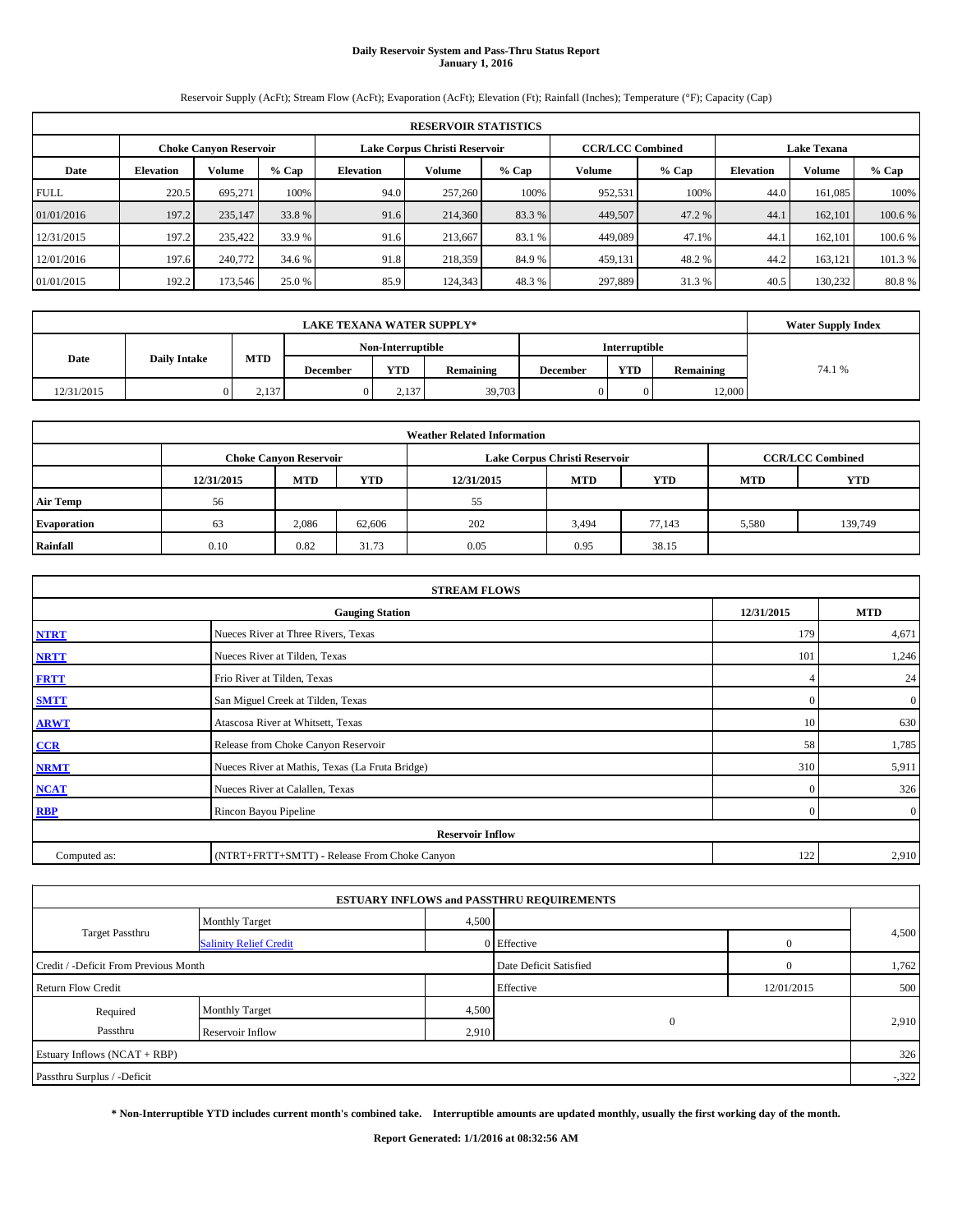# **Daily Reservoir System and Pass-Thru Status Report January 1, 2016**

Reservoir Supply (AcFt); Stream Flow (AcFt); Evaporation (AcFt); Elevation (Ft); Rainfall (Inches); Temperature (°F); Capacity (Cap)

|             | <b>RESERVOIR STATISTICS</b>                                                                                     |         |         |                  |         |         |         |         |                  |         |         |  |  |
|-------------|-----------------------------------------------------------------------------------------------------------------|---------|---------|------------------|---------|---------|---------|---------|------------------|---------|---------|--|--|
|             | <b>CCR/LCC Combined</b><br>Lake Corpus Christi Reservoir<br><b>Lake Texana</b><br><b>Choke Canyon Reservoir</b> |         |         |                  |         |         |         |         |                  |         |         |  |  |
| Date        | <b>Elevation</b>                                                                                                | Volume  | $%$ Cap | <b>Elevation</b> | Volume  | $%$ Cap | Volume  | $%$ Cap | <b>Elevation</b> | Volume  | % Cap   |  |  |
| <b>FULL</b> | 220.5                                                                                                           | 695.271 | 100%    | 94.0             | 257,260 | 100%    | 952,531 | 100%    | 44.0             | 161,085 | 100%    |  |  |
| 01/01/2016  | 197.2                                                                                                           | 235,147 | 33.8 %  | 91.6             | 214,360 | 83.3 %  | 449,507 | 47.2 %  | 44.1             | 162,101 | 100.6 % |  |  |
| 12/31/2015  | 197.2                                                                                                           | 235,422 | 33.9 %  | 91.6             | 213,667 | 83.1 %  | 449,089 | 47.1%   | 44.1             | 162,101 | 100.6 % |  |  |
| 12/01/2016  | 197.6                                                                                                           | 240,772 | 34.6 %  | 91.8             | 218,359 | 84.9 %  | 459,131 | 48.2 %  | 44.2             | 163,121 | 101.3 % |  |  |
| 01/01/2015  | 192.2                                                                                                           | 173,546 | 25.0 %  | 85.9             | 124,343 | 48.3%   | 297,889 | 31.3 %  | 40.5             | 130.232 | 80.8%   |  |  |

|            | <b>LAKE TEXANA WATER SUPPLY*</b> |            |                 |                   |           |                 |               |           |        |  |  |  |
|------------|----------------------------------|------------|-----------------|-------------------|-----------|-----------------|---------------|-----------|--------|--|--|--|
|            |                                  |            |                 | Non-Interruptible |           |                 | Interruptible |           |        |  |  |  |
| Date       | <b>Daily Intake</b>              | <b>MTD</b> | <b>December</b> | <b>YTD</b>        | Remaining | <b>December</b> | <b>YTD</b>    | Remaining | 74.1 % |  |  |  |
| 12/31/2015 |                                  | 2.137      |                 | 2.137             | 39,703    |                 |               | 12,000    |        |  |  |  |

| <b>Weather Related Information</b> |                                                                           |                               |        |      |                               |                         |       |         |  |  |  |
|------------------------------------|---------------------------------------------------------------------------|-------------------------------|--------|------|-------------------------------|-------------------------|-------|---------|--|--|--|
|                                    |                                                                           | <b>Choke Canyon Reservoir</b> |        |      | Lake Corpus Christi Reservoir | <b>CCR/LCC Combined</b> |       |         |  |  |  |
|                                    | <b>MTD</b><br>YTD<br><b>MTD</b><br><b>YTD</b><br>12/31/2015<br>12/31/2015 |                               |        |      |                               |                         |       |         |  |  |  |
| <b>Air Temp</b>                    | 56                                                                        |                               |        | 55   |                               |                         |       |         |  |  |  |
| <b>Evaporation</b>                 | 63                                                                        | 2,086                         | 62,606 | 202  | 3,494                         | 77,143                  | 5,580 | 139,749 |  |  |  |
| Rainfall                           | 0.10                                                                      | 0.82                          | 31.73  | 0.05 | 0.95                          | 38.15                   |       |         |  |  |  |

| <b>STREAM FLOWS</b>                                |                                                 |              |                |  |  |  |  |  |  |
|----------------------------------------------------|-------------------------------------------------|--------------|----------------|--|--|--|--|--|--|
| 12/31/2015<br><b>MTD</b><br><b>Gauging Station</b> |                                                 |              |                |  |  |  |  |  |  |
| <b>NTRT</b>                                        | Nueces River at Three Rivers, Texas             | 179          | 4,671          |  |  |  |  |  |  |
| <b>NRTT</b>                                        | Nueces River at Tilden, Texas                   | 101          | 1,246          |  |  |  |  |  |  |
| <b>FRTT</b>                                        | Frio River at Tilden, Texas                     |              | 24             |  |  |  |  |  |  |
| <b>SMTT</b>                                        | San Miguel Creek at Tilden, Texas               | $\Omega$     | $\mathbf{0}$   |  |  |  |  |  |  |
| <b>ARWT</b>                                        | Atascosa River at Whitsett, Texas               | 10           | 630            |  |  |  |  |  |  |
| CCR                                                | Release from Choke Canyon Reservoir             | 58           | 1,785          |  |  |  |  |  |  |
| <b>NRMT</b>                                        | Nueces River at Mathis, Texas (La Fruta Bridge) | 310          | 5,911          |  |  |  |  |  |  |
| <b>NCAT</b>                                        | Nueces River at Calallen, Texas                 | $\mathbf{0}$ | 326            |  |  |  |  |  |  |
| <b>RBP</b>                                         | Rincon Bayou Pipeline                           | $\Omega$     | $\overline{0}$ |  |  |  |  |  |  |
|                                                    | <b>Reservoir Inflow</b>                         |              |                |  |  |  |  |  |  |
| Computed as:                                       | (NTRT+FRTT+SMTT) - Release From Choke Canyon    | 122          | 2,910          |  |  |  |  |  |  |

|                                       |                               |       | <b>ESTUARY INFLOWS and PASSTHRU REQUIREMENTS</b> |            |         |
|---------------------------------------|-------------------------------|-------|--------------------------------------------------|------------|---------|
|                                       | <b>Monthly Target</b>         | 4,500 |                                                  |            |         |
| <b>Target Passthru</b>                | <b>Salinity Relief Credit</b> |       | 0 Effective                                      | $\Omega$   | 4,500   |
| Credit / -Deficit From Previous Month |                               |       | Date Deficit Satisfied                           | $\Omega$   | 1,762   |
| <b>Return Flow Credit</b>             |                               |       | Effective                                        | 12/01/2015 | 500     |
| Required                              | <b>Monthly Target</b>         | 4,500 |                                                  |            |         |
| Passthru                              | Reservoir Inflow              | 2,910 | $\mathbf{0}$                                     |            | 2,910   |
| Estuary Inflows (NCAT + RBP)          |                               |       |                                                  |            | 326     |
| Passthru Surplus / -Deficit           |                               |       |                                                  |            | $-.322$ |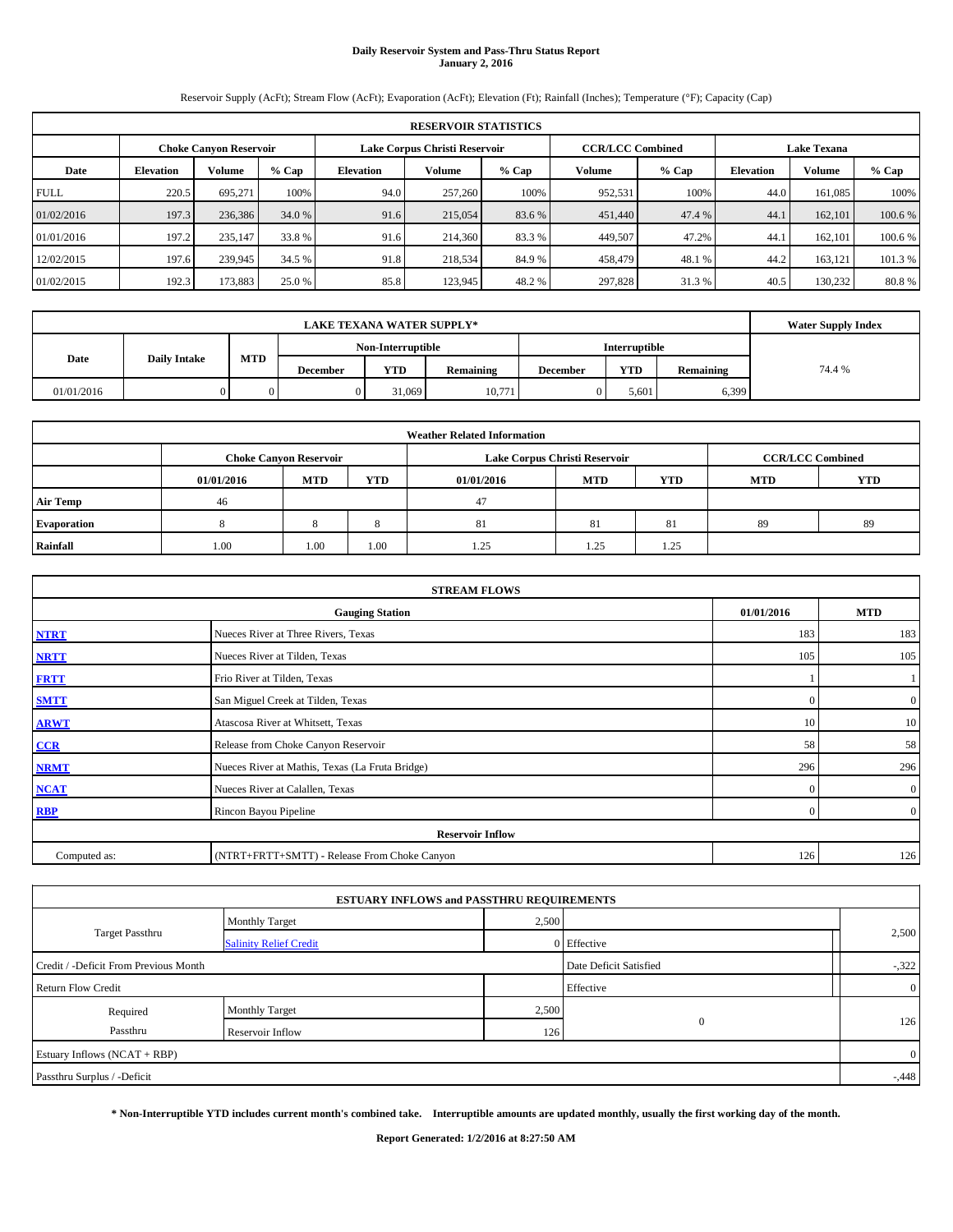# **Daily Reservoir System and Pass-Thru Status Report January 2, 2016**

Reservoir Supply (AcFt); Stream Flow (AcFt); Evaporation (AcFt); Elevation (Ft); Rainfall (Inches); Temperature (°F); Capacity (Cap)

|             | <b>RESERVOIR STATISTICS</b>                                                                                     |         |         |                  |         |         |                  |               |       |         |         |  |
|-------------|-----------------------------------------------------------------------------------------------------------------|---------|---------|------------------|---------|---------|------------------|---------------|-------|---------|---------|--|
|             | <b>CCR/LCC Combined</b><br>Lake Corpus Christi Reservoir<br><b>Lake Texana</b><br><b>Choke Canyon Reservoir</b> |         |         |                  |         |         |                  |               |       |         |         |  |
| Date        | <b>Elevation</b>                                                                                                | Volume  | $%$ Cap | <b>Elevation</b> | Volume  | $%$ Cap | <b>Elevation</b> | <b>Volume</b> | % Cap |         |         |  |
| <b>FULL</b> | 220.5                                                                                                           | 695.271 | 100%    | 94.0             | 257,260 | 100%    | 952,531          | 100%          | 44.0  | 161,085 | 100%    |  |
| 01/02/2016  | 197.3                                                                                                           | 236,386 | 34.0 %  | 91.6             | 215,054 | 83.6 %  | 451,440          | 47.4 %        | 44.1  | 162,101 | 100.6 % |  |
| 01/01/2016  | 197.2                                                                                                           | 235,147 | 33.8 %  | 91.6             | 214,360 | 83.3 %  | 449,507          | 47.2%         | 44.1  | 162,101 | 100.6 % |  |
| 12/02/2015  | 197.6                                                                                                           | 239,945 | 34.5 %  | 91.8             | 218,534 | 84.9%   | 458,479          | 48.1%         | 44.2  | 163,121 | 101.3 % |  |
| 01/02/2015  | 192.3                                                                                                           | 173,883 | 25.0 %  | 85.8             | 123.945 | 48.2 %  | 297,828          | 31.3%         | 40.5  | 130.232 | 80.8%   |  |

|            | <b>LAKE TEXANA WATER SUPPLY*</b> |            |          |                   |           |                 |                      |           |        |  |  |
|------------|----------------------------------|------------|----------|-------------------|-----------|-----------------|----------------------|-----------|--------|--|--|
|            |                                  |            |          | Non-Interruptible |           |                 | <b>Interruptible</b> |           |        |  |  |
| Date       | <b>Daily Intake</b>              | <b>MTD</b> | December | <b>YTD</b>        | Remaining | <b>December</b> | <b>YTD</b>           | Remaining | 74.4 % |  |  |
| 01/01/2016 |                                  |            |          | 31,069            | 10,771    |                 | 5.601                | 6,399     |        |  |  |

| <b>Weather Related Information</b> |                                                                                  |                               |      |      |                               |                         |    |    |  |  |  |
|------------------------------------|----------------------------------------------------------------------------------|-------------------------------|------|------|-------------------------------|-------------------------|----|----|--|--|--|
|                                    |                                                                                  | <b>Choke Canvon Reservoir</b> |      |      | Lake Corpus Christi Reservoir | <b>CCR/LCC Combined</b> |    |    |  |  |  |
|                                    | MTD<br>YTD<br><b>MTD</b><br><b>YTD</b><br><b>MTD</b><br>01/01/2016<br>01/01/2016 |                               |      |      |                               |                         |    |    |  |  |  |
| <b>Air Temp</b>                    | 46                                                                               |                               |      | 47   |                               |                         |    |    |  |  |  |
| Evaporation                        |                                                                                  |                               |      | 81   | -81                           | -81                     | 89 | 89 |  |  |  |
| Rainfall                           | 1.00                                                                             | 1.00                          | 1.00 | 1.25 | 1.25                          | 1.25                    |    |    |  |  |  |

| <b>STREAM FLOWS</b>                                |                                                 |              |                  |  |  |  |  |  |  |
|----------------------------------------------------|-------------------------------------------------|--------------|------------------|--|--|--|--|--|--|
| 01/01/2016<br><b>MTD</b><br><b>Gauging Station</b> |                                                 |              |                  |  |  |  |  |  |  |
| <b>NTRT</b>                                        | Nueces River at Three Rivers, Texas             | 183          | 183              |  |  |  |  |  |  |
| <b>NRTT</b>                                        | Nueces River at Tilden, Texas                   | 105          | 105              |  |  |  |  |  |  |
| <b>FRTT</b>                                        | Frio River at Tilden, Texas                     |              |                  |  |  |  |  |  |  |
| <b>SMTT</b>                                        | San Miguel Creek at Tilden, Texas               | $\mathbf{0}$ | $\boldsymbol{0}$ |  |  |  |  |  |  |
| <b>ARWT</b>                                        | Atascosa River at Whitsett, Texas               | 10           | 10               |  |  |  |  |  |  |
| CCR                                                | Release from Choke Canyon Reservoir             | 58           | 58               |  |  |  |  |  |  |
| <b>NRMT</b>                                        | Nueces River at Mathis, Texas (La Fruta Bridge) | 296          | 296              |  |  |  |  |  |  |
| <b>NCAT</b>                                        | Nueces River at Calallen, Texas                 | $\Omega$     | $\mathbf{0}$     |  |  |  |  |  |  |
| <b>RBP</b>                                         | Rincon Bayou Pipeline                           | $\Omega$     | $\overline{0}$   |  |  |  |  |  |  |
|                                                    | <b>Reservoir Inflow</b>                         |              |                  |  |  |  |  |  |  |
| Computed as:                                       | (NTRT+FRTT+SMTT) - Release From Choke Canyon    | 126          | 126              |  |  |  |  |  |  |

|                                       | <b>ESTUARY INFLOWS and PASSTHRU REQUIREMENTS</b> |       |                        |                |
|---------------------------------------|--------------------------------------------------|-------|------------------------|----------------|
|                                       | <b>Monthly Target</b>                            | 2,500 |                        |                |
| <b>Target Passthru</b>                | <b>Salinity Relief Credit</b>                    |       | 0 Effective            | 2,500          |
| Credit / -Deficit From Previous Month |                                                  |       | Date Deficit Satisfied | $-322$         |
| <b>Return Flow Credit</b>             |                                                  |       | Effective              | $\overline{0}$ |
| Required                              | <b>Monthly Target</b>                            | 2,500 |                        |                |
| Passthru                              | Reservoir Inflow                                 | 126   | $\mathbf{0}$           | 126            |
| Estuary Inflows (NCAT + RBP)          |                                                  |       |                        | $\overline{0}$ |
| Passthru Surplus / -Deficit           |                                                  |       |                        | $-0.448$       |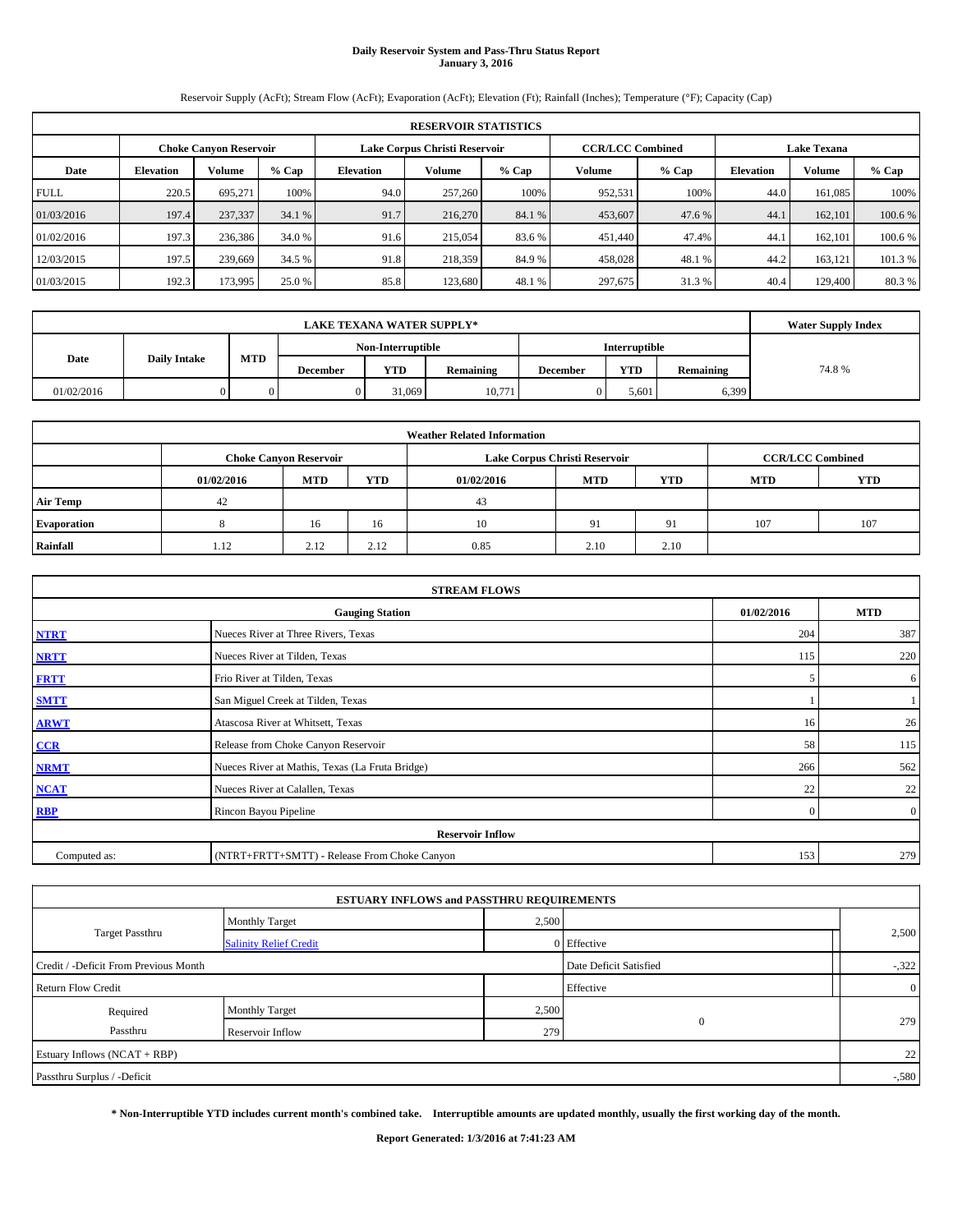# **Daily Reservoir System and Pass-Thru Status Report January 3, 2016**

Reservoir Supply (AcFt); Stream Flow (AcFt); Evaporation (AcFt); Elevation (Ft); Rainfall (Inches); Temperature (°F); Capacity (Cap)

|             | <b>RESERVOIR STATISTICS</b>                                                                                     |         |         |                  |         |         |         |         |                  |               |         |  |  |
|-------------|-----------------------------------------------------------------------------------------------------------------|---------|---------|------------------|---------|---------|---------|---------|------------------|---------------|---------|--|--|
|             | <b>CCR/LCC Combined</b><br>Lake Corpus Christi Reservoir<br><b>Lake Texana</b><br><b>Choke Canyon Reservoir</b> |         |         |                  |         |         |         |         |                  |               |         |  |  |
| Date        | <b>Elevation</b>                                                                                                | Volume  | $%$ Cap | <b>Elevation</b> | Volume  | $%$ Cap | Volume  | $%$ Cap | <b>Elevation</b> | <b>Volume</b> | % Cap   |  |  |
| <b>FULL</b> | 220.5                                                                                                           | 695.271 | 100%    | 94.0             | 257,260 | 100%    | 952,531 | 100%    | 44.0             | 161,085       | 100%    |  |  |
| 01/03/2016  | 197.4                                                                                                           | 237,337 | 34.1 %  | 91.7             | 216,270 | 84.1 %  | 453,607 | 47.6 %  | 44.1             | 162,101       | 100.6 % |  |  |
| 01/02/2016  | 197.3                                                                                                           | 236,386 | 34.0 %  | 91.6             | 215,054 | 83.6 %  | 451,440 | 47.4%   | 44.1             | 162,101       | 100.6 % |  |  |
| 12/03/2015  | 197.5                                                                                                           | 239,669 | 34.5 %  | 91.8             | 218,359 | 84.9%   | 458,028 | 48.1%   | 44.2             | 163,121       | 101.3 % |  |  |
| 01/03/2015  | 192.3                                                                                                           | 173,995 | 25.0 %  | 85.8             | 123.680 | 48.1 %  | 297,675 | 31.3%   | 40.4             | 129,400       | 80.3%   |  |  |

|            | <b>LAKE TEXANA WATER SUPPLY*</b> |            |                 |                   |           |                 |                      |           |       |  |  |
|------------|----------------------------------|------------|-----------------|-------------------|-----------|-----------------|----------------------|-----------|-------|--|--|
|            |                                  |            |                 | Non-Interruptible |           |                 | <b>Interruptible</b> |           |       |  |  |
| Date       | <b>Daily Intake</b>              | <b>MTD</b> | <b>December</b> | <b>YTD</b>        | Remaining | <b>December</b> | <b>YTD</b>           | Remaining | 74.8% |  |  |
| 01/02/2016 |                                  |            |                 | 31,069            | 10,771    |                 | 5.601                | 6,399     |       |  |  |

| <b>Weather Related Information</b> |            |                               |      |            |                               |                         |            |            |  |  |
|------------------------------------|------------|-------------------------------|------|------------|-------------------------------|-------------------------|------------|------------|--|--|
|                                    |            | <b>Choke Canyon Reservoir</b> |      |            | Lake Corpus Christi Reservoir | <b>CCR/LCC Combined</b> |            |            |  |  |
|                                    | 01/02/2016 | MTD                           | YTD  | 01/02/2016 | <b>MTD</b>                    | <b>YTD</b>              | <b>MTD</b> | <b>YTD</b> |  |  |
| <b>Air Temp</b>                    | 42         |                               |      | 43         |                               |                         |            |            |  |  |
| Evaporation                        |            | 16                            | 16   | 10         | 91                            | 91                      | 107        | 107        |  |  |
| Rainfall                           | 1.12       | 2.12                          | 2.12 | 0.85       | 2.10                          | 2.10                    |            |            |  |  |

| <b>STREAM FLOWS</b> |                                                 |              |                |  |  |  |  |  |  |
|---------------------|-------------------------------------------------|--------------|----------------|--|--|--|--|--|--|
|                     | 01/02/2016                                      | <b>MTD</b>   |                |  |  |  |  |  |  |
| <b>NTRT</b>         | Nueces River at Three Rivers, Texas             | 204          | 387            |  |  |  |  |  |  |
| <b>NRTT</b>         | Nueces River at Tilden, Texas                   | 115          | 220            |  |  |  |  |  |  |
| <b>FRTT</b>         | Frio River at Tilden, Texas                     | 5            | 6              |  |  |  |  |  |  |
| <b>SMTT</b>         | San Miguel Creek at Tilden, Texas               |              |                |  |  |  |  |  |  |
| <b>ARWT</b>         | Atascosa River at Whitsett, Texas               | 16           | 26             |  |  |  |  |  |  |
| CCR                 | Release from Choke Canyon Reservoir             | 58           | 115            |  |  |  |  |  |  |
| <b>NRMT</b>         | Nueces River at Mathis, Texas (La Fruta Bridge) | 266          | 562            |  |  |  |  |  |  |
| <b>NCAT</b>         | Nueces River at Calallen, Texas                 | 22           | 22             |  |  |  |  |  |  |
| <b>RBP</b>          | Rincon Bayou Pipeline                           | $\mathbf{0}$ | $\overline{0}$ |  |  |  |  |  |  |
|                     | <b>Reservoir Inflow</b>                         |              |                |  |  |  |  |  |  |
| Computed as:        | (NTRT+FRTT+SMTT) - Release From Choke Canyon    |              |                |  |  |  |  |  |  |

|                                       | <b>ESTUARY INFLOWS and PASSTHRU REQUIREMENTS</b> |       |                        |                |
|---------------------------------------|--------------------------------------------------|-------|------------------------|----------------|
|                                       | <b>Monthly Target</b>                            | 2,500 |                        |                |
| Target Passthru                       | <b>Salinity Relief Credit</b>                    |       | 0 Effective            | 2,500          |
| Credit / -Deficit From Previous Month |                                                  |       | Date Deficit Satisfied | $-322$         |
| <b>Return Flow Credit</b>             |                                                  |       | Effective              | $\overline{0}$ |
| Required                              | <b>Monthly Target</b>                            | 2,500 |                        |                |
| Passthru                              | Reservoir Inflow                                 | 279   | $\mathbf{0}$           | 279            |
| Estuary Inflows (NCAT + RBP)          |                                                  |       |                        | 22             |
| Passthru Surplus / -Deficit           |                                                  |       |                        | $-580$         |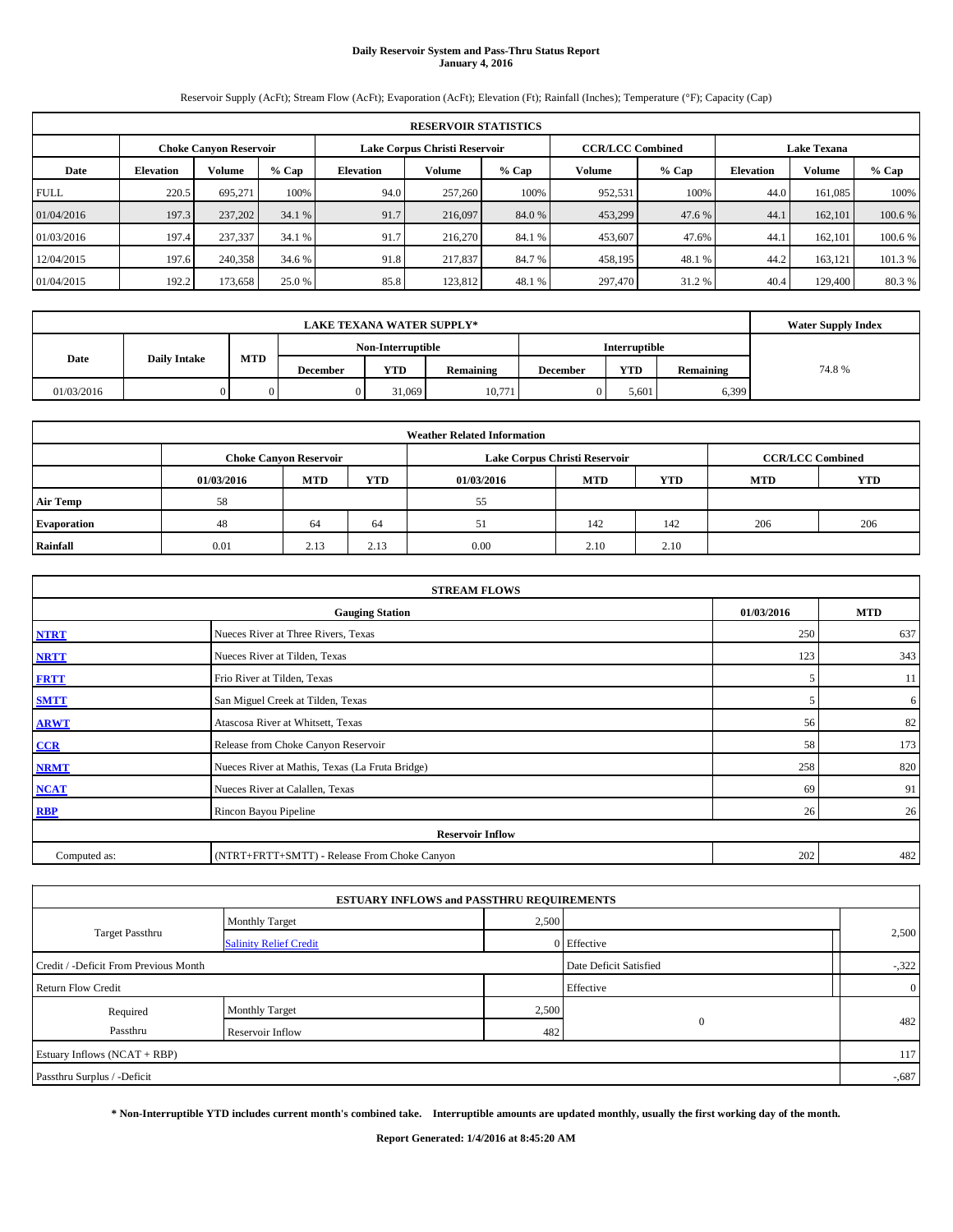# **Daily Reservoir System and Pass-Thru Status Report January 4, 2016**

Reservoir Supply (AcFt); Stream Flow (AcFt); Evaporation (AcFt); Elevation (Ft); Rainfall (Inches); Temperature (°F); Capacity (Cap)

|             | <b>RESERVOIR STATISTICS</b> |                               |         |                  |                               |         |                         |         |                    |         |         |
|-------------|-----------------------------|-------------------------------|---------|------------------|-------------------------------|---------|-------------------------|---------|--------------------|---------|---------|
|             |                             | <b>Choke Canyon Reservoir</b> |         |                  | Lake Corpus Christi Reservoir |         | <b>CCR/LCC Combined</b> |         | <b>Lake Texana</b> |         |         |
| Date        | <b>Elevation</b>            | Volume                        | $%$ Cap | <b>Elevation</b> | <b>Volume</b>                 | $%$ Cap | Volume                  | $%$ Cap | <b>Elevation</b>   | Volume  | % Cap   |
| <b>FULL</b> | 220.5                       | 695.271                       | 100%    | 94.0             | 257,260                       | 100%    | 952,531                 | 100%    | 44.0               | 161,085 | 100%    |
| 01/04/2016  | 197.3                       | 237,202                       | 34.1 %  | 91.7             | 216,097                       | 84.0 %  | 453,299                 | 47.6 %  | 44.1               | 162,101 | 100.6 % |
| 01/03/2016  | 197.4                       | 237,337                       | 34.1 %  | 91.7             | 216,270                       | 84.1 %  | 453,607                 | 47.6%   | 44.1               | 162,101 | 100.6 % |
| 12/04/2015  | 197.6                       | 240,358                       | 34.6 %  | 91.8             | 217,837                       | 84.7 %  | 458,195                 | 48.1 %  | 44.2               | 163,121 | 101.3 % |
| 01/04/2015  | 192.2                       | 173,658                       | 25.0 %  | 85.8             | 123.812                       | 48.1 %  | 297,470                 | 31.2 %  | 40.4               | 129,400 | 80.3%   |

|            |                     | <b>Water Supply Index</b> |          |                   |           |                 |                      |           |       |
|------------|---------------------|---------------------------|----------|-------------------|-----------|-----------------|----------------------|-----------|-------|
|            |                     |                           |          | Non-Interruptible |           |                 | <b>Interruptible</b> |           |       |
| Date       | <b>Daily Intake</b> | <b>MTD</b>                | December | <b>YTD</b>        | Remaining | <b>December</b> | <b>YTD</b>           | Remaining | 74.8% |
| 01/03/2016 |                     |                           |          | 31,069            | 10,771    |                 | 5.601                | 6,399     |       |

| <b>Weather Related Information</b> |            |                               |      |            |                               |                         |            |            |  |  |
|------------------------------------|------------|-------------------------------|------|------------|-------------------------------|-------------------------|------------|------------|--|--|
|                                    |            | <b>Choke Canyon Reservoir</b> |      |            | Lake Corpus Christi Reservoir | <b>CCR/LCC Combined</b> |            |            |  |  |
|                                    | 01/03/2016 | <b>MTD</b>                    | YTD  | 01/03/2016 | <b>MTD</b>                    | <b>YTD</b>              | <b>MTD</b> | <b>YTD</b> |  |  |
| <b>Air Temp</b>                    | 58         |                               |      | 55         |                               |                         |            |            |  |  |
| Evaporation                        | 48         | 64                            | 64   | 51         | 142                           | 142                     | 206        | 206        |  |  |
| Rainfall                           | 0.01       | 2.13                          | 2.13 | 0.00       | 2.10                          | 2.10                    |            |            |  |  |

|              | <b>STREAM FLOWS</b>                             |     |     |  |  |  |  |  |  |  |
|--------------|-------------------------------------------------|-----|-----|--|--|--|--|--|--|--|
|              | <b>Gauging Station</b>                          |     |     |  |  |  |  |  |  |  |
| <b>NTRT</b>  | Nueces River at Three Rivers, Texas             | 250 | 637 |  |  |  |  |  |  |  |
| <b>NRTT</b>  | Nueces River at Tilden, Texas                   | 123 | 343 |  |  |  |  |  |  |  |
| <b>FRTT</b>  | Frio River at Tilden, Texas                     | 5   | 11  |  |  |  |  |  |  |  |
| <b>SMTT</b>  | San Miguel Creek at Tilden, Texas               | 5   | 6   |  |  |  |  |  |  |  |
| <b>ARWT</b>  | Atascosa River at Whitsett, Texas               | 56  | 82  |  |  |  |  |  |  |  |
| CCR          | Release from Choke Canyon Reservoir             | 58  | 173 |  |  |  |  |  |  |  |
| <b>NRMT</b>  | Nueces River at Mathis, Texas (La Fruta Bridge) | 258 | 820 |  |  |  |  |  |  |  |
| <b>NCAT</b>  | Nueces River at Calallen, Texas                 | 69  | 91  |  |  |  |  |  |  |  |
| <b>RBP</b>   | Rincon Bayou Pipeline                           | 26  | 26  |  |  |  |  |  |  |  |
|              | <b>Reservoir Inflow</b>                         |     |     |  |  |  |  |  |  |  |
| Computed as: | (NTRT+FRTT+SMTT) - Release From Choke Canyon    |     |     |  |  |  |  |  |  |  |

|                                       | <b>ESTUARY INFLOWS and PASSTHRU REQUIREMENTS</b> |       |                        |                |
|---------------------------------------|--------------------------------------------------|-------|------------------------|----------------|
|                                       | <b>Monthly Target</b>                            | 2,500 |                        |                |
| Target Passthru                       | <b>Salinity Relief Credit</b>                    |       | 0 Effective            | 2,500          |
| Credit / -Deficit From Previous Month |                                                  |       | Date Deficit Satisfied | $-322$         |
| <b>Return Flow Credit</b>             |                                                  |       | Effective              | $\overline{0}$ |
| Required                              | <b>Monthly Target</b>                            | 2,500 |                        |                |
| Passthru                              | Reservoir Inflow                                 | 482   | $\mathbf{0}$           | 482            |
| Estuary Inflows (NCAT + RBP)          |                                                  |       |                        | 117            |
| Passthru Surplus / -Deficit           |                                                  |       |                        | $-0.687$       |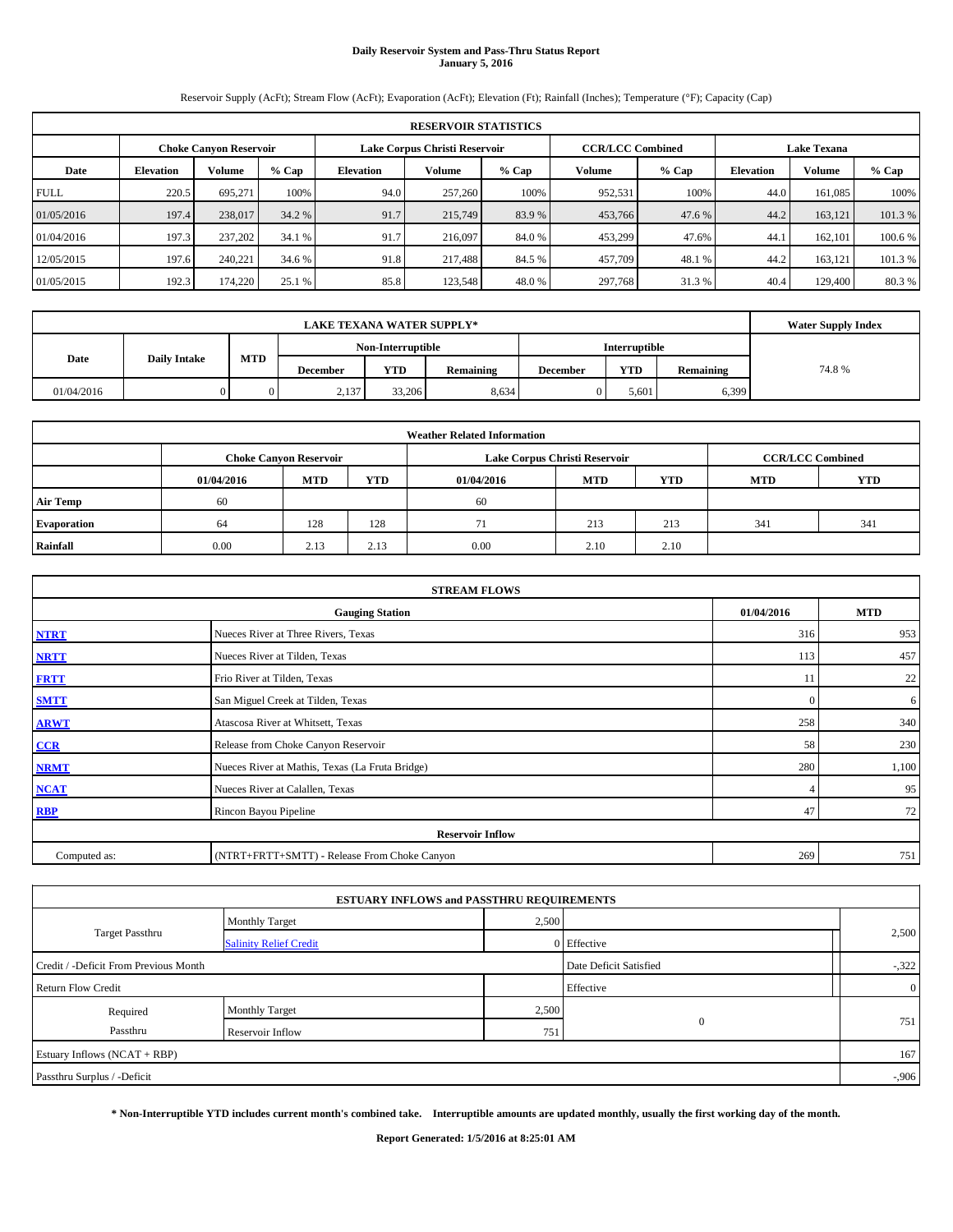# **Daily Reservoir System and Pass-Thru Status Report January 5, 2016**

Reservoir Supply (AcFt); Stream Flow (AcFt); Evaporation (AcFt); Elevation (Ft); Rainfall (Inches); Temperature (°F); Capacity (Cap)

|             | <b>RESERVOIR STATISTICS</b>                             |         |         |                  |         |         |                         |         |                    |         |         |
|-------------|---------------------------------------------------------|---------|---------|------------------|---------|---------|-------------------------|---------|--------------------|---------|---------|
|             | Lake Corpus Christi Reservoir<br>Choke Canvon Reservoir |         |         |                  |         |         | <b>CCR/LCC Combined</b> |         | <b>Lake Texana</b> |         |         |
| Date        | <b>Elevation</b>                                        | Volume  | $%$ Cap | <b>Elevation</b> | Volume  | $%$ Cap | <b>Volume</b>           | $%$ Cap | <b>Elevation</b>   | Volume  | % Cap   |
| <b>FULL</b> | 220.5                                                   | 695.271 | 100%    | 94.0             | 257,260 | 100%    | 952,531                 | 100%    | 44.0               | 161.085 | 100%    |
| 01/05/2016  | 197.4                                                   | 238,017 | 34.2 %  | 91.7             | 215,749 | 83.9 %  | 453,766                 | 47.6 %  | 44.2               | 163.121 | 101.3 % |
| 01/04/2016  | 197.3                                                   | 237,202 | 34.1 %  | 91.7             | 216,097 | 84.0 %  | 453,299                 | 47.6%   | 44.7               | 162,101 | 100.6 % |
| 12/05/2015  | 197.6                                                   | 240.221 | 34.6 %  | 91.8             | 217,488 | 84.5 %  | 457,709                 | 48.1%   | 44.2               | 163.121 | 101.3 % |
| 01/05/2015  | 192.3                                                   | 174,220 | 25.1 %  | 85.8             | 123,548 | 48.0%   | 297,768                 | 31.3 %  | 40.4               | 129,400 | 80.3%   |

|            |                     | <b>Water Supply Index</b> |          |                   |           |                 |                      |           |       |
|------------|---------------------|---------------------------|----------|-------------------|-----------|-----------------|----------------------|-----------|-------|
|            |                     |                           |          | Non-Interruptible |           |                 | <b>Interruptible</b> |           |       |
| Date       | <b>Daily Intake</b> | <b>MTD</b>                | December | <b>YTD</b>        | Remaining | <b>December</b> | <b>YTD</b>           | Remaining | 74.8% |
| 01/04/2016 |                     |                           | 2,137    | 33,206            | 8,634     |                 | 5.601                | 6,399     |       |

| <b>Weather Related Information</b> |            |                               |      |            |                               |                         |            |            |  |  |
|------------------------------------|------------|-------------------------------|------|------------|-------------------------------|-------------------------|------------|------------|--|--|
|                                    |            | <b>Choke Canvon Reservoir</b> |      |            | Lake Corpus Christi Reservoir | <b>CCR/LCC Combined</b> |            |            |  |  |
|                                    | 01/04/2016 | MTD                           | YTD  | 01/04/2016 | <b>MTD</b>                    | <b>YTD</b>              | <b>MTD</b> | <b>YTD</b> |  |  |
| <b>Air Temp</b>                    | 60         |                               |      | 60         |                               |                         |            |            |  |  |
| Evaporation                        | 64         | 128                           | 128  | 71         | 213                           | 213                     | 341        | 341        |  |  |
| Rainfall                           | 0.00       | 2.13                          | 2.13 | 0.00       | 2.10                          | 2.10                    |            |            |  |  |

| <b>STREAM FLOWS</b> |                                                 |              |       |  |  |  |  |  |  |
|---------------------|-------------------------------------------------|--------------|-------|--|--|--|--|--|--|
|                     | 01/04/2016                                      | <b>MTD</b>   |       |  |  |  |  |  |  |
| <b>NTRT</b>         | Nueces River at Three Rivers, Texas             | 316          | 953   |  |  |  |  |  |  |
| <b>NRTT</b>         | Nueces River at Tilden, Texas                   | 113          | 457   |  |  |  |  |  |  |
| <b>FRTT</b>         | Frio River at Tilden, Texas                     | 11           | 22    |  |  |  |  |  |  |
| <b>SMTT</b>         | San Miguel Creek at Tilden, Texas               | $\mathbf{0}$ | 6     |  |  |  |  |  |  |
| <b>ARWT</b>         | Atascosa River at Whitsett, Texas               | 258          | 340   |  |  |  |  |  |  |
| $CCR$               | Release from Choke Canyon Reservoir             | 58           | 230   |  |  |  |  |  |  |
| <b>NRMT</b>         | Nueces River at Mathis, Texas (La Fruta Bridge) | 280          | 1,100 |  |  |  |  |  |  |
| <b>NCAT</b>         | Nueces River at Calallen, Texas                 | 4            | 95    |  |  |  |  |  |  |
| <b>RBP</b>          | Rincon Bayou Pipeline                           | 47           | 72    |  |  |  |  |  |  |
|                     | <b>Reservoir Inflow</b>                         |              |       |  |  |  |  |  |  |
| Computed as:        | (NTRT+FRTT+SMTT) - Release From Choke Canyon    |              |       |  |  |  |  |  |  |

|                                                                 | <b>ESTUARY INFLOWS and PASSTHRU REQUIREMENTS</b> |       |              |                |  |  |
|-----------------------------------------------------------------|--------------------------------------------------|-------|--------------|----------------|--|--|
|                                                                 | <b>Monthly Target</b>                            | 2,500 |              |                |  |  |
| Target Passthru                                                 | <b>Salinity Relief Credit</b>                    |       | 0 Effective  | 2,500          |  |  |
| Date Deficit Satisfied<br>Credit / -Deficit From Previous Month |                                                  |       |              |                |  |  |
| <b>Return Flow Credit</b>                                       |                                                  |       | Effective    | $\overline{0}$ |  |  |
| Required                                                        | Monthly Target                                   | 2,500 |              |                |  |  |
| Passthru                                                        | Reservoir Inflow                                 | 7511  | $\mathbf{0}$ | 751            |  |  |
| Estuary Inflows (NCAT + RBP)                                    |                                                  |       |              | 167            |  |  |
| Passthru Surplus / -Deficit                                     |                                                  |       |              | $-0.906$       |  |  |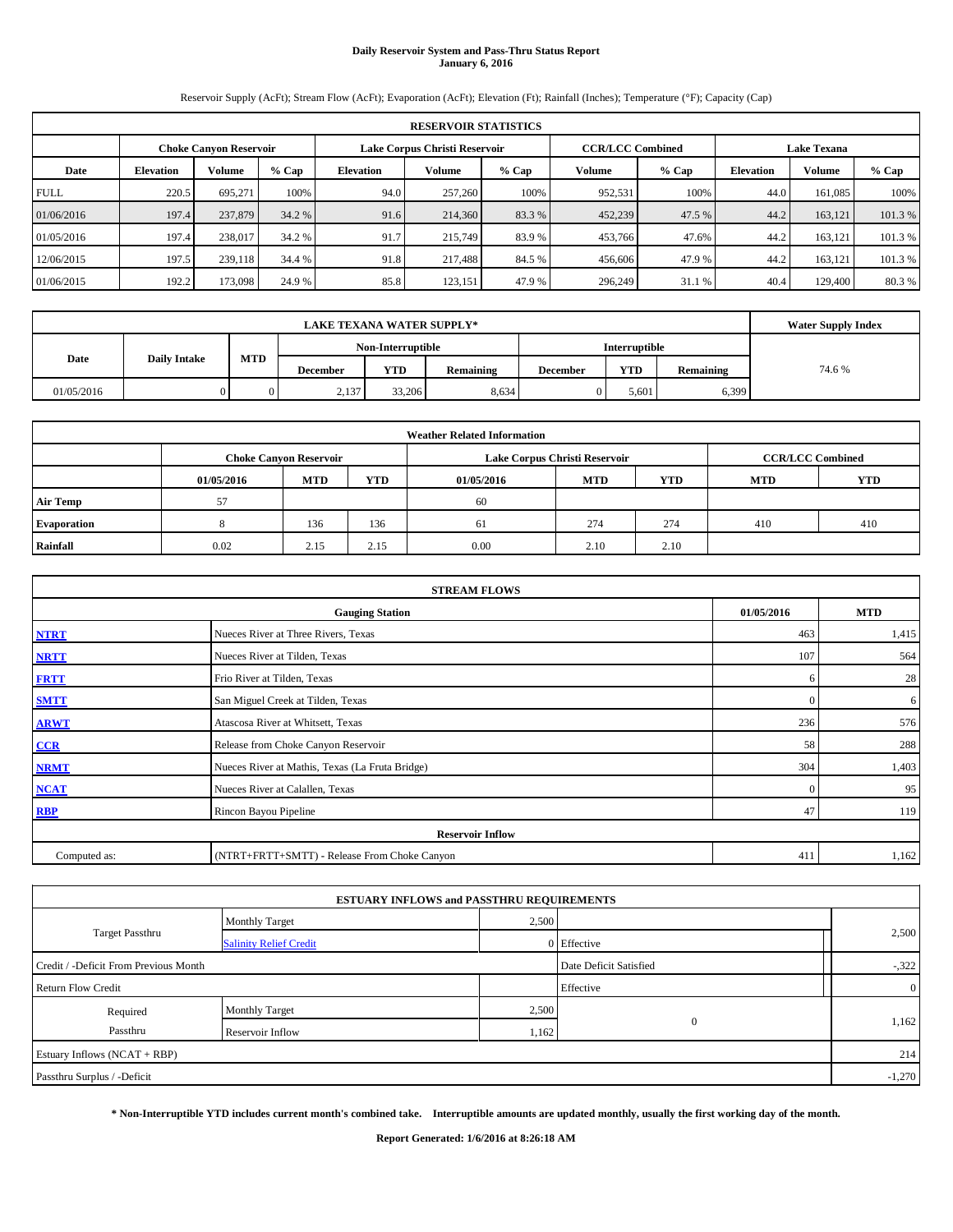# **Daily Reservoir System and Pass-Thru Status Report January 6, 2016**

Reservoir Supply (AcFt); Stream Flow (AcFt); Evaporation (AcFt); Elevation (Ft); Rainfall (Inches); Temperature (°F); Capacity (Cap)

|             | <b>RESERVOIR STATISTICS</b> |                               |         |                  |                               |         |         |                         |                  |                    |         |  |  |
|-------------|-----------------------------|-------------------------------|---------|------------------|-------------------------------|---------|---------|-------------------------|------------------|--------------------|---------|--|--|
|             |                             | <b>Choke Canyon Reservoir</b> |         |                  | Lake Corpus Christi Reservoir |         |         | <b>CCR/LCC Combined</b> |                  | <b>Lake Texana</b> |         |  |  |
| Date        | <b>Elevation</b>            | <b>Volume</b>                 | $%$ Cap | <b>Elevation</b> | <b>Volume</b>                 | $%$ Cap | Volume  | $%$ Cap                 | <b>Elevation</b> | Volume             | % Cap   |  |  |
| <b>FULL</b> | 220.5                       | 695.271                       | 100%    | 94.0             | 257,260                       | 100%    | 952,531 | 100%                    | 44.0             | 161,085            | 100%    |  |  |
| 01/06/2016  | 197.4                       | 237,879                       | 34.2 %  | 91.6             | 214,360                       | 83.3 %  | 452,239 | 47.5 %                  | 44.2             | 163.121            | 101.3%  |  |  |
| 01/05/2016  | 197.4                       | 238,017                       | 34.2 %  | 91.7             | 215,749                       | 83.9 %  | 453,766 | 47.6%                   | 44.2             | 163.121            | 101.3%  |  |  |
| 12/06/2015  | 197.5                       | 239,118                       | 34.4 %  | 91.8             | 217,488                       | 84.5 %  | 456,606 | 47.9 %                  | 44.2             | 163,121            | 101.3 % |  |  |
| 01/06/2015  | 192.2                       | 173,098                       | 24.9 %  | 85.8             | 123.151                       | 47.9 %  | 296,249 | 31.1 %                  | 40.4             | 129,400            | 80.3%   |  |  |

|            | <b>Water Supply Index</b> |            |                 |                   |           |                 |                      |           |       |
|------------|---------------------------|------------|-----------------|-------------------|-----------|-----------------|----------------------|-----------|-------|
|            |                           |            |                 | Non-Interruptible |           |                 | <b>Interruptible</b> |           |       |
| Date       | <b>Daily Intake</b>       | <b>MTD</b> | <b>December</b> | <b>YTD</b>        | Remaining | <b>December</b> | <b>YTD</b>           | Remaining | 74.6% |
| 01/05/2016 |                           |            | 2,137           | 33,206            | 8,634     |                 | 5,601                | 6,399     |       |

|                 |            |                               |            | <b>Weather Related Information</b> |                               |                         |     |     |
|-----------------|------------|-------------------------------|------------|------------------------------------|-------------------------------|-------------------------|-----|-----|
|                 |            | <b>Choke Canvon Reservoir</b> |            |                                    | Lake Corpus Christi Reservoir | <b>CCR/LCC Combined</b> |     |     |
|                 | 01/05/2016 | <b>MTD</b>                    | <b>YTD</b> |                                    |                               |                         |     |     |
| <b>Air Temp</b> | 57         |                               |            | 60                                 |                               |                         |     |     |
| Evaporation     |            | 136                           | 136        | 61                                 | 274                           | 274                     | 410 | 410 |
| Rainfall        | 0.02       | 2.15                          | 2.15       | 0.00                               | 2.10                          | 2.10                    |     |     |

| <b>STREAM FLOWS</b> |                                                 |          |       |  |  |  |  |  |  |
|---------------------|-------------------------------------------------|----------|-------|--|--|--|--|--|--|
|                     | <b>Gauging Station</b>                          |          |       |  |  |  |  |  |  |
| <b>NTRT</b>         | Nueces River at Three Rivers, Texas             | 463      | 1,415 |  |  |  |  |  |  |
| <b>NRTT</b>         | Nueces River at Tilden, Texas                   | 107      | 564   |  |  |  |  |  |  |
| <b>FRTT</b>         | Frio River at Tilden, Texas                     | 6        | 28    |  |  |  |  |  |  |
| <b>SMTT</b>         | San Miguel Creek at Tilden, Texas               | $\Omega$ | 6     |  |  |  |  |  |  |
| <b>ARWT</b>         | Atascosa River at Whitsett, Texas               | 236      | 576   |  |  |  |  |  |  |
| CCR                 | Release from Choke Canyon Reservoir             | 58       | 288   |  |  |  |  |  |  |
| <b>NRMT</b>         | Nueces River at Mathis, Texas (La Fruta Bridge) | 304      | 1,403 |  |  |  |  |  |  |
| <b>NCAT</b>         | Nueces River at Calallen, Texas                 | $\Omega$ | 95    |  |  |  |  |  |  |
| <b>RBP</b>          | Rincon Bayou Pipeline                           | 47       | 119   |  |  |  |  |  |  |
|                     | <b>Reservoir Inflow</b>                         |          |       |  |  |  |  |  |  |
| Computed as:        | (NTRT+FRTT+SMTT) - Release From Choke Canyon    | 411      | 1,162 |  |  |  |  |  |  |

|                                       |                               | <b>ESTUARY INFLOWS and PASSTHRU REQUIREMENTS</b> |             |          |
|---------------------------------------|-------------------------------|--------------------------------------------------|-------------|----------|
|                                       | <b>Monthly Target</b>         | 2,500                                            |             |          |
| <b>Target Passthru</b>                | <b>Salinity Relief Credit</b> |                                                  | 0 Effective | 2,500    |
| Credit / -Deficit From Previous Month | Date Deficit Satisfied        | $-322$                                           |             |          |
| <b>Return Flow Credit</b>             |                               |                                                  | Effective   |          |
| Required                              | <b>Monthly Target</b>         | 2,500                                            |             |          |
| Passthru                              | Reservoir Inflow              | 1,162                                            | $\Omega$    | 1,162    |
| Estuary Inflows (NCAT + RBP)          |                               |                                                  |             | 214      |
| Passthru Surplus / -Deficit           |                               |                                                  |             | $-1,270$ |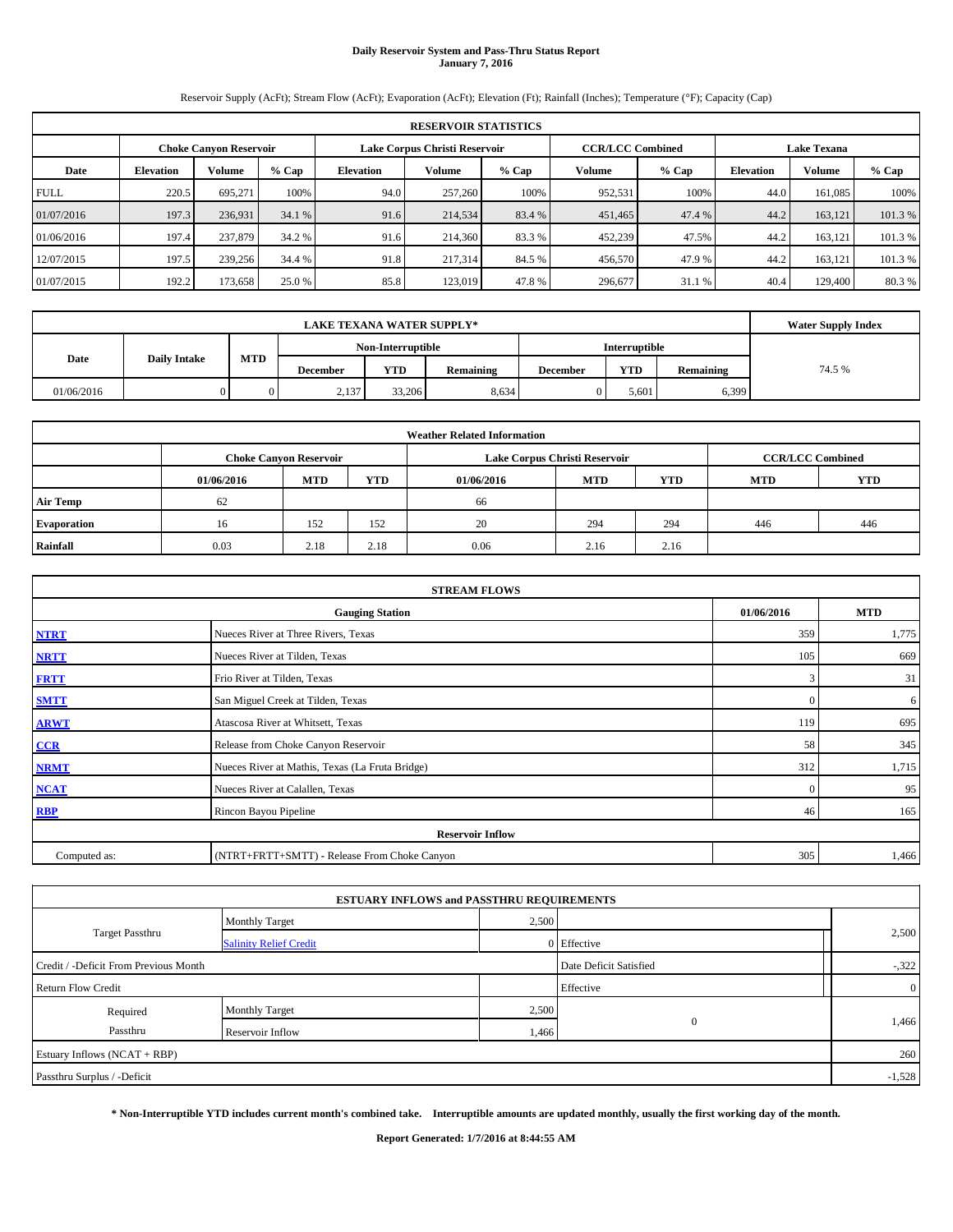# **Daily Reservoir System and Pass-Thru Status Report January 7, 2016**

Reservoir Supply (AcFt); Stream Flow (AcFt); Evaporation (AcFt); Elevation (Ft); Rainfall (Inches); Temperature (°F); Capacity (Cap)

|             | <b>RESERVOIR STATISTICS</b> |                               |         |                  |                               |         |                         |         |                  |                    |         |  |  |  |
|-------------|-----------------------------|-------------------------------|---------|------------------|-------------------------------|---------|-------------------------|---------|------------------|--------------------|---------|--|--|--|
|             |                             | <b>Choke Canyon Reservoir</b> |         |                  | Lake Corpus Christi Reservoir |         | <b>CCR/LCC Combined</b> |         |                  | <b>Lake Texana</b> |         |  |  |  |
| Date        | <b>Elevation</b>            | <b>Volume</b>                 | $%$ Cap | <b>Elevation</b> | Volume                        | $%$ Cap | Volume                  | $%$ Cap | <b>Elevation</b> | <b>Volume</b>      | $%$ Cap |  |  |  |
| <b>FULL</b> | 220.5                       | 695.271                       | 100%    | 94.0             | 257,260                       | 100%    | 952,531                 | 100%    | 44.0             | 161.085            | 100%    |  |  |  |
| 01/07/2016  | 197.3                       | 236,931                       | 34.1 %  | 91.6             | 214,534                       | 83.4 %  | 451,465                 | 47.4 %  | 44.2             | 163.121            | 101.3%  |  |  |  |
| 01/06/2016  | 197.4                       | 237,879                       | 34.2 %  | 91.6             | 214,360                       | 83.3 %  | 452,239                 | 47.5%   | 44.2             | 163.121            | 101.3 % |  |  |  |
| 12/07/2015  | 197.5                       | 239,256                       | 34.4 %  | 91.8             | 217,314                       | 84.5 %  | 456,570                 | 47.9%   | 44.2             | 163.121            | 101.3 % |  |  |  |
| 01/07/2015  | 192.2                       | 173,658                       | 25.0 %  | 85.8             | 123.019                       | 47.8%   | 296,677                 | 31.1 %  | 40.4             | 129,400            | 80.3%   |  |  |  |

|            | <b>Water Supply Index</b> |            |          |                   |           |                 |            |           |       |
|------------|---------------------------|------------|----------|-------------------|-----------|-----------------|------------|-----------|-------|
|            |                           |            |          | Non-Interruptible |           |                 |            |           |       |
| Date       | <b>Daily Intake</b>       | <b>MTD</b> | December | <b>YTD</b>        | Remaining | <b>December</b> | <b>YTD</b> | Remaining | 74.5% |
| 01/06/2016 |                           |            | 2,137    | 33,206            | 8,634     |                 | 5.601      | 6,399     |       |

| <b>Weather Related Information</b> |            |                                                                                  |      |      |                               |                         |     |     |  |  |
|------------------------------------|------------|----------------------------------------------------------------------------------|------|------|-------------------------------|-------------------------|-----|-----|--|--|
|                                    |            | <b>Choke Canyon Reservoir</b>                                                    |      |      | Lake Corpus Christi Reservoir | <b>CCR/LCC Combined</b> |     |     |  |  |
|                                    | 01/06/2016 | <b>MTD</b><br><b>YTD</b><br><b>YTD</b><br><b>MTD</b><br><b>MTD</b><br>01/06/2016 |      |      |                               |                         |     |     |  |  |
| <b>Air Temp</b>                    | 62         |                                                                                  |      | 66   |                               |                         |     |     |  |  |
| Evaporation                        | 16         | 152                                                                              | 152  | 20   | 294                           | 294                     | 446 | 446 |  |  |
| Rainfall                           | 0.03       | 2.18                                                                             | 2.18 | 0.06 | 2.16                          | 2.16                    |     |     |  |  |

| <b>STREAM FLOWS</b> |                                                 |              |       |  |  |  |  |  |  |
|---------------------|-------------------------------------------------|--------------|-------|--|--|--|--|--|--|
|                     | 01/06/2016                                      | <b>MTD</b>   |       |  |  |  |  |  |  |
| <b>NTRT</b>         | Nueces River at Three Rivers, Texas             | 359          | 1,775 |  |  |  |  |  |  |
| <b>NRTT</b>         | Nueces River at Tilden, Texas                   | 105          | 669   |  |  |  |  |  |  |
| <b>FRTT</b>         | Frio River at Tilden, Texas                     | 3            | 31    |  |  |  |  |  |  |
| <b>SMTT</b>         | San Miguel Creek at Tilden, Texas               | $\mathbf{0}$ | 6     |  |  |  |  |  |  |
| <b>ARWT</b>         | Atascosa River at Whitsett, Texas               | 119          | 695   |  |  |  |  |  |  |
| $CCR$               | Release from Choke Canyon Reservoir             | 58           | 345   |  |  |  |  |  |  |
| <b>NRMT</b>         | Nueces River at Mathis, Texas (La Fruta Bridge) | 312          | 1,715 |  |  |  |  |  |  |
| <b>NCAT</b>         | Nueces River at Calallen, Texas                 | $\mathbf{0}$ | 95    |  |  |  |  |  |  |
| <b>RBP</b>          | Rincon Bayou Pipeline                           | 46           | 165   |  |  |  |  |  |  |
|                     | <b>Reservoir Inflow</b>                         |              |       |  |  |  |  |  |  |
| Computed as:        | (NTRT+FRTT+SMTT) - Release From Choke Canyon    | 305          | 1,466 |  |  |  |  |  |  |

|                                       |                               | <b>ESTUARY INFLOWS and PASSTHRU REQUIREMENTS</b> |             |                |
|---------------------------------------|-------------------------------|--------------------------------------------------|-------------|----------------|
|                                       | <b>Monthly Target</b>         | 2,500                                            |             |                |
| <b>Target Passthru</b>                | <b>Salinity Relief Credit</b> |                                                  | 0 Effective | 2,500          |
| Credit / -Deficit From Previous Month | Date Deficit Satisfied        | $-322$                                           |             |                |
| <b>Return Flow Credit</b>             |                               |                                                  | Effective   | $\overline{0}$ |
| Required                              | <b>Monthly Target</b>         | 2,500                                            |             |                |
| Passthru                              | Reservoir Inflow              | 1,466                                            | $\Omega$    | 1,466          |
| Estuary Inflows (NCAT + RBP)          |                               |                                                  |             | 260            |
| Passthru Surplus / -Deficit           |                               |                                                  |             | $-1,528$       |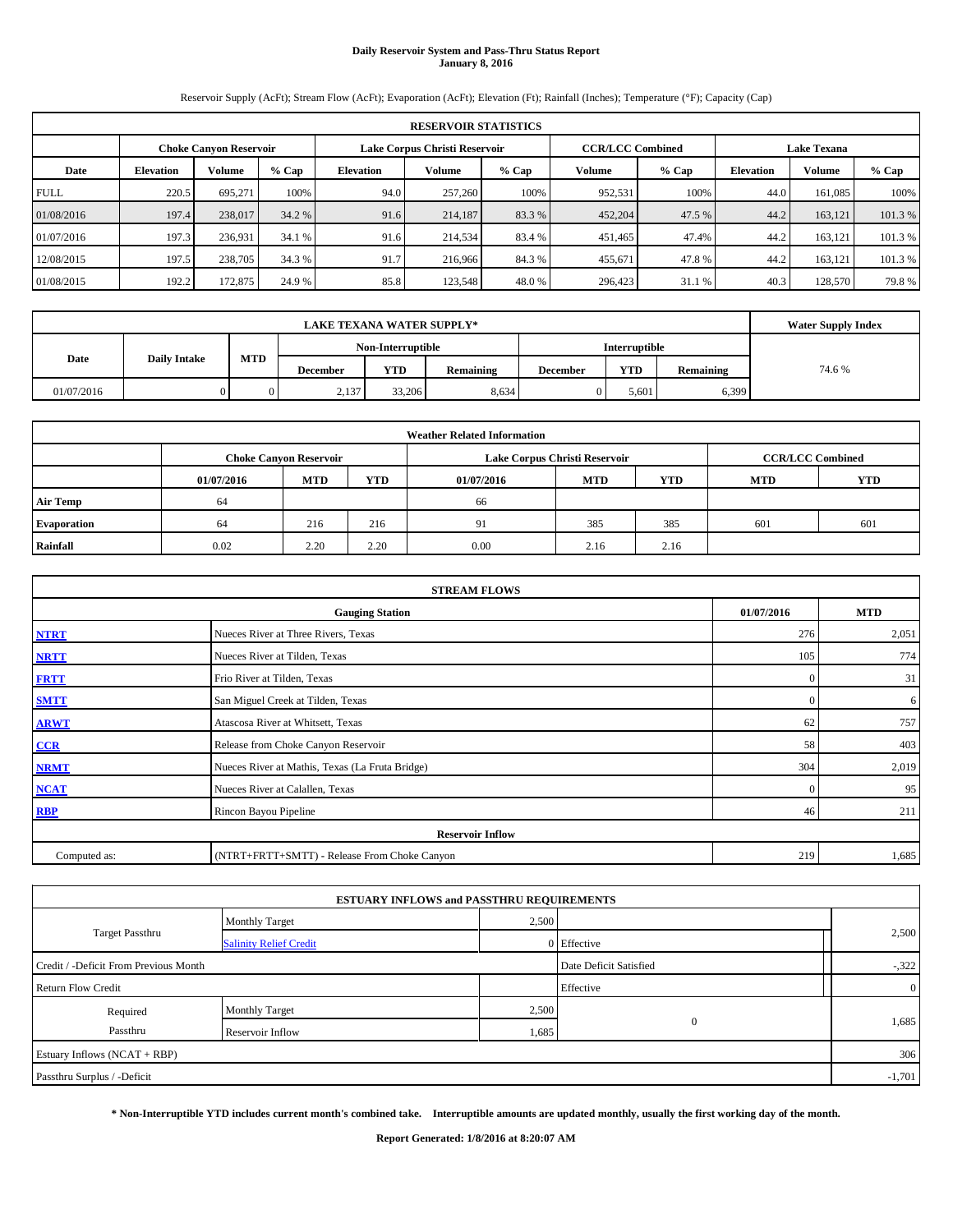# **Daily Reservoir System and Pass-Thru Status Report January 8, 2016**

Reservoir Supply (AcFt); Stream Flow (AcFt); Evaporation (AcFt); Elevation (Ft); Rainfall (Inches); Temperature (°F); Capacity (Cap)

|             | <b>RESERVOIR STATISTICS</b> |                               |         |                  |                               |         |                         |         |                  |                    |         |  |  |
|-------------|-----------------------------|-------------------------------|---------|------------------|-------------------------------|---------|-------------------------|---------|------------------|--------------------|---------|--|--|
|             |                             | <b>Choke Canyon Reservoir</b> |         |                  | Lake Corpus Christi Reservoir |         | <b>CCR/LCC Combined</b> |         |                  | <b>Lake Texana</b> |         |  |  |
| Date        | <b>Elevation</b>            | <b>Volume</b>                 | $%$ Cap | <b>Elevation</b> | Volume                        | $%$ Cap | <b>Volume</b>           | $%$ Cap | <b>Elevation</b> | Volume             | % Cap   |  |  |
| <b>FULL</b> | 220.5                       | 695.271                       | 100%    | 94.0             | 257,260                       | 100%    | 952,531                 | 100%    | 44.0             | 161.085            | 100%    |  |  |
| 01/08/2016  | 197.4                       | 238,017                       | 34.2 %  | 91.6             | 214,187                       | 83.3 %  | 452,204                 | 47.5 %  | 44.2             | 163.121            | 101.3%  |  |  |
| 01/07/2016  | 197.3                       | 236,931                       | 34.1 %  | 91.6             | 214,534                       | 83.4 %  | 451,465                 | 47.4%   | 44.2             | 163.121            | 101.3 % |  |  |
| 12/08/2015  | 197.5                       | 238,705                       | 34.3 %  | 91.7             | 216,966                       | 84.3%   | 455,671                 | 47.8%   | 44.2             | 163,121            | 101.3 % |  |  |
| 01/08/2015  | 192.2                       | 172,875                       | 24.9 %  | 85.8             | 123,548                       | 48.0%   | 296,423                 | 31.1 %  | 40.3             | 128,570            | 79.8%   |  |  |

|                             | <b>LAKE TEXANA WATER SUPPLY*</b> |            |          |                   |           |                 |                      |           |       |  |  |
|-----------------------------|----------------------------------|------------|----------|-------------------|-----------|-----------------|----------------------|-----------|-------|--|--|
|                             |                                  |            |          | Non-Interruptible |           |                 | <b>Interruptible</b> |           |       |  |  |
| Date<br><b>Daily Intake</b> |                                  | <b>MTD</b> | December | <b>YTD</b>        | Remaining | <b>December</b> | <b>YTD</b>           | Remaining | 74.6% |  |  |
| 01/07/2016                  |                                  |            | 2,137    | 33,206            | 8,634     |                 | 5.601                | 6,399     |       |  |  |

|                    |                                                                                           |            |      | <b>Weather Related Information</b> |            |            |            |            |  |  |  |  |  |
|--------------------|-------------------------------------------------------------------------------------------|------------|------|------------------------------------|------------|------------|------------|------------|--|--|--|--|--|
|                    | Lake Corpus Christi Reservoir<br><b>CCR/LCC Combined</b><br><b>Choke Canyon Reservoir</b> |            |      |                                    |            |            |            |            |  |  |  |  |  |
|                    | 01/07/2016                                                                                | <b>MTD</b> | YTD  | 01/07/2016                         | <b>MTD</b> | <b>YTD</b> | <b>MTD</b> | <b>YTD</b> |  |  |  |  |  |
| <b>Air Temp</b>    | 64                                                                                        |            |      | 66                                 |            |            |            |            |  |  |  |  |  |
| <b>Evaporation</b> | 64                                                                                        | 216        | 216  | 91                                 | 385        | 385        | 601        | 601        |  |  |  |  |  |
| Rainfall           | 0.02                                                                                      | 2.20       | 2.20 | 0.00                               | 2.16       | 2.16       |            |            |  |  |  |  |  |

|              | <b>STREAM FLOWS</b>                             |              |            |
|--------------|-------------------------------------------------|--------------|------------|
|              | <b>Gauging Station</b>                          | 01/07/2016   | <b>MTD</b> |
| <b>NTRT</b>  | Nueces River at Three Rivers, Texas             | 276          | 2,051      |
| <b>NRTT</b>  | Nueces River at Tilden, Texas                   | 105          | 774        |
| <b>FRTT</b>  | Frio River at Tilden, Texas                     | $\mathbf{0}$ | 31         |
| <b>SMTT</b>  | San Miguel Creek at Tilden, Texas               | $\mathbf{0}$ | 6          |
| <b>ARWT</b>  | Atascosa River at Whitsett, Texas               | 62           | 757        |
| $CCR$        | Release from Choke Canyon Reservoir             | 58           | 403        |
| <b>NRMT</b>  | Nueces River at Mathis, Texas (La Fruta Bridge) | 304          | 2,019      |
| <b>NCAT</b>  | Nueces River at Calallen, Texas                 | $\Omega$     | 95         |
| <b>RBP</b>   | Rincon Bayou Pipeline                           | 46           | 211        |
|              | <b>Reservoir Inflow</b>                         |              |            |
| Computed as: | (NTRT+FRTT+SMTT) - Release From Choke Canyon    | 219          | 1,685      |

|                                       |                               | <b>ESTUARY INFLOWS and PASSTHRU REQUIREMENTS</b> |                        |                |
|---------------------------------------|-------------------------------|--------------------------------------------------|------------------------|----------------|
|                                       | <b>Monthly Target</b>         | 2,500                                            |                        |                |
| <b>Target Passthru</b>                | <b>Salinity Relief Credit</b> |                                                  | 0 Effective            | 2,500          |
| Credit / -Deficit From Previous Month |                               |                                                  | Date Deficit Satisfied | $-322$         |
| <b>Return Flow Credit</b>             |                               |                                                  | Effective              | $\overline{0}$ |
| Required                              | Monthly Target                | 2,500                                            |                        |                |
| Passthru                              | Reservoir Inflow              | 1,685                                            | $\mathbf{0}$           | 1,685          |
| Estuary Inflows (NCAT + RBP)          |                               |                                                  |                        | 306            |
| Passthru Surplus / -Deficit           |                               |                                                  |                        | $-1,701$       |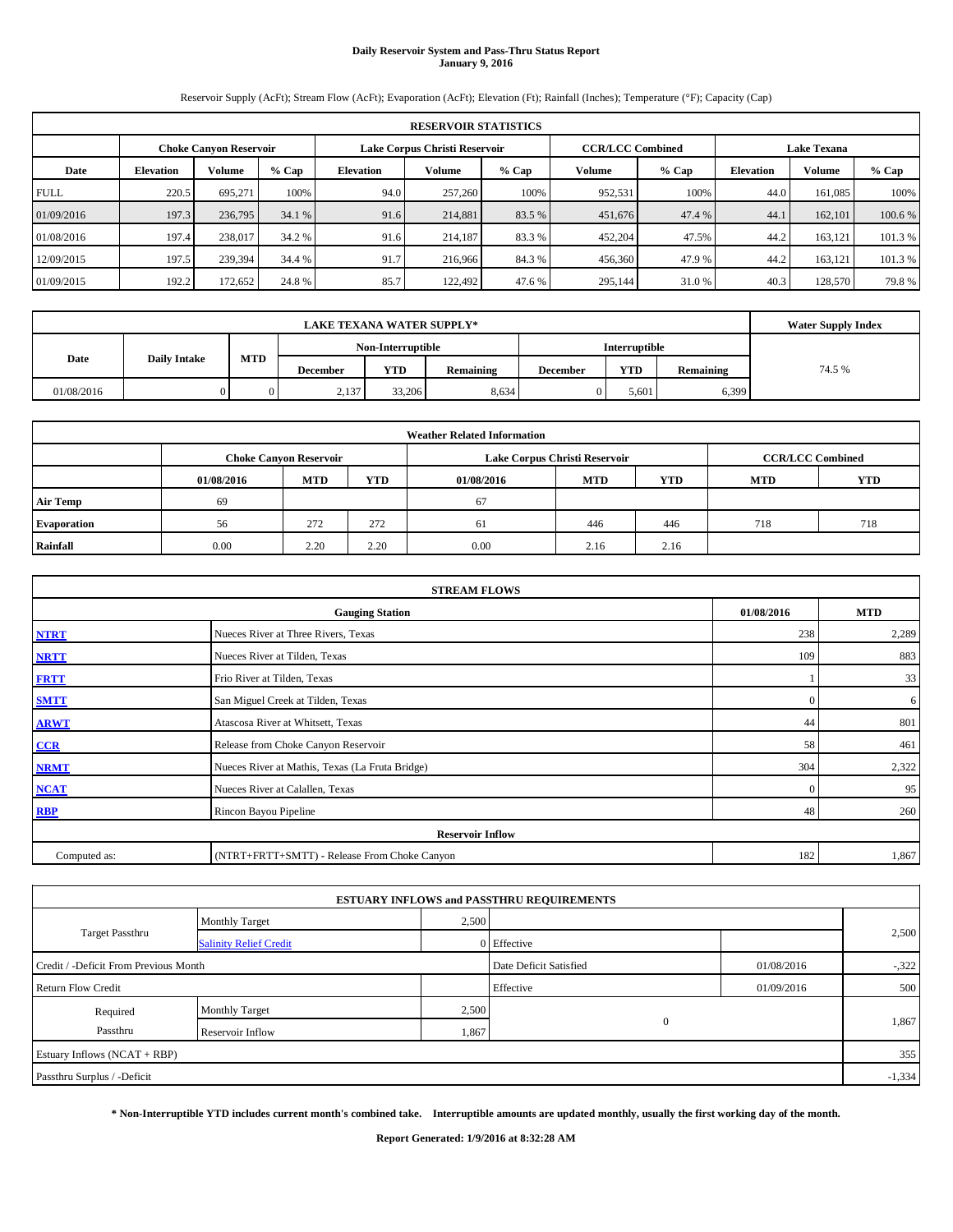# **Daily Reservoir System and Pass-Thru Status Report January 9, 2016**

Reservoir Supply (AcFt); Stream Flow (AcFt); Evaporation (AcFt); Elevation (Ft); Rainfall (Inches); Temperature (°F); Capacity (Cap)

|             | <b>RESERVOIR STATISTICS</b>                                                                                     |               |         |                  |               |         |         |         |                  |         |         |  |  |  |  |
|-------------|-----------------------------------------------------------------------------------------------------------------|---------------|---------|------------------|---------------|---------|---------|---------|------------------|---------|---------|--|--|--|--|
|             | <b>CCR/LCC Combined</b><br>Lake Corpus Christi Reservoir<br><b>Lake Texana</b><br><b>Choke Canyon Reservoir</b> |               |         |                  |               |         |         |         |                  |         |         |  |  |  |  |
| Date        | <b>Elevation</b>                                                                                                | <b>Volume</b> | $%$ Cap | <b>Elevation</b> | <b>Volume</b> | $%$ Cap | Volume  | $%$ Cap | <b>Elevation</b> | Volume  | % Cap   |  |  |  |  |
| <b>FULL</b> | 220.5                                                                                                           | 695.271       | 100%    | 94.0             | 257,260       | 100%    | 952,531 | 100%    | 44.0             | 161.085 | 100%    |  |  |  |  |
| 01/09/2016  | 197.3                                                                                                           | 236,795       | 34.1 %  | 91.6             | 214,881       | 83.5 %  | 451,676 | 47.4 %  | 44.1             | 162,101 | 100.6 % |  |  |  |  |
| 01/08/2016  | 197.4                                                                                                           | 238,017       | 34.2 %  | 91.6             | 214.187       | 83.3 %  | 452,204 | 47.5%   | 44.2             | 163.121 | 101.3%  |  |  |  |  |
| 12/09/2015  | 197.5                                                                                                           | 239,394       | 34.4 %  | 91.7             | 216,966       | 84.3 %  | 456,360 | 47.9 %  | 44.2             | 163,121 | 101.3 % |  |  |  |  |
| 01/09/2015  | 192.2                                                                                                           | 172,652       | 24.8%   | 85.7             | 122.492       | 47.6 %  | 295,144 | 31.0 %  | 40.3             | 128,570 | 79.8%   |  |  |  |  |

|            | <b>LAKE TEXANA WATER SUPPLY*</b> |            |          |                   |           |                 |                      |           |       |  |  |  |
|------------|----------------------------------|------------|----------|-------------------|-----------|-----------------|----------------------|-----------|-------|--|--|--|
|            |                                  |            |          | Non-Interruptible |           |                 | <b>Interruptible</b> |           |       |  |  |  |
| Date       | <b>Daily Intake</b>              | <b>MTD</b> | December | <b>YTD</b>        | Remaining | <b>December</b> | <b>YTD</b>           | Remaining | 74.5% |  |  |  |
| 01/08/2016 |                                  |            | 2,137    | 33,206            | 8,634     |                 | 5.601                | 6,399     |       |  |  |  |

|                 |                                                                                           |      |      | <b>Weather Related Information</b> |            |            |            |            |  |  |  |  |  |
|-----------------|-------------------------------------------------------------------------------------------|------|------|------------------------------------|------------|------------|------------|------------|--|--|--|--|--|
|                 | <b>CCR/LCC Combined</b><br>Lake Corpus Christi Reservoir<br><b>Choke Canyon Reservoir</b> |      |      |                                    |            |            |            |            |  |  |  |  |  |
|                 | 01/08/2016                                                                                | MTD  | YTD  | 01/08/2016                         | <b>MTD</b> | <b>YTD</b> | <b>MTD</b> | <b>YTD</b> |  |  |  |  |  |
| <b>Air Temp</b> | 69                                                                                        |      |      | 67                                 |            |            |            |            |  |  |  |  |  |
| Evaporation     | 56                                                                                        | 272  | 272  | 61                                 | 446        | 446        | 718        | 718        |  |  |  |  |  |
| Rainfall        | 0.00                                                                                      | 2.20 | 2.20 | 0.00                               | 2.16       | 2.16       |            |            |  |  |  |  |  |

|              | <b>STREAM FLOWS</b>                             |            |            |
|--------------|-------------------------------------------------|------------|------------|
|              | <b>Gauging Station</b>                          | 01/08/2016 | <b>MTD</b> |
| <b>NTRT</b>  | Nueces River at Three Rivers, Texas             | 238        | 2,289      |
| <b>NRTT</b>  | Nueces River at Tilden, Texas                   | 109        | 883        |
| <b>FRTT</b>  | Frio River at Tilden, Texas                     |            | 33         |
| <b>SMTT</b>  | San Miguel Creek at Tilden, Texas               | $\Omega$   | 6          |
| <b>ARWT</b>  | Atascosa River at Whitsett, Texas               | 44         | 801        |
| $CCR$        | Release from Choke Canyon Reservoir             | 58         | 461        |
| <b>NRMT</b>  | Nueces River at Mathis, Texas (La Fruta Bridge) | 304        | 2,322      |
| <b>NCAT</b>  | Nueces River at Calallen, Texas                 | $\Omega$   | 95         |
| <b>RBP</b>   | Rincon Bayou Pipeline                           | 48         | 260        |
|              | <b>Reservoir Inflow</b>                         |            |            |
| Computed as: | (NTRT+FRTT+SMTT) - Release From Choke Canyon    | 182        | 1,867      |

|                                       |                               |       | <b>ESTUARY INFLOWS and PASSTHRU REQUIREMENTS</b> |            |          |
|---------------------------------------|-------------------------------|-------|--------------------------------------------------|------------|----------|
|                                       | <b>Monthly Target</b>         | 2,500 |                                                  |            |          |
| <b>Target Passthru</b>                | <b>Salinity Relief Credit</b> |       | 0 Effective                                      |            | 2,500    |
| Credit / -Deficit From Previous Month |                               |       | Date Deficit Satisfied                           | 01/08/2016 | $-322$   |
| <b>Return Flow Credit</b>             |                               |       | Effective                                        | 01/09/2016 | 500      |
| Required                              | <b>Monthly Target</b>         | 2,500 |                                                  |            |          |
| Passthru                              | Reservoir Inflow              | 1,867 | $\mathbf{0}$                                     |            | 1,867    |
| Estuary Inflows (NCAT + RBP)          |                               |       |                                                  |            | 355      |
| Passthru Surplus / -Deficit           |                               |       |                                                  |            | $-1,334$ |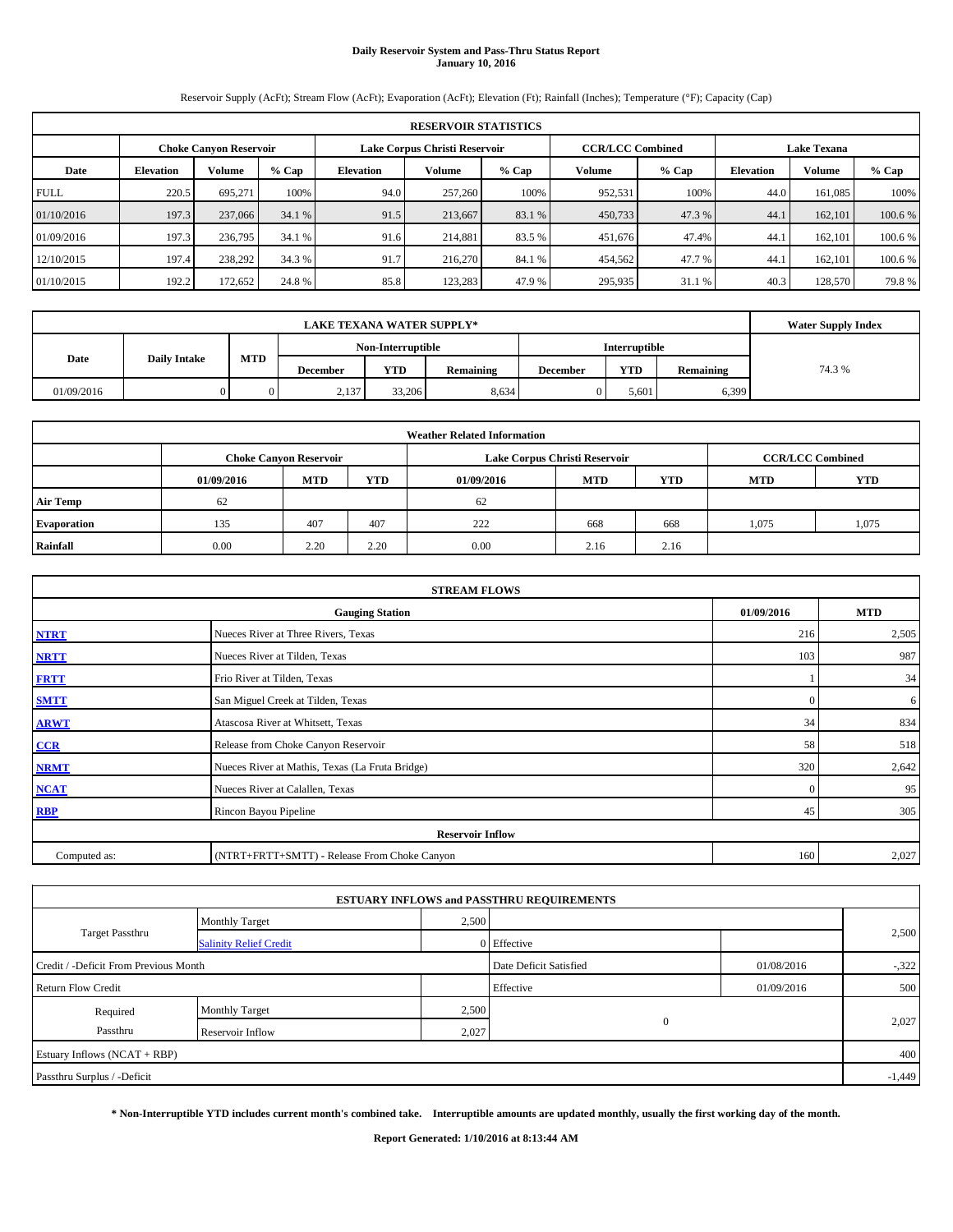# **Daily Reservoir System and Pass-Thru Status Report January 10, 2016**

Reservoir Supply (AcFt); Stream Flow (AcFt); Evaporation (AcFt); Elevation (Ft); Rainfall (Inches); Temperature (°F); Capacity (Cap)

|             | <b>RESERVOIR STATISTICS</b>                                                                                     |         |         |                  |               |         |         |         |                  |         |         |  |  |  |  |
|-------------|-----------------------------------------------------------------------------------------------------------------|---------|---------|------------------|---------------|---------|---------|---------|------------------|---------|---------|--|--|--|--|
|             | <b>CCR/LCC Combined</b><br>Lake Corpus Christi Reservoir<br><b>Lake Texana</b><br><b>Choke Canyon Reservoir</b> |         |         |                  |               |         |         |         |                  |         |         |  |  |  |  |
| Date        | <b>Elevation</b>                                                                                                | Volume  | $%$ Cap | <b>Elevation</b> | <b>Volume</b> | $%$ Cap | Volume  | $%$ Cap | <b>Elevation</b> | Volume  | % Cap   |  |  |  |  |
| <b>FULL</b> | 220.5                                                                                                           | 695.271 | 100%    | 94.0             | 257,260       | 100%    | 952,531 | 100%    | 44.0             | 161.085 | 100%    |  |  |  |  |
| 01/10/2016  | 197.3                                                                                                           | 237,066 | 34.1 %  | 91.5             | 213,667       | 83.1 %  | 450,733 | 47.3 %  | 44.1             | 162,101 | 100.6 % |  |  |  |  |
| 01/09/2016  | 197.3                                                                                                           | 236,795 | 34.1 %  | 91.6             | 214,881       | 83.5 %  | 451,676 | 47.4%   | 44.1             | 162,101 | 100.6 % |  |  |  |  |
| 12/10/2015  | 197.4                                                                                                           | 238,292 | 34.3 %  | 91.7             | 216,270       | 84.1 %  | 454,562 | 47.7 %  | 44.1             | 162,101 | 100.6 % |  |  |  |  |
| 01/10/2015  | 192.2                                                                                                           | 172,652 | 24.8%   | 85.8             | 123.283       | 47.9 %  | 295,935 | 31.1 %  | 40.3             | 128,570 | 79.8%   |  |  |  |  |

|            | <b>LAKE TEXANA WATER SUPPLY*</b> |                      |          |            |           |                 |            |           |       |  |  |
|------------|----------------------------------|----------------------|----------|------------|-----------|-----------------|------------|-----------|-------|--|--|
|            |                                  | <b>Interruptible</b> |          |            |           |                 |            |           |       |  |  |
| Date       | <b>Daily Intake</b>              | <b>MTD</b>           | December | <b>YTD</b> | Remaining | <b>December</b> | <b>YTD</b> | Remaining | 74.3% |  |  |
| 01/09/2016 |                                  |                      | 2,137    | 33,206     | 8,634     |                 | 5.601      | 6,399     |       |  |  |

|                 |                                                                                           |      |      | <b>Weather Related Information</b> |            |            |            |            |  |  |  |  |  |
|-----------------|-------------------------------------------------------------------------------------------|------|------|------------------------------------|------------|------------|------------|------------|--|--|--|--|--|
|                 | <b>CCR/LCC Combined</b><br>Lake Corpus Christi Reservoir<br><b>Choke Canyon Reservoir</b> |      |      |                                    |            |            |            |            |  |  |  |  |  |
|                 | 01/09/2016                                                                                | MTD  | YTD  | 01/09/2016                         | <b>MTD</b> | <b>YTD</b> | <b>MTD</b> | <b>YTD</b> |  |  |  |  |  |
| <b>Air Temp</b> | 62                                                                                        |      |      | 62                                 |            |            |            |            |  |  |  |  |  |
| Evaporation     | 135                                                                                       | 407  | 407  | 222                                | 668        | 668        | 1,075      | 1,075      |  |  |  |  |  |
| Rainfall        | 0.00                                                                                      | 2.20 | 2.20 | 0.00                               | 2.16       | 2.16       |            |            |  |  |  |  |  |

| <b>STREAM FLOWS</b> |                                                 |            |            |  |  |  |  |  |  |  |
|---------------------|-------------------------------------------------|------------|------------|--|--|--|--|--|--|--|
|                     | <b>Gauging Station</b>                          | 01/09/2016 | <b>MTD</b> |  |  |  |  |  |  |  |
| <b>NTRT</b>         | Nueces River at Three Rivers, Texas             | 216        | 2,505      |  |  |  |  |  |  |  |
| <b>NRTT</b>         | Nueces River at Tilden, Texas                   | 103        | 987        |  |  |  |  |  |  |  |
| <b>FRTT</b>         | Frio River at Tilden, Texas                     |            | 34         |  |  |  |  |  |  |  |
| <b>SMTT</b>         | San Miguel Creek at Tilden, Texas               | $\Omega$   | 6          |  |  |  |  |  |  |  |
| <b>ARWT</b>         | Atascosa River at Whitsett, Texas               | 34         | 834        |  |  |  |  |  |  |  |
| $CCR$               | Release from Choke Canyon Reservoir             | 58         | 518        |  |  |  |  |  |  |  |
| <b>NRMT</b>         | Nueces River at Mathis, Texas (La Fruta Bridge) | 320        | 2,642      |  |  |  |  |  |  |  |
| <b>NCAT</b>         | Nueces River at Calallen, Texas                 | $\Omega$   | 95         |  |  |  |  |  |  |  |
| <b>RBP</b>          | Rincon Bayou Pipeline                           | 45         | 305        |  |  |  |  |  |  |  |
|                     | <b>Reservoir Inflow</b>                         |            |            |  |  |  |  |  |  |  |
| Computed as:        | (NTRT+FRTT+SMTT) - Release From Choke Canyon    | 160        | 2,027      |  |  |  |  |  |  |  |

| <b>ESTUARY INFLOWS and PASSTHRU REQUIREMENTS</b> |                               |       |                        |            |        |  |  |  |  |  |  |
|--------------------------------------------------|-------------------------------|-------|------------------------|------------|--------|--|--|--|--|--|--|
|                                                  | <b>Monthly Target</b>         | 2,500 |                        |            |        |  |  |  |  |  |  |
| <b>Target Passthru</b>                           | <b>Salinity Relief Credit</b> |       | 0 Effective            |            | 2,500  |  |  |  |  |  |  |
| Credit / -Deficit From Previous Month            |                               |       | Date Deficit Satisfied | 01/08/2016 | $-322$ |  |  |  |  |  |  |
| <b>Return Flow Credit</b>                        |                               |       | Effective              | 01/09/2016 | 500    |  |  |  |  |  |  |
| Required                                         | <b>Monthly Target</b>         | 2,500 |                        |            |        |  |  |  |  |  |  |
| Passthru                                         | Reservoir Inflow              | 2,027 | $\mathbf{0}$           |            | 2,027  |  |  |  |  |  |  |
| Estuary Inflows (NCAT + RBP)                     |                               |       |                        |            | 400    |  |  |  |  |  |  |
| Passthru Surplus / -Deficit                      |                               |       |                        |            |        |  |  |  |  |  |  |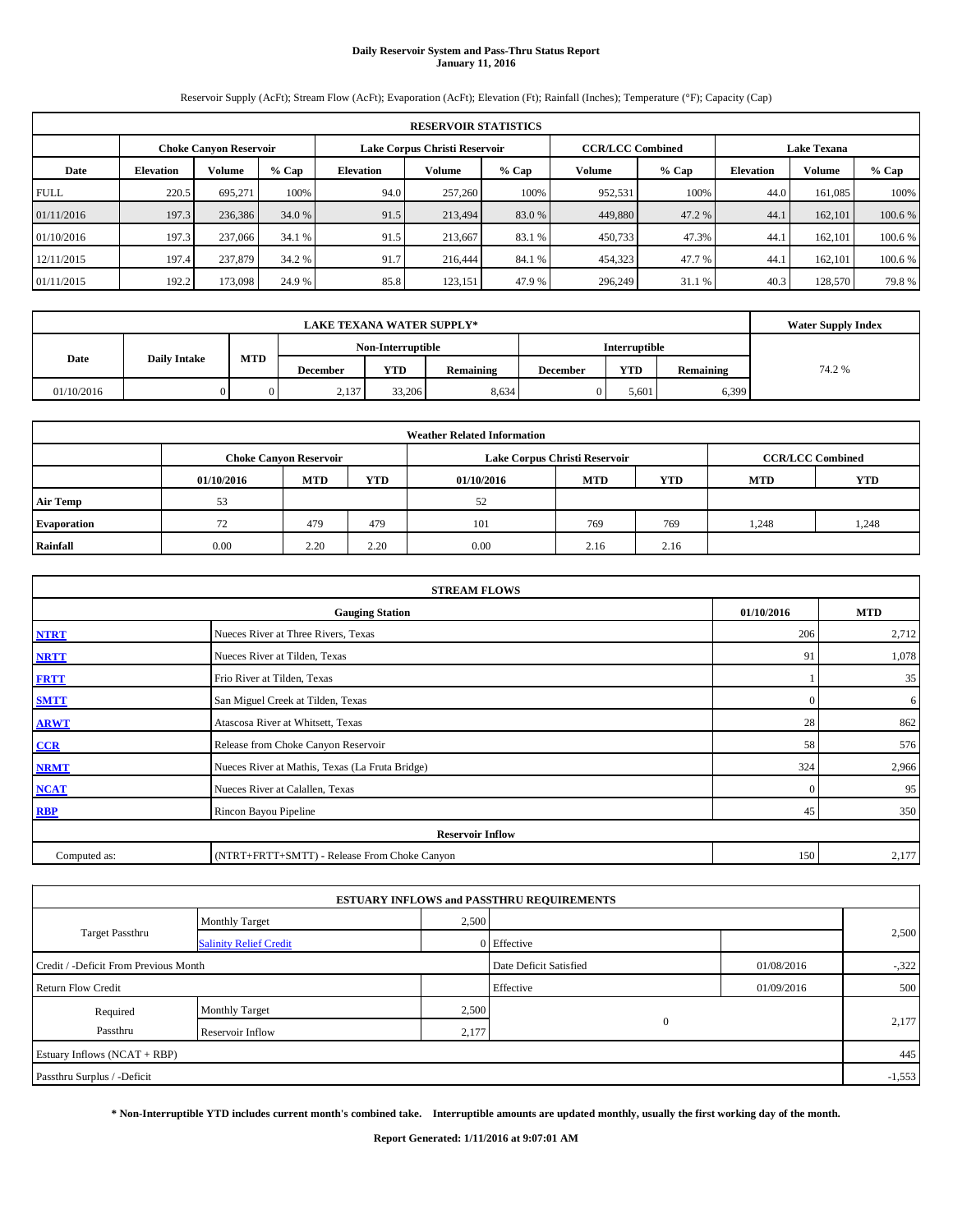# **Daily Reservoir System and Pass-Thru Status Report January 11, 2016**

Reservoir Supply (AcFt); Stream Flow (AcFt); Evaporation (AcFt); Elevation (Ft); Rainfall (Inches); Temperature (°F); Capacity (Cap)

|             | <b>RESERVOIR STATISTICS</b> |         |         |                  |                               |         |                         |         |                    |         |         |  |  |
|-------------|-----------------------------|---------|---------|------------------|-------------------------------|---------|-------------------------|---------|--------------------|---------|---------|--|--|
|             | Choke Canvon Reservoir      |         |         |                  | Lake Corpus Christi Reservoir |         | <b>CCR/LCC Combined</b> |         | <b>Lake Texana</b> |         |         |  |  |
| Date        | <b>Elevation</b>            | Volume  | $%$ Cap | <b>Elevation</b> | Volume                        | $%$ Cap | <b>Volume</b>           | $%$ Cap | <b>Elevation</b>   | Volume  | % Cap   |  |  |
| <b>FULL</b> | 220.5                       | 695.271 | 100%    | 94.0             | 257,260                       | 100%    | 952,531                 | 100%    | 44.0               | 161.085 | 100%    |  |  |
| 01/11/2016  | 197.3                       | 236,386 | 34.0 %  | 91.5             | 213,494                       | 83.0 %  | 449,880                 | 47.2 %  | 44.1               | 162,101 | 100.6 % |  |  |
| 01/10/2016  | 197.3                       | 237,066 | 34.1 %  | 91.5             | 213.667                       | 83.1 %  | 450,733                 | 47.3%   | 44.7               | 162,101 | 100.6 % |  |  |
| 12/11/2015  | 197.4                       | 237,879 | 34.2 %  | 91.7             | 216,444                       | 84.1 %  | 454,323                 | 47.7 %  | 44.1               | 162,101 | 100.6 % |  |  |
| 01/11/2015  | 192.2                       | 173,098 | 24.9 %  | 85.8             | 123.151                       | 47.9 %  | 296,249                 | 31.1 %  | 40.3               | 128,570 | 79.8%   |  |  |

|            | <b>Water Supply Index</b> |            |          |                   |           |                 |                      |           |       |
|------------|---------------------------|------------|----------|-------------------|-----------|-----------------|----------------------|-----------|-------|
|            |                           |            |          | Non-Interruptible |           |                 | <b>Interruptible</b> |           |       |
| Date       | <b>Daily Intake</b>       | <b>MTD</b> | December | <b>YTD</b>        | Remaining | <b>December</b> | <b>YTD</b>           | Remaining | 74.2% |
| 01/10/2016 |                           |            | 2,137    | 33,206            | 8,634     |                 | 5.601                | 6,399     |       |

| <b>Weather Related Information</b> |            |                               |      |            |                               |                         |            |            |  |  |  |
|------------------------------------|------------|-------------------------------|------|------------|-------------------------------|-------------------------|------------|------------|--|--|--|
|                                    |            | <b>Choke Canvon Reservoir</b> |      |            | Lake Corpus Christi Reservoir | <b>CCR/LCC Combined</b> |            |            |  |  |  |
|                                    | 01/10/2016 | MTD                           | YTD  | 01/10/2016 | <b>MTD</b>                    | <b>YTD</b>              | <b>MTD</b> | <b>YTD</b> |  |  |  |
| <b>Air Temp</b>                    | 53         |                               |      | 52         |                               |                         |            |            |  |  |  |
| Evaporation                        | 72         | 479                           | 479  | 101        | 769                           | 769                     | 1.248      | 1,248      |  |  |  |
| Rainfall                           | 0.00       | 2.20                          | 2.20 | 0.00       | 2.16                          | 2.16                    |            |            |  |  |  |

|              | <b>STREAM FLOWS</b>                             |              |            |  |  |  |  |  |  |  |  |
|--------------|-------------------------------------------------|--------------|------------|--|--|--|--|--|--|--|--|
|              | <b>Gauging Station</b>                          | 01/10/2016   | <b>MTD</b> |  |  |  |  |  |  |  |  |
| <b>NTRT</b>  | Nueces River at Three Rivers, Texas             | 206          | 2,712      |  |  |  |  |  |  |  |  |
| <b>NRTT</b>  | Nueces River at Tilden, Texas                   | 91           | 1,078      |  |  |  |  |  |  |  |  |
| <b>FRTT</b>  | Frio River at Tilden, Texas                     |              | 35         |  |  |  |  |  |  |  |  |
| <b>SMTT</b>  | San Miguel Creek at Tilden, Texas               | $\mathbf{0}$ | 6          |  |  |  |  |  |  |  |  |
| <b>ARWT</b>  | Atascosa River at Whitsett, Texas               | 28           | 862        |  |  |  |  |  |  |  |  |
| CCR          | Release from Choke Canyon Reservoir             | 58           | 576        |  |  |  |  |  |  |  |  |
| <b>NRMT</b>  | Nueces River at Mathis, Texas (La Fruta Bridge) | 324          | 2,966      |  |  |  |  |  |  |  |  |
| NCAT         | Nueces River at Calallen, Texas                 | $\Omega$     | 95         |  |  |  |  |  |  |  |  |
| <b>RBP</b>   | Rincon Bayou Pipeline                           | 45           | 350        |  |  |  |  |  |  |  |  |
|              | <b>Reservoir Inflow</b>                         |              |            |  |  |  |  |  |  |  |  |
| Computed as: | (NTRT+FRTT+SMTT) - Release From Choke Canyon    | 150          | 2,177      |  |  |  |  |  |  |  |  |

| <b>ESTUARY INFLOWS and PASSTHRU REQUIREMENTS</b> |                               |       |                                      |            |          |  |  |  |  |  |  |
|--------------------------------------------------|-------------------------------|-------|--------------------------------------|------------|----------|--|--|--|--|--|--|
|                                                  | <b>Monthly Target</b>         | 2,500 |                                      |            |          |  |  |  |  |  |  |
| Target Passthru                                  | <b>Salinity Relief Credit</b> |       | 0 Effective                          |            | 2,500    |  |  |  |  |  |  |
| Credit / -Deficit From Previous Month            |                               |       | Date Deficit Satisfied<br>01/08/2016 |            | $-322$   |  |  |  |  |  |  |
| <b>Return Flow Credit</b>                        |                               |       | Effective                            | 01/09/2016 | 500      |  |  |  |  |  |  |
| Required                                         | <b>Monthly Target</b>         | 2,500 |                                      |            |          |  |  |  |  |  |  |
| Passthru                                         | Reservoir Inflow              | 2,177 | $\mathbf{0}$                         |            | 2,177    |  |  |  |  |  |  |
| Estuary Inflows (NCAT + RBP)                     |                               |       |                                      |            | 445      |  |  |  |  |  |  |
| Passthru Surplus / -Deficit                      |                               |       |                                      |            | $-1,553$ |  |  |  |  |  |  |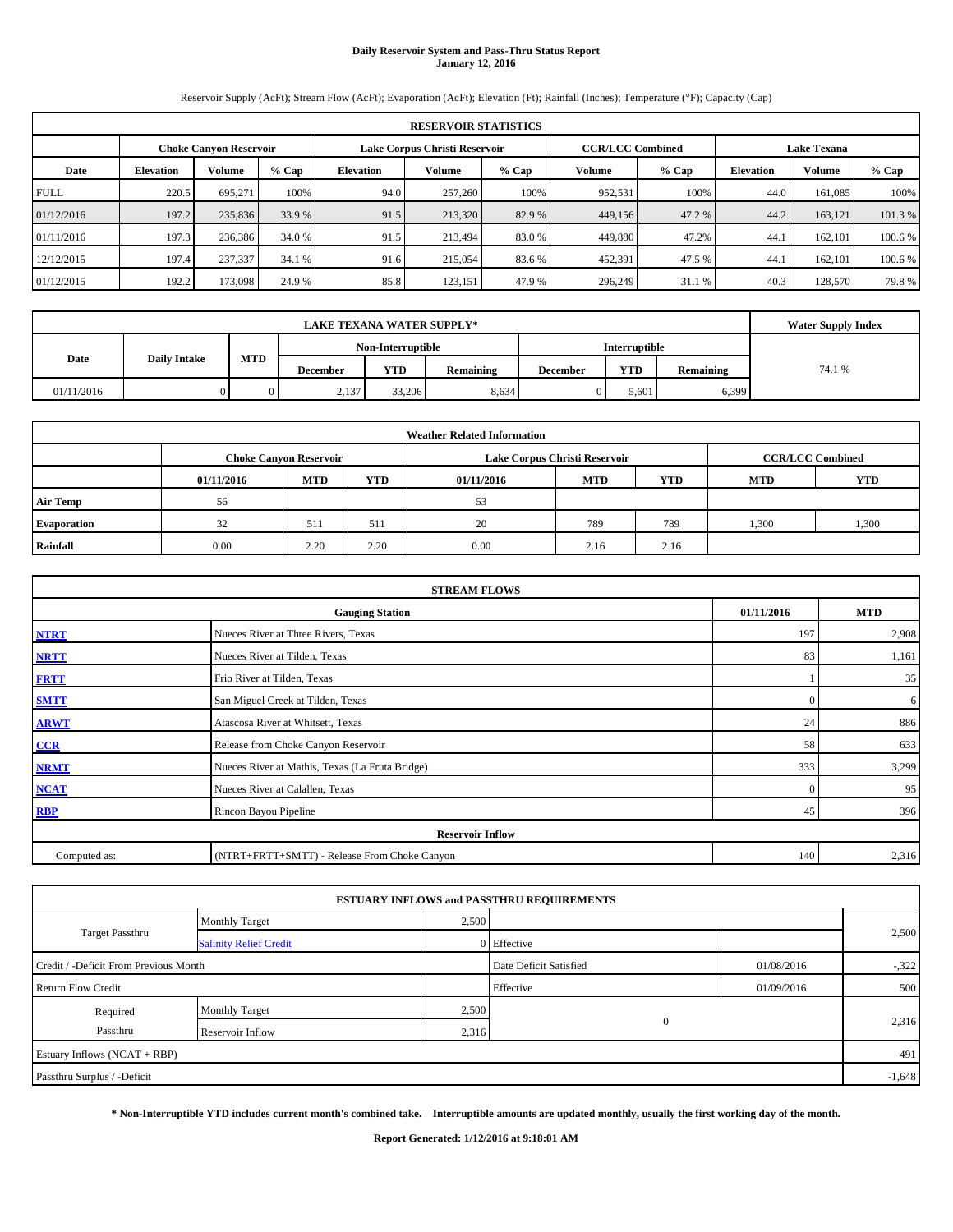# **Daily Reservoir System and Pass-Thru Status Report January 12, 2016**

Reservoir Supply (AcFt); Stream Flow (AcFt); Evaporation (AcFt); Elevation (Ft); Rainfall (Inches); Temperature (°F); Capacity (Cap)

|             | <b>RESERVOIR STATISTICS</b> |                               |         |                  |                               |         |                         |         |                    |               |         |  |  |
|-------------|-----------------------------|-------------------------------|---------|------------------|-------------------------------|---------|-------------------------|---------|--------------------|---------------|---------|--|--|
|             |                             | <b>Choke Canyon Reservoir</b> |         |                  | Lake Corpus Christi Reservoir |         | <b>CCR/LCC Combined</b> |         | <b>Lake Texana</b> |               |         |  |  |
| Date        | <b>Elevation</b>            | Volume                        | $%$ Cap | <b>Elevation</b> | Volume                        | $%$ Cap | Volume                  | $%$ Cap | <b>Elevation</b>   | <b>Volume</b> | $%$ Cap |  |  |
| <b>FULL</b> | 220.5                       | 695.271                       | 100%    | 94.0             | 257,260                       | 100%    | 952,531                 | 100%    | 44.0               | 161.085       | 100%    |  |  |
| 01/12/2016  | 197.2                       | 235,836                       | 33.9 %  | 91.5             | 213,320                       | 82.9 %  | 449,156                 | 47.2 %  | 44.2               | 163.121       | 101.3%  |  |  |
| 01/11/2016  | 197.3                       | 236,386                       | 34.0 %  | 91.5             | 213,494                       | 83.0 %  | 449,880                 | 47.2%   | 44.                | 162,101       | 100.6 % |  |  |
| 12/12/2015  | 197.4                       | 237,337                       | 34.1 %  | 91.6             | 215,054                       | 83.6 %  | 452,391                 | 47.5 %  | 44.                | 162.101       | 100.6 % |  |  |
| 01/12/2015  | 192.2                       | 173,098                       | 24.9 %  | 85.8             | 123,151                       | 47.9 %  | 296,249                 | 31.1 %  | 40.3               | 128,570       | 79.8%   |  |  |

|            | <b>Water Supply Index</b> |            |          |                   |           |                 |                      |           |       |
|------------|---------------------------|------------|----------|-------------------|-----------|-----------------|----------------------|-----------|-------|
|            |                           |            |          | Non-Interruptible |           |                 | <b>Interruptible</b> |           |       |
| Date       | <b>Daily Intake</b>       | <b>MTD</b> | December | <b>YTD</b>        | Remaining | <b>December</b> | <b>YTD</b>           | Remaining | 74.1% |
| 01/11/2016 |                           |            | 2,137    | 33,206            | 8,634     |                 | 5.601                | 6,399     |       |

| <b>Weather Related Information</b> |            |                               |      |            |                               |                         |            |            |  |  |  |
|------------------------------------|------------|-------------------------------|------|------------|-------------------------------|-------------------------|------------|------------|--|--|--|
|                                    |            | <b>Choke Canvon Reservoir</b> |      |            | Lake Corpus Christi Reservoir | <b>CCR/LCC Combined</b> |            |            |  |  |  |
|                                    | 01/11/2016 | MTD                           | YTD  | 01/11/2016 | <b>MTD</b>                    | <b>YTD</b>              | <b>MTD</b> | <b>YTD</b> |  |  |  |
| <b>Air Temp</b>                    | 56         |                               |      | 53         |                               |                         |            |            |  |  |  |
| Evaporation                        | 32         | 511                           | 511  | 20         | 789                           | 789                     | 1,300      | 1,300      |  |  |  |
| Rainfall                           | 0.00       | 2.20                          | 2.20 | 0.00       | 2.16                          | 2.16                    |            |            |  |  |  |

| <b>STREAM FLOWS</b> |                                                 |            |            |  |  |  |  |  |  |  |
|---------------------|-------------------------------------------------|------------|------------|--|--|--|--|--|--|--|
|                     | <b>Gauging Station</b>                          | 01/11/2016 | <b>MTD</b> |  |  |  |  |  |  |  |
| <b>NTRT</b>         | Nueces River at Three Rivers, Texas             | 197        | 2,908      |  |  |  |  |  |  |  |
| <b>NRTT</b>         | Nueces River at Tilden, Texas                   | 83         | 1,161      |  |  |  |  |  |  |  |
| <b>FRTT</b>         | Frio River at Tilden, Texas                     |            | 35         |  |  |  |  |  |  |  |
| <b>SMTT</b>         | San Miguel Creek at Tilden, Texas               | $\Omega$   | 6          |  |  |  |  |  |  |  |
| <b>ARWT</b>         | Atascosa River at Whitsett, Texas               | 24         | 886        |  |  |  |  |  |  |  |
| CCR                 | Release from Choke Canyon Reservoir             | 58         | 633        |  |  |  |  |  |  |  |
| <b>NRMT</b>         | Nueces River at Mathis, Texas (La Fruta Bridge) | 333        | 3,299      |  |  |  |  |  |  |  |
| <b>NCAT</b>         | Nueces River at Calallen, Texas                 | $\Omega$   | 95         |  |  |  |  |  |  |  |
| <b>RBP</b>          | Rincon Bayou Pipeline                           | 45         | 396        |  |  |  |  |  |  |  |
|                     | <b>Reservoir Inflow</b>                         |            |            |  |  |  |  |  |  |  |
| Computed as:        | (NTRT+FRTT+SMTT) - Release From Choke Canyon    | 140        | 2,316      |  |  |  |  |  |  |  |

| <b>ESTUARY INFLOWS and PASSTHRU REQUIREMENTS</b> |                               |       |                        |            |          |  |  |  |  |  |  |
|--------------------------------------------------|-------------------------------|-------|------------------------|------------|----------|--|--|--|--|--|--|
|                                                  | <b>Monthly Target</b>         | 2,500 |                        |            |          |  |  |  |  |  |  |
| <b>Target Passthru</b>                           | <b>Salinity Relief Credit</b> |       | 0 Effective            |            | 2,500    |  |  |  |  |  |  |
| Credit / -Deficit From Previous Month            |                               |       | Date Deficit Satisfied | 01/08/2016 | $-322$   |  |  |  |  |  |  |
| <b>Return Flow Credit</b>                        |                               |       | Effective              | 01/09/2016 | 500      |  |  |  |  |  |  |
| Required                                         | <b>Monthly Target</b>         | 2,500 |                        |            |          |  |  |  |  |  |  |
| Passthru                                         | Reservoir Inflow              | 2,316 | $\mathbf{0}$           |            | 2,316    |  |  |  |  |  |  |
| Estuary Inflows (NCAT + RBP)                     |                               |       |                        |            | 491      |  |  |  |  |  |  |
| Passthru Surplus / -Deficit                      |                               |       |                        |            | $-1,648$ |  |  |  |  |  |  |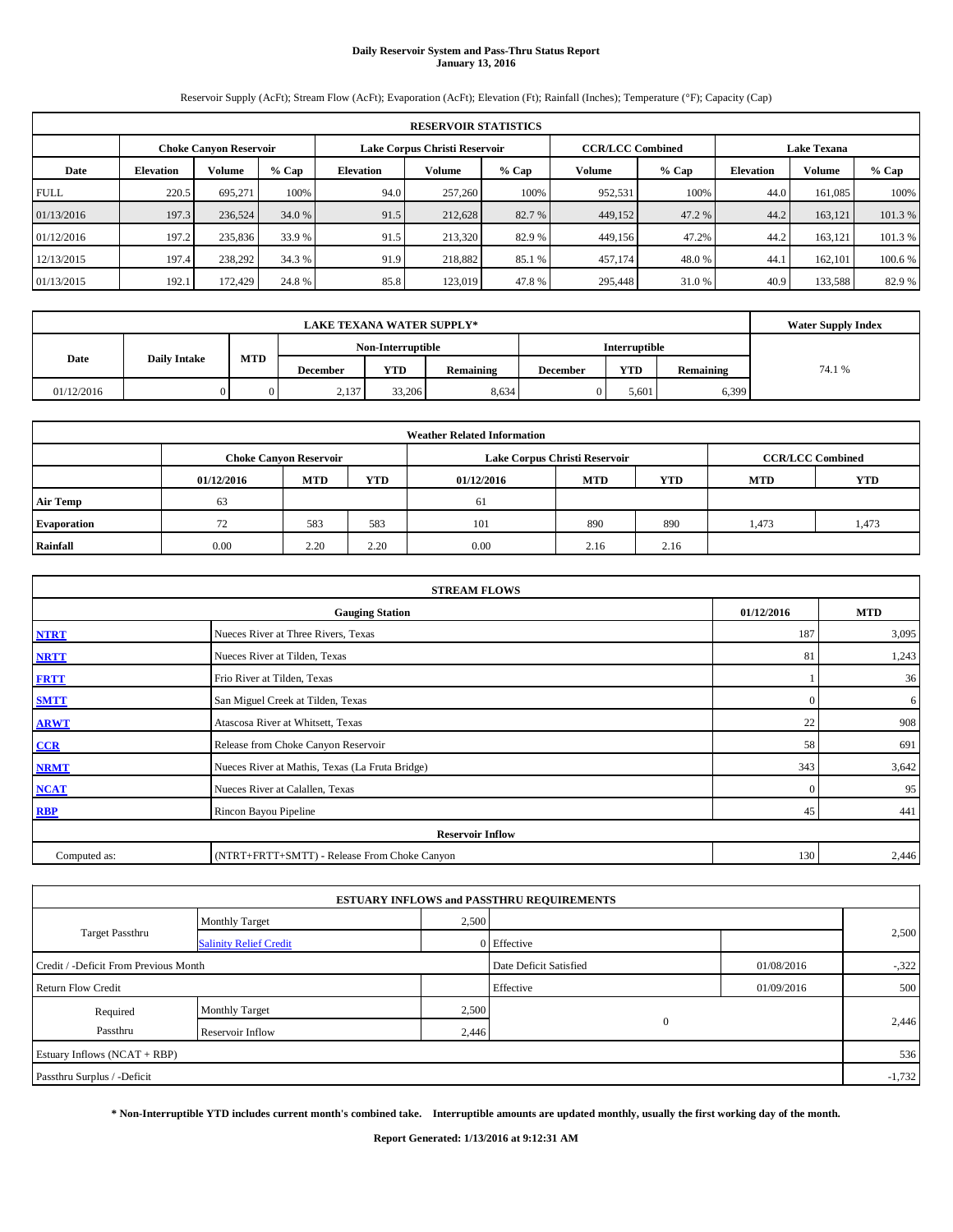# **Daily Reservoir System and Pass-Thru Status Report January 13, 2016**

Reservoir Supply (AcFt); Stream Flow (AcFt); Evaporation (AcFt); Elevation (Ft); Rainfall (Inches); Temperature (°F); Capacity (Cap)

| <b>RESERVOIR STATISTICS</b> |                                                                                                          |         |         |                  |         |         |         |         |                  |         |         |  |
|-----------------------------|----------------------------------------------------------------------------------------------------------|---------|---------|------------------|---------|---------|---------|---------|------------------|---------|---------|--|
|                             | Lake Corpus Christi Reservoir<br><b>CCR/LCC Combined</b><br><b>Lake Texana</b><br>Choke Canvon Reservoir |         |         |                  |         |         |         |         |                  |         |         |  |
| Date                        | <b>Elevation</b>                                                                                         | Volume  | $%$ Cap | <b>Elevation</b> | Volume  | $%$ Cap | Volume  | $%$ Cap | <b>Elevation</b> | Volume  | $%$ Cap |  |
| <b>FULL</b>                 | 220.5                                                                                                    | 695.271 | 100%    | 94.0             | 257,260 | 100%    | 952,531 | 100%    | 44.0             | 161.085 | 100%    |  |
| 01/13/2016                  | 197.3                                                                                                    | 236,524 | 34.0 %  | 91.5             | 212,628 | 82.7 %  | 449,152 | 47.2 %  | 44.2             | 163.121 | 101.3%  |  |
| 01/12/2016                  | 197.2                                                                                                    | 235,836 | 33.9 %  | 91.5             | 213,320 | 82.9 %  | 449.156 | 47.2%   | 44.2             | 163.121 | 101.3%  |  |
| 12/13/2015                  | 197.4                                                                                                    | 238,292 | 34.3 %  | 91.9             | 218,882 | 85.1 %  | 457,174 | 48.0%   | 44.              | 162,101 | 100.6%  |  |
| 01/13/2015                  | 192.1                                                                                                    | 172,429 | 24.8 %  | 85.8             | 123,019 | 47.8%   | 295,448 | 31.0 %  | 40.9             | 133,588 | 82.9 %  |  |

|            | <b>LAKE TEXANA WATER SUPPLY*</b> |            |          |                   |           |                 |               |           |       |  |  |  |
|------------|----------------------------------|------------|----------|-------------------|-----------|-----------------|---------------|-----------|-------|--|--|--|
|            | <b>Daily Intake</b>              |            |          | Non-Interruptible |           |                 | Interruptible |           |       |  |  |  |
| Date       |                                  | <b>MTD</b> | December | <b>YTD</b>        | Remaining | <b>December</b> | <b>YTD</b>    | Remaining | 74.1% |  |  |  |
| 01/12/2016 |                                  |            | 2,137    | 33,206            | 8,634     |                 | 5.601         | 6,399     |       |  |  |  |

|                 |            |                               |      | <b>Weather Related Information</b> |                               |                         |            |            |
|-----------------|------------|-------------------------------|------|------------------------------------|-------------------------------|-------------------------|------------|------------|
|                 |            | <b>Choke Canyon Reservoir</b> |      |                                    | Lake Corpus Christi Reservoir | <b>CCR/LCC Combined</b> |            |            |
|                 | 01/12/2016 | MTD                           | YTD  | 01/12/2016                         | <b>MTD</b>                    | <b>YTD</b>              | <b>MTD</b> | <b>YTD</b> |
| <b>Air Temp</b> | 63         |                               |      | 61                                 |                               |                         |            |            |
| Evaporation     | 72         | 583                           | 583  | 101                                | 890                           | 890                     | 1.473      | 1,473      |
| Rainfall        | 0.00       | 2.20                          | 2.20 | 0.00                               | 2.16                          | 2.16                    |            |            |

| <b>STREAM FLOWS</b>                                |                                                 |              |       |  |  |  |  |  |  |
|----------------------------------------------------|-------------------------------------------------|--------------|-------|--|--|--|--|--|--|
| <b>MTD</b><br><b>Gauging Station</b><br>01/12/2016 |                                                 |              |       |  |  |  |  |  |  |
| <b>NTRT</b>                                        | Nueces River at Three Rivers, Texas             | 187          | 3,095 |  |  |  |  |  |  |
| <b>NRTT</b>                                        | Nueces River at Tilden, Texas                   | 81           | 1,243 |  |  |  |  |  |  |
| <b>FRTT</b>                                        | Frio River at Tilden, Texas                     |              | 36    |  |  |  |  |  |  |
| <b>SMTT</b>                                        | San Miguel Creek at Tilden, Texas               | $\mathbf{0}$ | 6     |  |  |  |  |  |  |
| <b>ARWT</b>                                        | Atascosa River at Whitsett, Texas               | 22           | 908   |  |  |  |  |  |  |
| CCR                                                | Release from Choke Canyon Reservoir             | 58           | 691   |  |  |  |  |  |  |
| <b>NRMT</b>                                        | Nueces River at Mathis, Texas (La Fruta Bridge) | 343          | 3,642 |  |  |  |  |  |  |
| <b>NCAT</b>                                        | Nueces River at Calallen, Texas                 | $\Omega$     | 95    |  |  |  |  |  |  |
| <b>RBP</b>                                         | Rincon Bayou Pipeline                           | 45           | 441   |  |  |  |  |  |  |
|                                                    | <b>Reservoir Inflow</b>                         |              |       |  |  |  |  |  |  |
| Computed as:                                       | (NTRT+FRTT+SMTT) - Release From Choke Canyon    | 130          | 2,446 |  |  |  |  |  |  |

|                                       |                               |       | <b>ESTUARY INFLOWS and PASSTHRU REQUIREMENTS</b> |            |        |  |  |
|---------------------------------------|-------------------------------|-------|--------------------------------------------------|------------|--------|--|--|
|                                       | <b>Monthly Target</b>         | 2,500 |                                                  |            |        |  |  |
| Target Passthru                       | <b>Salinity Relief Credit</b> |       | 0 Effective                                      |            | 2,500  |  |  |
| Credit / -Deficit From Previous Month |                               |       | Date Deficit Satisfied                           | 01/08/2016 | $-322$ |  |  |
| <b>Return Flow Credit</b>             |                               |       | Effective                                        | 01/09/2016 | 500    |  |  |
| Required                              | Monthly Target                | 2,500 |                                                  |            |        |  |  |
| Passthru                              | Reservoir Inflow              | 2,446 | $\mathbf{0}$                                     |            | 2,446  |  |  |
| Estuary Inflows (NCAT + RBP)          |                               |       |                                                  |            |        |  |  |
| Passthru Surplus / -Deficit           |                               |       |                                                  |            |        |  |  |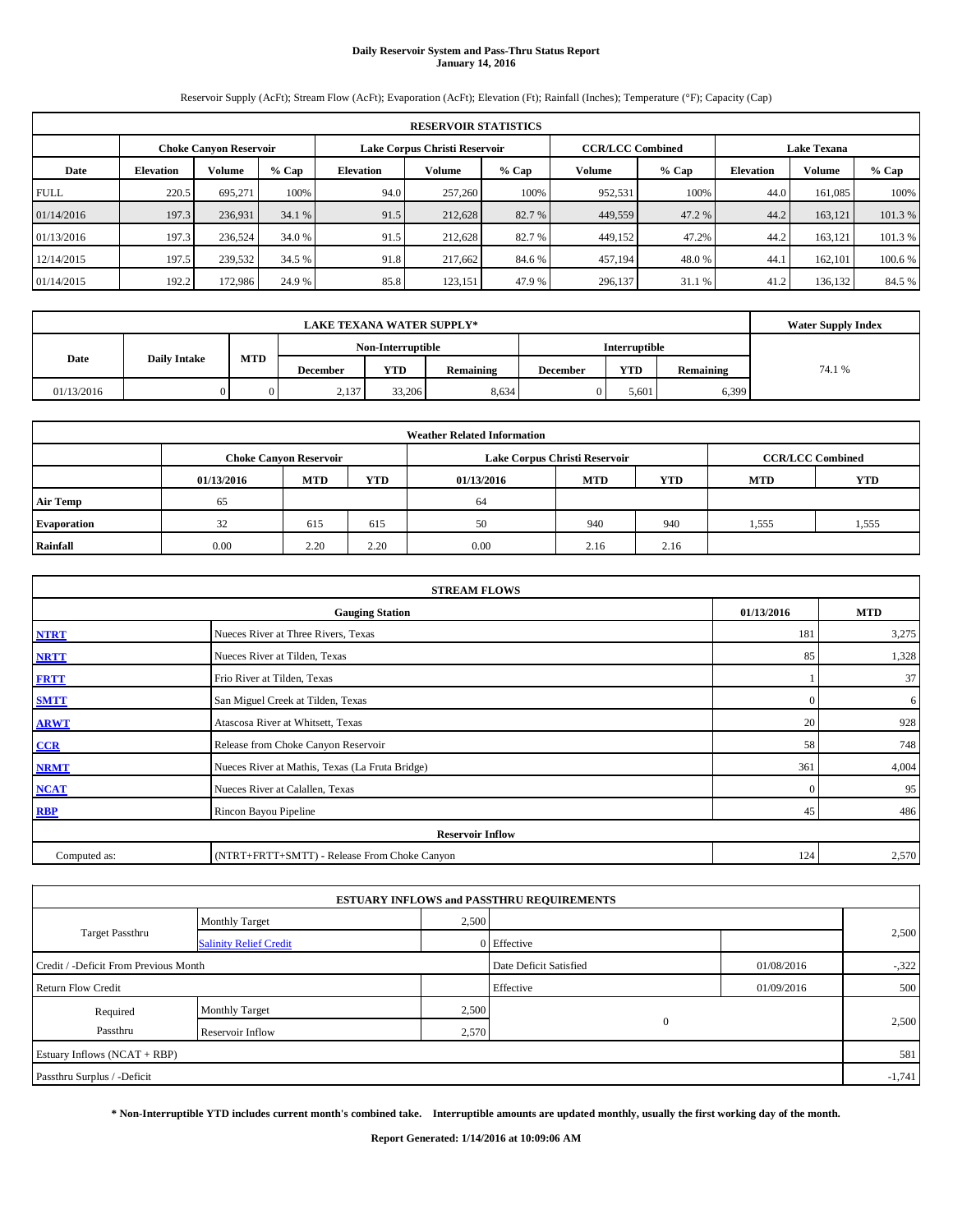# **Daily Reservoir System and Pass-Thru Status Report January 14, 2016**

Reservoir Supply (AcFt); Stream Flow (AcFt); Evaporation (AcFt); Elevation (Ft); Rainfall (Inches); Temperature (°F); Capacity (Cap)

|             | <b>RESERVOIR STATISTICS</b>                                                                                     |         |         |                  |         |         |         |         |                  |               |         |  |
|-------------|-----------------------------------------------------------------------------------------------------------------|---------|---------|------------------|---------|---------|---------|---------|------------------|---------------|---------|--|
|             | <b>CCR/LCC Combined</b><br>Lake Corpus Christi Reservoir<br><b>Choke Canyon Reservoir</b><br><b>Lake Texana</b> |         |         |                  |         |         |         |         |                  |               |         |  |
| Date        | <b>Elevation</b>                                                                                                | Volume  | $%$ Cap | <b>Elevation</b> | Volume  | $%$ Cap | Volume  | $%$ Cap | <b>Elevation</b> | <b>Volume</b> | $%$ Cap |  |
| <b>FULL</b> | 220.5                                                                                                           | 695.271 | 100%    | 94.0             | 257,260 | 100%    | 952,531 | 100%    | 44.0             | 161.085       | 100%    |  |
| 01/14/2016  | 197.3                                                                                                           | 236,931 | 34.1 %  | 91.5             | 212,628 | 82.7 %  | 449,559 | 47.2 %  | 44.2             | 163.121       | 101.3%  |  |
| 01/13/2016  | 197.3                                                                                                           | 236,524 | 34.0 %  | 91.5             | 212,628 | 82.7 %  | 449,152 | 47.2%   | 44.2             | 163.121       | 101.3 % |  |
| 12/14/2015  | 197.5                                                                                                           | 239,532 | 34.5 %  | 91.8             | 217,662 | 84.6 %  | 457,194 | 48.0%   | 44.              | 162,101       | 100.6 % |  |
| 01/14/2015  | 192.2                                                                                                           | 172,986 | 24.9 %  | 85.8             | 123,151 | 47.9 %  | 296,137 | 31.1 %  | 41.2             | 136,132       | 84.5 %  |  |

|            | <b>Water Supply Index</b> |            |          |                   |           |                 |                      |           |       |
|------------|---------------------------|------------|----------|-------------------|-----------|-----------------|----------------------|-----------|-------|
|            |                           |            |          | Non-Interruptible |           |                 | <b>Interruptible</b> |           |       |
| Date       | <b>Daily Intake</b>       | <b>MTD</b> | December | <b>YTD</b>        | Remaining | <b>December</b> | <b>YTD</b>           | Remaining | 74.1% |
| 01/13/2016 |                           |            | 2,137    | 33,206            | 8,634     |                 | 5.601                | 6,399     |       |

|                 |            |                               |      | <b>Weather Related Information</b> |                               |                         |            |            |
|-----------------|------------|-------------------------------|------|------------------------------------|-------------------------------|-------------------------|------------|------------|
|                 |            | <b>Choke Canyon Reservoir</b> |      |                                    | Lake Corpus Christi Reservoir | <b>CCR/LCC Combined</b> |            |            |
|                 | 01/13/2016 | MTD                           | YTD  | 01/13/2016                         | <b>MTD</b>                    | <b>YTD</b>              | <b>MTD</b> | <b>YTD</b> |
| <b>Air Temp</b> | 65         |                               |      | 64                                 |                               |                         |            |            |
| Evaporation     | 32         | 615                           | 615  | 50                                 | 940                           | 940                     | 1,555      | 1,555      |
| Rainfall        | 0.00       | 2.20                          | 2.20 | 0.00                               | 2.16                          | 2.16                    |            |            |

| <b>STREAM FLOWS</b>                                |                                                 |          |       |  |  |  |  |  |  |
|----------------------------------------------------|-------------------------------------------------|----------|-------|--|--|--|--|--|--|
| 01/13/2016<br><b>MTD</b><br><b>Gauging Station</b> |                                                 |          |       |  |  |  |  |  |  |
| <b>NTRT</b>                                        | Nueces River at Three Rivers, Texas             | 181      | 3,275 |  |  |  |  |  |  |
| <b>NRTT</b>                                        | Nueces River at Tilden, Texas                   | 85       | 1,328 |  |  |  |  |  |  |
| <b>FRTT</b>                                        | Frio River at Tilden, Texas                     |          | 37    |  |  |  |  |  |  |
| <b>SMTT</b>                                        | San Miguel Creek at Tilden, Texas               | $\Omega$ | 6     |  |  |  |  |  |  |
| <b>ARWT</b>                                        | Atascosa River at Whitsett, Texas               | 20       | 928   |  |  |  |  |  |  |
| $CCR$                                              | Release from Choke Canyon Reservoir             | 58       | 748   |  |  |  |  |  |  |
| <b>NRMT</b>                                        | Nueces River at Mathis, Texas (La Fruta Bridge) | 361      | 4,004 |  |  |  |  |  |  |
| <b>NCAT</b>                                        | Nueces River at Calallen, Texas                 | $\Omega$ | 95    |  |  |  |  |  |  |
| <b>RBP</b>                                         | Rincon Bayou Pipeline                           | 45       | 486   |  |  |  |  |  |  |
|                                                    | <b>Reservoir Inflow</b>                         |          |       |  |  |  |  |  |  |
| Computed as:                                       | (NTRT+FRTT+SMTT) - Release From Choke Canyon    | 124      | 2,570 |  |  |  |  |  |  |

|                                       |                               |       | <b>ESTUARY INFLOWS and PASSTHRU REQUIREMENTS</b> |            |        |  |  |
|---------------------------------------|-------------------------------|-------|--------------------------------------------------|------------|--------|--|--|
|                                       | <b>Monthly Target</b>         | 2,500 |                                                  |            |        |  |  |
| <b>Target Passthru</b>                | <b>Salinity Relief Credit</b> |       | 0 Effective                                      |            | 2,500  |  |  |
| Credit / -Deficit From Previous Month |                               |       | Date Deficit Satisfied                           | 01/08/2016 | $-322$ |  |  |
| <b>Return Flow Credit</b>             |                               |       | Effective                                        | 01/09/2016 | 500    |  |  |
| Required                              | <b>Monthly Target</b>         | 2,500 |                                                  |            |        |  |  |
| Passthru                              | Reservoir Inflow              | 2,570 | $\mathbf{0}$                                     |            | 2,500  |  |  |
| Estuary Inflows (NCAT + RBP)          |                               |       |                                                  |            |        |  |  |
| Passthru Surplus / -Deficit           |                               |       |                                                  |            |        |  |  |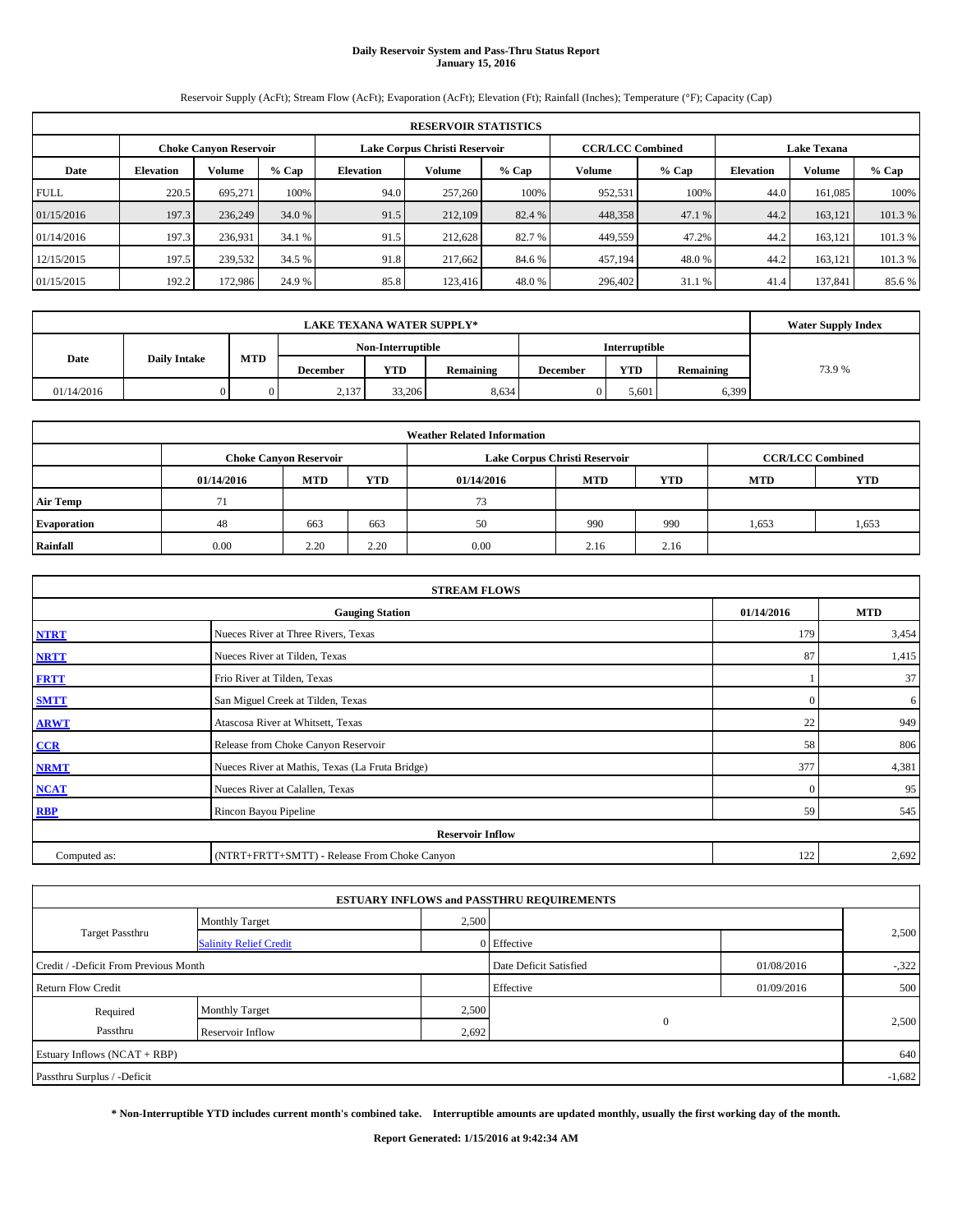# **Daily Reservoir System and Pass-Thru Status Report January 15, 2016**

Reservoir Supply (AcFt); Stream Flow (AcFt); Evaporation (AcFt); Elevation (Ft); Rainfall (Inches); Temperature (°F); Capacity (Cap)

|             | <b>RESERVOIR STATISTICS</b>                                                                              |         |         |                  |         |         |               |         |                  |         |         |  |
|-------------|----------------------------------------------------------------------------------------------------------|---------|---------|------------------|---------|---------|---------------|---------|------------------|---------|---------|--|
|             | <b>CCR/LCC Combined</b><br>Lake Corpus Christi Reservoir<br><b>Lake Texana</b><br>Choke Canvon Reservoir |         |         |                  |         |         |               |         |                  |         |         |  |
| Date        | <b>Elevation</b>                                                                                         | Volume  | $%$ Cap | <b>Elevation</b> | Volume  | $%$ Cap | <b>Volume</b> | $%$ Cap | <b>Elevation</b> | Volume  | % Cap   |  |
| <b>FULL</b> | 220.5                                                                                                    | 695.271 | 100%    | 94.0             | 257,260 | 100%    | 952,531       | 100%    | 44.0             | 161.085 | 100%    |  |
| 01/15/2016  | 197.3                                                                                                    | 236,249 | 34.0 %  | 91.5             | 212,109 | 82.4 %  | 448,358       | 47.1 %  | 44.2             | 163.121 | 101.3%  |  |
| 01/14/2016  | 197.3                                                                                                    | 236,931 | 34.1 %  | 91.5             | 212,628 | 82.7 %  | 449,559       | 47.2%   | 44.2             | 163.121 | 101.3 % |  |
| 12/15/2015  | 197.5                                                                                                    | 239,532 | 34.5 %  | 91.8             | 217,662 | 84.6 %  | 457,194       | 48.0%   | 44.2             | 163,121 | 101.3 % |  |
| 01/15/2015  | 192.2                                                                                                    | 172,986 | 24.9 %  | 85.8             | 123,416 | 48.0%   | 296,402       | 31.1 %  | 41.4             | 137.841 | 85.6%   |  |

|            | <b>Water Supply Index</b> |            |          |                   |           |                      |            |           |        |
|------------|---------------------------|------------|----------|-------------------|-----------|----------------------|------------|-----------|--------|
|            |                           |            |          | Non-Interruptible |           | <b>Interruptible</b> |            |           |        |
| Date       | <b>Daily Intake</b>       | <b>MTD</b> | December | <b>YTD</b>        | Remaining | <b>December</b>      | <b>YTD</b> | Remaining | 73.9 % |
| 01/14/2016 |                           |            | 2,137    | 33,206            | 8,634     |                      | 5.601      | 6,399     |        |

|                 |            |                               |      | <b>Weather Related Information</b> |                               |                         |            |            |
|-----------------|------------|-------------------------------|------|------------------------------------|-------------------------------|-------------------------|------------|------------|
|                 |            | <b>Choke Canvon Reservoir</b> |      |                                    | Lake Corpus Christi Reservoir | <b>CCR/LCC Combined</b> |            |            |
|                 | 01/14/2016 | MTD                           | YTD  | 01/14/2016                         | <b>MTD</b>                    | <b>YTD</b>              | <b>MTD</b> | <b>YTD</b> |
| <b>Air Temp</b> | 71         |                               |      | 73                                 |                               |                         |            |            |
| Evaporation     | 48         | 663                           | 663  | 50                                 | 990                           | 990                     | 1,653      | 1,653      |
| Rainfall        | 0.00       | 2.20                          | 2.20 | 0.00                               | 2.16                          | 2.16                    |            |            |

| <b>STREAM FLOWS</b> |                                                 |            |       |  |  |  |  |  |  |
|---------------------|-------------------------------------------------|------------|-------|--|--|--|--|--|--|
|                     | 01/14/2016                                      | <b>MTD</b> |       |  |  |  |  |  |  |
| <b>NTRT</b>         | Nueces River at Three Rivers, Texas             |            |       |  |  |  |  |  |  |
| <b>NRTT</b>         | Nueces River at Tilden, Texas                   | 87         | 1,415 |  |  |  |  |  |  |
| <b>FRTT</b>         | Frio River at Tilden, Texas                     |            | 37    |  |  |  |  |  |  |
| <b>SMTT</b>         | San Miguel Creek at Tilden, Texas               | $\Omega$   | 6     |  |  |  |  |  |  |
| <b>ARWT</b>         | Atascosa River at Whitsett, Texas               | 22         | 949   |  |  |  |  |  |  |
| CCR                 | Release from Choke Canyon Reservoir             | 58         | 806   |  |  |  |  |  |  |
| <b>NRMT</b>         | Nueces River at Mathis, Texas (La Fruta Bridge) | 377        | 4,381 |  |  |  |  |  |  |
| <b>NCAT</b>         | Nueces River at Calallen, Texas                 | $\Omega$   | 95    |  |  |  |  |  |  |
| <b>RBP</b>          | Rincon Bayou Pipeline                           | 59         | 545   |  |  |  |  |  |  |
|                     | <b>Reservoir Inflow</b>                         |            |       |  |  |  |  |  |  |
| Computed as:        | (NTRT+FRTT+SMTT) - Release From Choke Canyon    | 122        | 2,692 |  |  |  |  |  |  |

|                                       |                               |       | <b>ESTUARY INFLOWS and PASSTHRU REQUIREMENTS</b> |            |          |  |
|---------------------------------------|-------------------------------|-------|--------------------------------------------------|------------|----------|--|
|                                       | <b>Monthly Target</b>         | 2,500 |                                                  |            |          |  |
| <b>Target Passthru</b>                | <b>Salinity Relief Credit</b> |       | 0 Effective                                      |            | 2,500    |  |
| Credit / -Deficit From Previous Month |                               |       | Date Deficit Satisfied                           | 01/08/2016 | $-322$   |  |
| <b>Return Flow Credit</b>             |                               |       | Effective                                        | 01/09/2016 | 500      |  |
| Required                              | <b>Monthly Target</b>         | 2,500 |                                                  |            |          |  |
| Passthru                              | Reservoir Inflow              | 2,692 | $\mathbf{0}$                                     |            | 2,500    |  |
| Estuary Inflows (NCAT + RBP)          |                               |       |                                                  |            | 640      |  |
| Passthru Surplus / -Deficit           |                               |       |                                                  |            | $-1,682$ |  |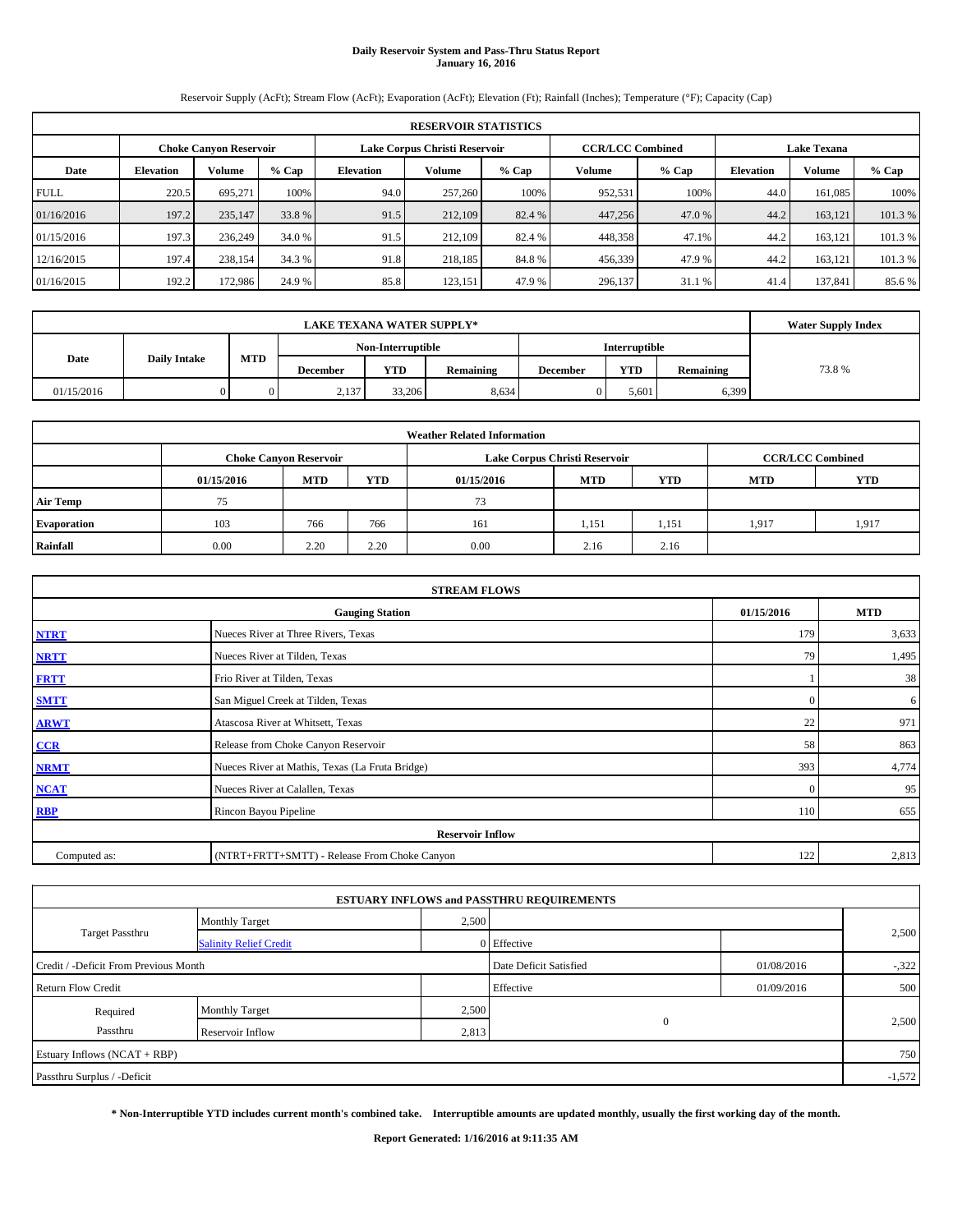# **Daily Reservoir System and Pass-Thru Status Report January 16, 2016**

Reservoir Supply (AcFt); Stream Flow (AcFt); Evaporation (AcFt); Elevation (Ft); Rainfall (Inches); Temperature (°F); Capacity (Cap)

|             | <b>RESERVOIR STATISTICS</b>                                    |         |         |                  |         |         |                                               |         |                  |               |         |
|-------------|----------------------------------------------------------------|---------|---------|------------------|---------|---------|-----------------------------------------------|---------|------------------|---------------|---------|
|             | Lake Corpus Christi Reservoir<br><b>Choke Canyon Reservoir</b> |         |         |                  |         |         | <b>CCR/LCC Combined</b><br><b>Lake Texana</b> |         |                  |               |         |
| Date        | <b>Elevation</b>                                               | Volume  | $%$ Cap | <b>Elevation</b> | Volume  | $%$ Cap | Volume                                        | $%$ Cap | <b>Elevation</b> | <b>Volume</b> | $%$ Cap |
| <b>FULL</b> | 220.5                                                          | 695.271 | 100%    | 94.0             | 257,260 | 100%    | 952,531                                       | 100%    | 44.0             | 161.085       | 100%    |
| 01/16/2016  | 197.2                                                          | 235,147 | 33.8 %  | 91.5             | 212,109 | 82.4 %  | 447,256                                       | 47.0 %  | 44.2             | 163.121       | 101.3%  |
| 01/15/2016  | 197.3                                                          | 236,249 | 34.0 %  | 91.5             | 212,109 | 82.4 %  | 448,358                                       | 47.1%   | 44.2             | 163.121       | 101.3 % |
| 12/16/2015  | 197.4                                                          | 238,154 | 34.3 %  | 91.8             | 218,185 | 84.8%   | 456,339                                       | 47.9%   | 44.2             | 163.121       | 101.3 % |
| 01/16/2015  | 192.2                                                          | 172,986 | 24.9 %  | 85.8             | 123,151 | 47.9 %  | 296,137                                       | 31.1 %  | 41.4             | 137.841       | 85.6%   |

|            | <b>Water Supply Index</b> |            |          |                   |           |                 |                      |           |       |
|------------|---------------------------|------------|----------|-------------------|-----------|-----------------|----------------------|-----------|-------|
|            |                           |            |          | Non-Interruptible |           |                 | <b>Interruptible</b> |           |       |
| Date       | <b>Daily Intake</b>       | <b>MTD</b> | December | <b>YTD</b>        | Remaining | <b>December</b> | <b>YTD</b>           | Remaining | 73.8% |
| 01/15/2016 |                           |            | 2,137    | 33,206            | 8,634     |                 | 5.601                | 6,399     |       |

|                    |            |                               |      | <b>Weather Related Information</b> |                               |                         |            |            |
|--------------------|------------|-------------------------------|------|------------------------------------|-------------------------------|-------------------------|------------|------------|
|                    |            | <b>Choke Canyon Reservoir</b> |      |                                    | Lake Corpus Christi Reservoir | <b>CCR/LCC Combined</b> |            |            |
|                    | 01/15/2016 | <b>MTD</b>                    | YTD  | 01/15/2016                         | <b>MTD</b>                    | YTD                     | <b>MTD</b> | <b>YTD</b> |
| <b>Air Temp</b>    | 75         |                               |      | 73                                 |                               |                         |            |            |
| <b>Evaporation</b> | 103        | 766                           | 766  | 161                                | 1,151                         | 1,151                   | 1.917      | 1,917      |
| Rainfall           | 0.00       | 2.20                          | 2.20 | 0.00                               | 2.16                          | 2.16                    |            |            |

| <b>STREAM FLOWS</b> |                                                 |          |       |  |  |  |  |  |  |
|---------------------|-------------------------------------------------|----------|-------|--|--|--|--|--|--|
|                     | <b>Gauging Station</b>                          |          |       |  |  |  |  |  |  |
| <b>NTRT</b>         | 179                                             | 3,633    |       |  |  |  |  |  |  |
| <b>NRTT</b>         | Nueces River at Tilden, Texas                   | 79       | 1,495 |  |  |  |  |  |  |
| <b>FRTT</b>         | Frio River at Tilden, Texas                     |          | 38    |  |  |  |  |  |  |
| <b>SMTT</b>         | San Miguel Creek at Tilden, Texas               | $\Omega$ | 6     |  |  |  |  |  |  |
| <b>ARWT</b>         | Atascosa River at Whitsett, Texas               | 22       | 971   |  |  |  |  |  |  |
| CCR                 | Release from Choke Canyon Reservoir             | 58       | 863   |  |  |  |  |  |  |
| <b>NRMT</b>         | Nueces River at Mathis, Texas (La Fruta Bridge) | 393      | 4,774 |  |  |  |  |  |  |
| <b>NCAT</b>         | Nueces River at Calallen, Texas                 | $\Omega$ | 95    |  |  |  |  |  |  |
| <b>RBP</b>          | Rincon Bayou Pipeline                           | 110      | 655   |  |  |  |  |  |  |
|                     | <b>Reservoir Inflow</b>                         |          |       |  |  |  |  |  |  |
| Computed as:        | (NTRT+FRTT+SMTT) - Release From Choke Canyon    | 122      | 2,813 |  |  |  |  |  |  |

|                                       |                               |                        | <b>ESTUARY INFLOWS and PASSTHRU REQUIREMENTS</b> |            |          |  |
|---------------------------------------|-------------------------------|------------------------|--------------------------------------------------|------------|----------|--|
|                                       | <b>Monthly Target</b>         | 2,500                  |                                                  |            |          |  |
| <b>Target Passthru</b>                | <b>Salinity Relief Credit</b> |                        | 0 Effective                                      |            | 2,500    |  |
| Credit / -Deficit From Previous Month |                               | Date Deficit Satisfied | 01/08/2016                                       | $-322$     |          |  |
| <b>Return Flow Credit</b>             |                               |                        | Effective                                        | 01/09/2016 | 500      |  |
| Required                              | <b>Monthly Target</b>         | 2,500                  |                                                  |            |          |  |
| Passthru                              | Reservoir Inflow              | 2,813                  | $\mathbf{0}$                                     |            | 2,500    |  |
| Estuary Inflows (NCAT + RBP)          |                               |                        |                                                  |            | 750      |  |
| Passthru Surplus / -Deficit           |                               |                        |                                                  |            | $-1,572$ |  |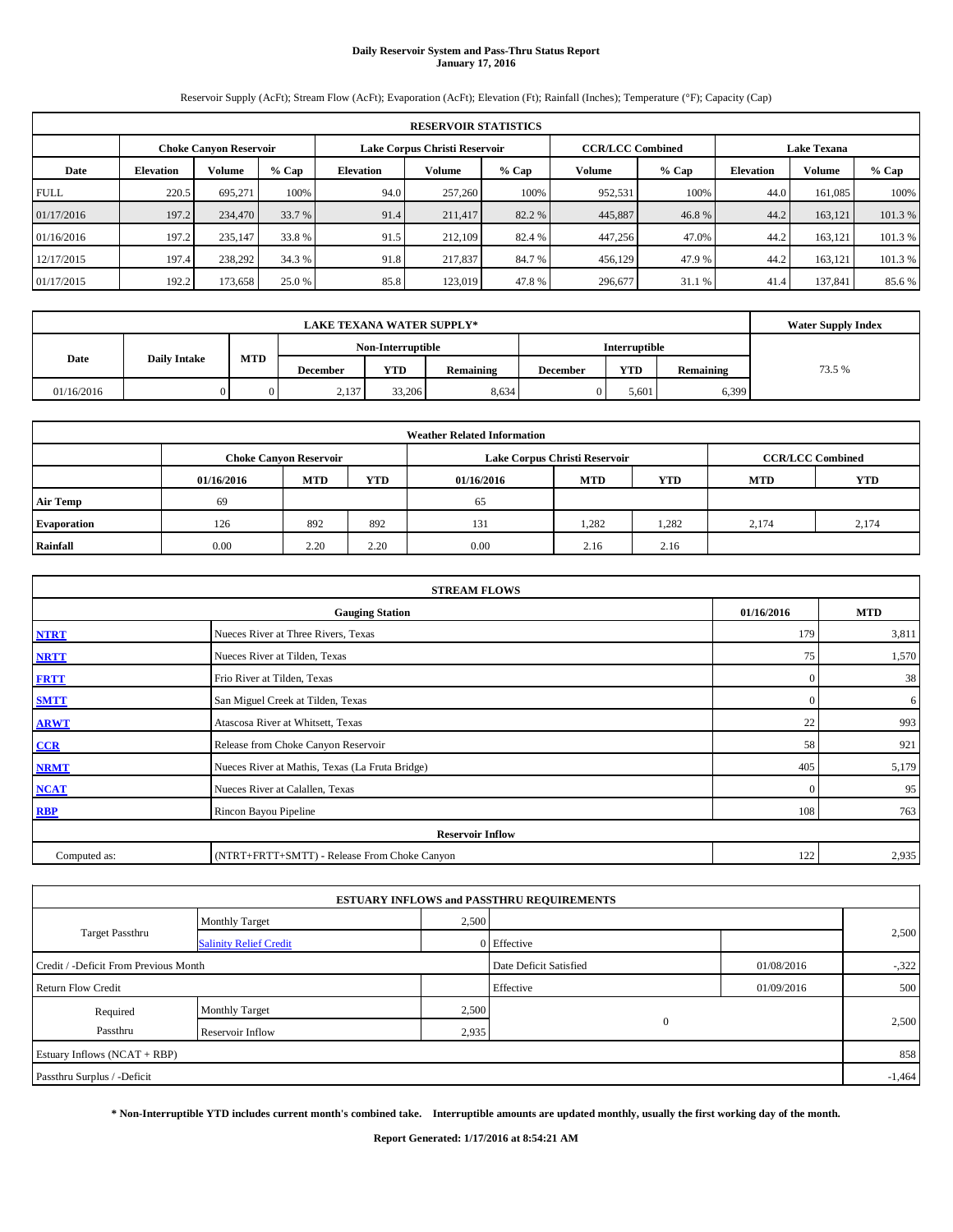# **Daily Reservoir System and Pass-Thru Status Report January 17, 2016**

Reservoir Supply (AcFt); Stream Flow (AcFt); Evaporation (AcFt); Elevation (Ft); Rainfall (Inches); Temperature (°F); Capacity (Cap)

|             | <b>RESERVOIR STATISTICS</b>                                    |         |         |                  |         |         |                         |         |                    |               |         |
|-------------|----------------------------------------------------------------|---------|---------|------------------|---------|---------|-------------------------|---------|--------------------|---------------|---------|
|             | Lake Corpus Christi Reservoir<br><b>Choke Canyon Reservoir</b> |         |         |                  |         |         | <b>CCR/LCC Combined</b> |         | <b>Lake Texana</b> |               |         |
| Date        | <b>Elevation</b>                                               | Volume  | $%$ Cap | <b>Elevation</b> | Volume  | $%$ Cap | Volume                  | $%$ Cap | <b>Elevation</b>   | <b>Volume</b> | $%$ Cap |
| <b>FULL</b> | 220.5                                                          | 695.271 | 100%    | 94.0             | 257,260 | 100%    | 952,531                 | 100%    | 44.0               | 161.085       | 100%    |
| 01/17/2016  | 197.2                                                          | 234,470 | 33.7 %  | 91.4             | 211,417 | 82.2 %  | 445,887                 | 46.8%   | 44.2               | 163.121       | 101.3%  |
| 01/16/2016  | 197.2                                                          | 235,147 | 33.8 %  | 91.5             | 212,109 | 82.4 %  | 447.256                 | 47.0%   | 44.2               | 163.121       | 101.3 % |
| 12/17/2015  | 197.4                                                          | 238,292 | 34.3 %  | 91.8             | 217,837 | 84.7 %  | 456,129                 | 47.9%   | 44.2               | 163.121       | 101.3 % |
| 01/17/2015  | 192.2                                                          | 173,658 | 25.0 %  | 85.8             | 123.019 | 47.8%   | 296,677                 | 31.1 %  | 41.4               | 137.841       | 85.6 %  |

|            | <b>Water Supply Index</b> |            |          |                   |           |                 |                      |           |        |
|------------|---------------------------|------------|----------|-------------------|-----------|-----------------|----------------------|-----------|--------|
|            |                           |            |          | Non-Interruptible |           |                 | <b>Interruptible</b> |           |        |
| Date       | <b>Daily Intake</b>       | <b>MTD</b> | December | <b>YTD</b>        | Remaining | <b>December</b> | <b>YTD</b>           | Remaining | 73.5 % |
| 01/16/2016 |                           |            | 2,137    | 33,206            | 8,634     |                 | 5.601                | 6,399     |        |

|                    |            |                               |      | <b>Weather Related Information</b> |                               |                         |            |            |
|--------------------|------------|-------------------------------|------|------------------------------------|-------------------------------|-------------------------|------------|------------|
|                    |            | <b>Choke Canyon Reservoir</b> |      |                                    | Lake Corpus Christi Reservoir | <b>CCR/LCC Combined</b> |            |            |
|                    | 01/16/2016 | <b>MTD</b>                    | YTD  | 01/16/2016                         | <b>MTD</b>                    | YTD                     | <b>MTD</b> | <b>YTD</b> |
| <b>Air Temp</b>    | 69         |                               |      | 65                                 |                               |                         |            |            |
| <b>Evaporation</b> | 126        | 892                           | 892  | 131                                | 1,282                         | 1,282                   | 2.174      | 2,174      |
| Rainfall           | 0.00       | 2.20                          | 2.20 | 0.00                               | 2.16                          | 2.16                    |            |            |

| <b>STREAM FLOWS</b> |                                                 |              |       |  |  |  |  |  |  |
|---------------------|-------------------------------------------------|--------------|-------|--|--|--|--|--|--|
|                     | <b>Gauging Station</b>                          |              |       |  |  |  |  |  |  |
| <b>NTRT</b>         | Nueces River at Three Rivers, Texas             | 179          | 3,811 |  |  |  |  |  |  |
| <b>NRTT</b>         | Nueces River at Tilden, Texas                   | 75           | 1,570 |  |  |  |  |  |  |
| <b>FRTT</b>         | Frio River at Tilden, Texas                     | $\mathbf{0}$ | 38    |  |  |  |  |  |  |
| <b>SMTT</b>         | San Miguel Creek at Tilden, Texas               | $\mathbf{0}$ | 6     |  |  |  |  |  |  |
| <b>ARWT</b>         | Atascosa River at Whitsett, Texas               | 22           | 993   |  |  |  |  |  |  |
| CCR                 | Release from Choke Canyon Reservoir             | 58           | 921   |  |  |  |  |  |  |
| <b>NRMT</b>         | Nueces River at Mathis, Texas (La Fruta Bridge) | 405          | 5,179 |  |  |  |  |  |  |
| <b>NCAT</b>         | Nueces River at Calallen, Texas                 | $\Omega$     | 95    |  |  |  |  |  |  |
| <b>RBP</b>          | Rincon Bayou Pipeline                           | 108          | 763   |  |  |  |  |  |  |
|                     | <b>Reservoir Inflow</b>                         |              |       |  |  |  |  |  |  |
| Computed as:        | (NTRT+FRTT+SMTT) - Release From Choke Canyon    | 122          | 2,935 |  |  |  |  |  |  |

|                                       |                               |             | <b>ESTUARY INFLOWS and PASSTHRU REQUIREMENTS</b> |            |        |  |  |  |
|---------------------------------------|-------------------------------|-------------|--------------------------------------------------|------------|--------|--|--|--|
|                                       | <b>Monthly Target</b>         | 2,500       |                                                  |            |        |  |  |  |
| <b>Target Passthru</b>                | <b>Salinity Relief Credit</b> | 0 Effective |                                                  | 2,500      |        |  |  |  |
| Credit / -Deficit From Previous Month |                               |             | Date Deficit Satisfied                           | 01/08/2016 | $-322$ |  |  |  |
| <b>Return Flow Credit</b>             |                               |             | Effective                                        | 01/09/2016 | 500    |  |  |  |
| Required                              | <b>Monthly Target</b>         | 2,500       |                                                  |            |        |  |  |  |
| Passthru                              | Reservoir Inflow              | 2,935       | $\mathbf{0}$                                     |            | 2,500  |  |  |  |
| Estuary Inflows (NCAT + RBP)          |                               |             |                                                  |            | 858    |  |  |  |
| Passthru Surplus / -Deficit           |                               |             |                                                  |            |        |  |  |  |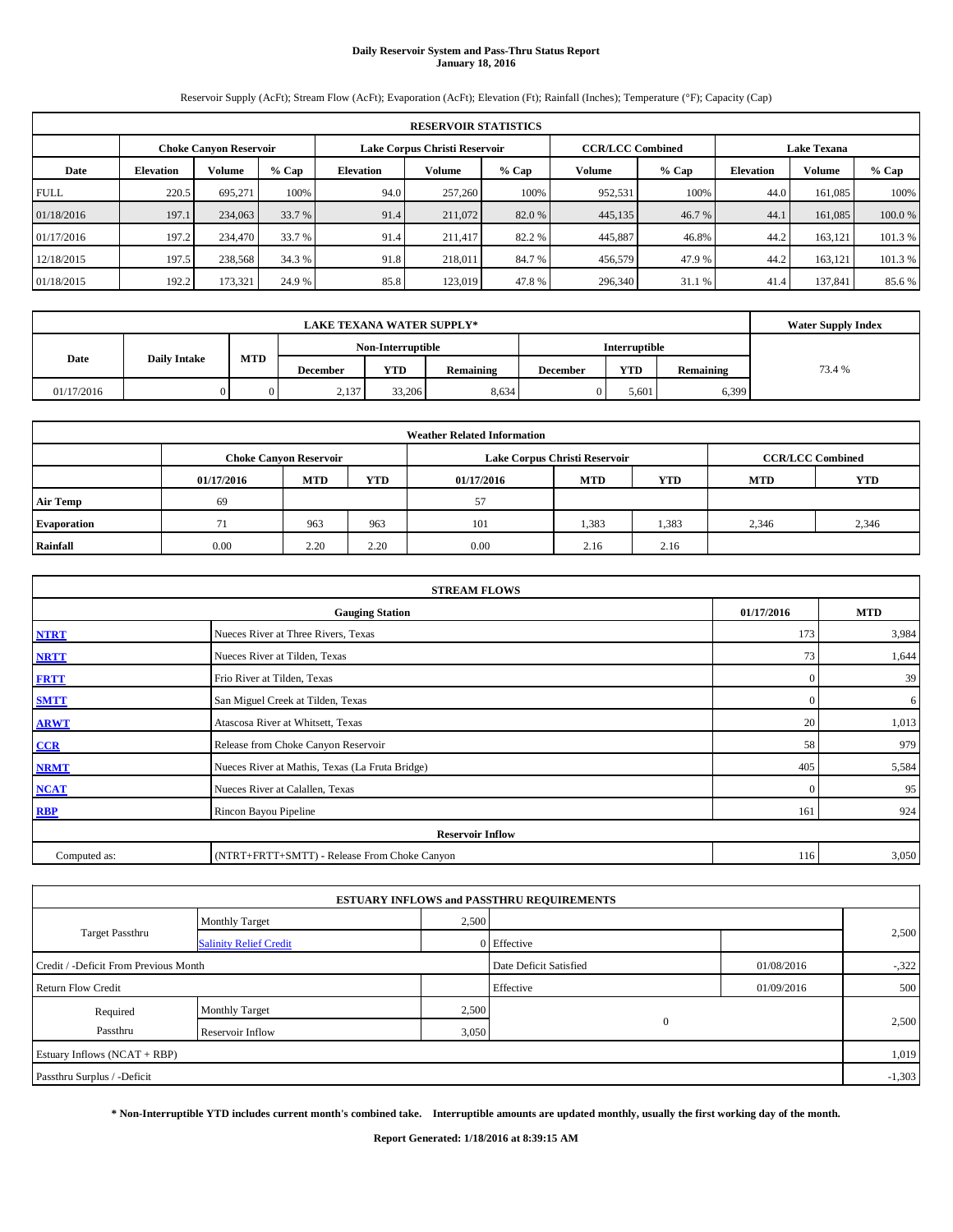# **Daily Reservoir System and Pass-Thru Status Report January 18, 2016**

Reservoir Supply (AcFt); Stream Flow (AcFt); Evaporation (AcFt); Elevation (Ft); Rainfall (Inches); Temperature (°F); Capacity (Cap)

|             | <b>RESERVOIR STATISTICS</b> |                               |         |                               |         |         |                         |         |                    |         |         |  |  |  |
|-------------|-----------------------------|-------------------------------|---------|-------------------------------|---------|---------|-------------------------|---------|--------------------|---------|---------|--|--|--|
|             |                             | <b>Choke Canyon Reservoir</b> |         | Lake Corpus Christi Reservoir |         |         | <b>CCR/LCC Combined</b> |         | <b>Lake Texana</b> |         |         |  |  |  |
| Date        | <b>Elevation</b>            | Volume                        | $%$ Cap | <b>Elevation</b>              | Volume  | $%$ Cap | Volume                  | $%$ Cap | <b>Elevation</b>   | Volume  | % Cap   |  |  |  |
| <b>FULL</b> | 220.5                       | 695.271                       | 100%    | 94.0                          | 257,260 | 100%    | 952,531                 | 100%    | 44.0               | 161.085 | 100%    |  |  |  |
| 01/18/2016  | 197.1                       | 234,063                       | 33.7 %  | 91.4                          | 211,072 | 82.0 %  | 445,135                 | 46.7 %  | 44.1               | 161,085 | 100.0%  |  |  |  |
| 01/17/2016  | 197.2                       | 234,470                       | 33.7 %  | 91.4                          | 211.417 | 82.2 %  | 445,887                 | 46.8%   | 44.2               | 163.121 | 101.3%  |  |  |  |
| 12/18/2015  | 197.5                       | 238,568                       | 34.3 %  | 91.8                          | 218,011 | 84.7 %  | 456,579                 | 47.9 %  | 44.2               | 163,121 | 101.3 % |  |  |  |
| 01/18/2015  | 192.2                       | 173,321                       | 24.9 %  | 85.8                          | 123.019 | 47.8%   | 296,340                 | 31.1 %  | 41.4               | 137,841 | 85.6%   |  |  |  |

|            | <b>Water Supply Index</b> |                                           |          |            |           |                 |            |           |        |
|------------|---------------------------|-------------------------------------------|----------|------------|-----------|-----------------|------------|-----------|--------|
|            |                           | Non-Interruptible<br><b>Interruptible</b> |          |            |           |                 |            |           |        |
| Date       | <b>Daily Intake</b>       | <b>MTD</b>                                | December | <b>YTD</b> | Remaining | <b>December</b> | <b>YTD</b> | Remaining | 73.4 % |
| 01/17/2016 |                           |                                           | 2,137    | 33,206     | 8,634     |                 | 5.601      | 6,399     |        |

| <b>Weather Related Information</b> |            |                               |      |            |                               |                          |       |       |  |  |  |
|------------------------------------|------------|-------------------------------|------|------------|-------------------------------|--------------------------|-------|-------|--|--|--|
|                                    |            | <b>Choke Canyon Reservoir</b> |      |            | Lake Corpus Christi Reservoir | <b>CCR/LCC Combined</b>  |       |       |  |  |  |
|                                    | 01/17/2016 | <b>MTD</b>                    | YTD  | 01/17/2016 | YTD                           | <b>YTD</b><br><b>MTD</b> |       |       |  |  |  |
| <b>Air Temp</b>                    | 69         |                               |      | 57         |                               |                          |       |       |  |  |  |
| <b>Evaporation</b>                 |            | 963                           | 963  | 101        | 1,383                         | 1,383                    | 2,346 | 2,346 |  |  |  |
| Rainfall                           | 0.00       | 2.20                          | 2.20 | 0.00       | 2.16                          | 2.16                     |       |       |  |  |  |

|              | <b>STREAM FLOWS</b>                             |              |       |  |  |  |  |  |  |
|--------------|-------------------------------------------------|--------------|-------|--|--|--|--|--|--|
|              | <b>Gauging Station</b>                          |              |       |  |  |  |  |  |  |
| <b>NTRT</b>  | Nueces River at Three Rivers, Texas             |              |       |  |  |  |  |  |  |
| <b>NRTT</b>  | Nueces River at Tilden, Texas                   | 73           | 1,644 |  |  |  |  |  |  |
| <b>FRTT</b>  | Frio River at Tilden, Texas                     | $\mathbf{0}$ | 39    |  |  |  |  |  |  |
| <b>SMTT</b>  | San Miguel Creek at Tilden, Texas               | $\mathbf{0}$ | 6     |  |  |  |  |  |  |
| <b>ARWT</b>  | Atascosa River at Whitsett, Texas               | 20           | 1,013 |  |  |  |  |  |  |
| CCR          | Release from Choke Canyon Reservoir             | 58           | 979   |  |  |  |  |  |  |
| <b>NRMT</b>  | Nueces River at Mathis, Texas (La Fruta Bridge) | 405          | 5,584 |  |  |  |  |  |  |
| <b>NCAT</b>  | Nueces River at Calallen, Texas                 | $\Omega$     | 95    |  |  |  |  |  |  |
| <b>RBP</b>   | Rincon Bayou Pipeline                           | 161          | 924   |  |  |  |  |  |  |
|              | <b>Reservoir Inflow</b>                         |              |       |  |  |  |  |  |  |
| Computed as: | (NTRT+FRTT+SMTT) - Release From Choke Canyon    |              |       |  |  |  |  |  |  |

|                                       |                               |             | <b>ESTUARY INFLOWS and PASSTHRU REQUIREMENTS</b> |            |          |
|---------------------------------------|-------------------------------|-------------|--------------------------------------------------|------------|----------|
|                                       | <b>Monthly Target</b>         | 2,500       |                                                  |            |          |
| <b>Target Passthru</b>                | <b>Salinity Relief Credit</b> | 0 Effective |                                                  | 2,500      |          |
| Credit / -Deficit From Previous Month |                               |             | Date Deficit Satisfied                           | 01/08/2016 | $-322$   |
| <b>Return Flow Credit</b>             |                               |             | Effective                                        | 01/09/2016 | 500      |
| Required                              | <b>Monthly Target</b>         | 2,500       |                                                  |            |          |
| Passthru                              | Reservoir Inflow              | 3,050       | $\mathbf{0}$                                     |            | 2,500    |
| Estuary Inflows (NCAT + RBP)          |                               |             |                                                  |            | 1,019    |
| Passthru Surplus / -Deficit           |                               |             |                                                  |            | $-1,303$ |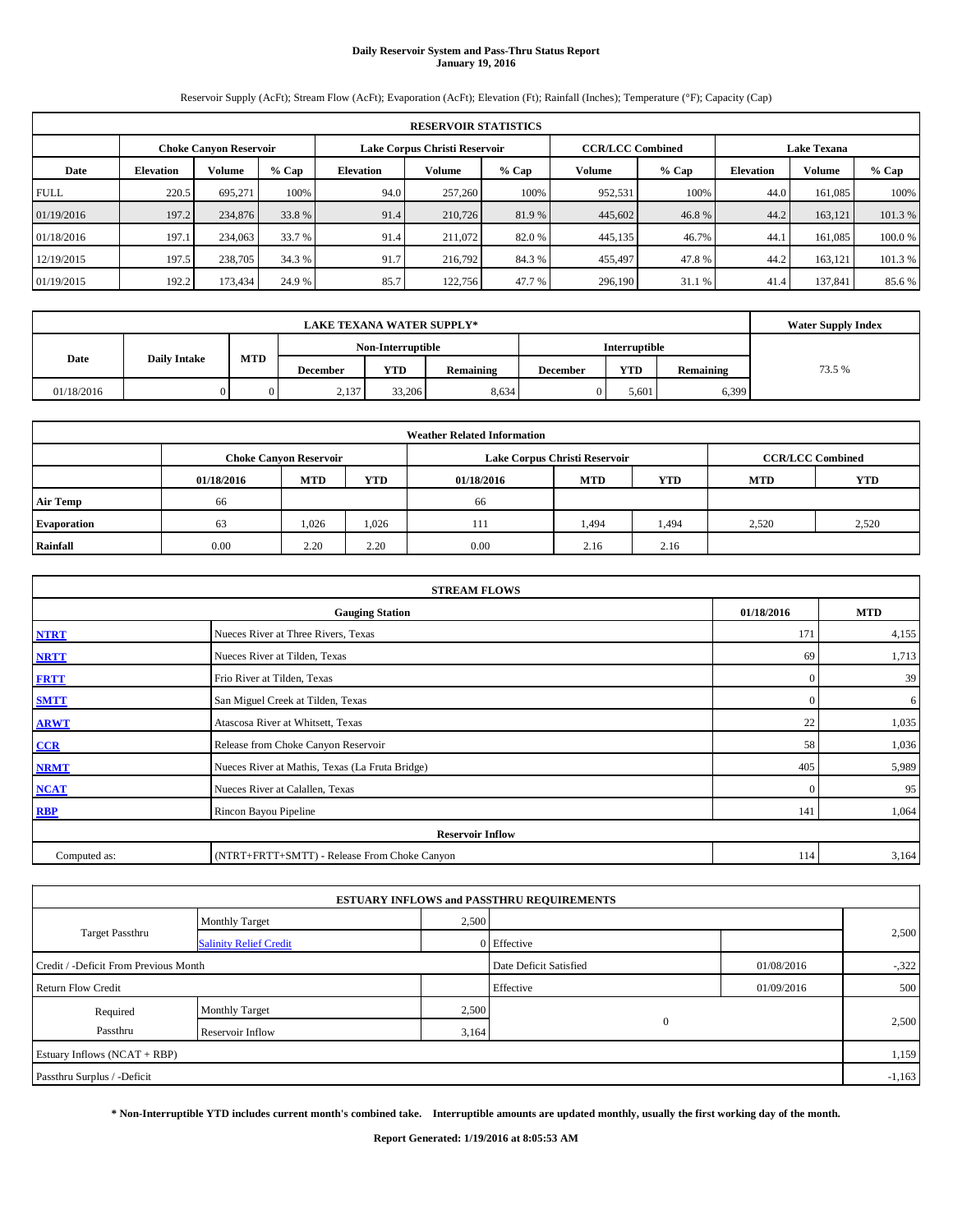# **Daily Reservoir System and Pass-Thru Status Report January 19, 2016**

Reservoir Supply (AcFt); Stream Flow (AcFt); Evaporation (AcFt); Elevation (Ft); Rainfall (Inches); Temperature (°F); Capacity (Cap)

|             | <b>RESERVOIR STATISTICS</b> |                               |         |                  |                               |         |                         |         |                  |                    |         |  |  |  |
|-------------|-----------------------------|-------------------------------|---------|------------------|-------------------------------|---------|-------------------------|---------|------------------|--------------------|---------|--|--|--|
|             |                             | <b>Choke Canyon Reservoir</b> |         |                  | Lake Corpus Christi Reservoir |         | <b>CCR/LCC Combined</b> |         |                  | <b>Lake Texana</b> |         |  |  |  |
| Date        | <b>Elevation</b>            | Volume                        | $%$ Cap | <b>Elevation</b> | Volume                        | $%$ Cap | Volume                  | $%$ Cap | <b>Elevation</b> | <b>Volume</b>      | $%$ Cap |  |  |  |
| <b>FULL</b> | 220.5                       | 695.271                       | 100%    | 94.0             | 257,260                       | 100%    | 952,531                 | 100%    | 44.0             | 161.085            | 100%    |  |  |  |
| 01/19/2016  | 197.2                       | 234,876                       | 33.8 %  | 91.4             | 210,726                       | 81.9 %  | 445,602                 | 46.8%   | 44.2             | 163.121            | 101.3%  |  |  |  |
| 01/18/2016  | 197.1                       | 234,063                       | 33.7 %  | 91.4             | 211,072                       | 82.0 %  | 445,135                 | 46.7%   | 44.1             | 161.085            | 100.0%  |  |  |  |
| 12/19/2015  | 197.5                       | 238,705                       | 34.3 %  | 91.7             | 216,792                       | 84.3%   | 455,497                 | 47.8%   | 44.2             | 163.121            | 101.3 % |  |  |  |
| 01/19/2015  | 192.2                       | 173,434                       | 24.9 %  | 85.7             | 122,756                       | 47.7 %  | 296,190                 | 31.1 %  | 41.4             | 137.841            | 85.6 %  |  |  |  |

|            | <b>Water Supply Index</b> |                                           |          |            |           |                 |            |           |        |
|------------|---------------------------|-------------------------------------------|----------|------------|-----------|-----------------|------------|-----------|--------|
|            |                           | <b>Interruptible</b><br>Non-Interruptible |          |            |           |                 |            |           |        |
| Date       | <b>Daily Intake</b>       | <b>MTD</b>                                | December | <b>YTD</b> | Remaining | <b>December</b> | <b>YTD</b> | Remaining | 73.5 % |
| 01/18/2016 |                           |                                           | 2,137    | 33,206     | 8,634     |                 | 5.601      | 6,399     |        |

| <b>Weather Related Information</b> |            |                               |            |            |                               |                         |       |       |  |  |  |
|------------------------------------|------------|-------------------------------|------------|------------|-------------------------------|-------------------------|-------|-------|--|--|--|
|                                    |            | <b>Choke Canyon Reservoir</b> |            |            | Lake Corpus Christi Reservoir | <b>CCR/LCC Combined</b> |       |       |  |  |  |
|                                    | 01/18/2016 | <b>MTD</b>                    | <b>YTD</b> | 01/18/2016 | <b>MTD</b>                    | <b>YTD</b>              |       |       |  |  |  |
| <b>Air Temp</b>                    | 66         |                               |            | 66         |                               |                         |       |       |  |  |  |
| <b>Evaporation</b>                 | 63         | 1,026                         | 1,026      | 111        | 1,494                         | 1,494                   | 2.520 | 2,520 |  |  |  |
| Rainfall                           | 0.00       | 2.20                          | 2.20       | 0.00       | 2.16                          | 2.16                    |       |       |  |  |  |

|              | <b>STREAM FLOWS</b>                             |              |       |  |  |  |  |
|--------------|-------------------------------------------------|--------------|-------|--|--|--|--|
|              | 01/18/2016                                      | <b>MTD</b>   |       |  |  |  |  |
| <b>NTRT</b>  | Nueces River at Three Rivers, Texas             |              |       |  |  |  |  |
| <b>NRTT</b>  | Nueces River at Tilden, Texas                   | 69           | 1,713 |  |  |  |  |
| <b>FRTT</b>  | Frio River at Tilden, Texas                     | $\mathbf{0}$ | 39    |  |  |  |  |
| <b>SMTT</b>  | San Miguel Creek at Tilden, Texas               | $\mathbf{0}$ | 6     |  |  |  |  |
| <b>ARWT</b>  | Atascosa River at Whitsett, Texas               | 22           | 1,035 |  |  |  |  |
| $CCR$        | Release from Choke Canyon Reservoir             | 58           | 1,036 |  |  |  |  |
| <b>NRMT</b>  | Nueces River at Mathis, Texas (La Fruta Bridge) | 405          | 5,989 |  |  |  |  |
| <b>NCAT</b>  | Nueces River at Calallen, Texas                 | $\Omega$     | 95    |  |  |  |  |
| <b>RBP</b>   | Rincon Bayou Pipeline                           | 141          | 1,064 |  |  |  |  |
|              | <b>Reservoir Inflow</b>                         |              |       |  |  |  |  |
| Computed as: | (NTRT+FRTT+SMTT) - Release From Choke Canyon    |              |       |  |  |  |  |

|                                       |                               |       | <b>ESTUARY INFLOWS and PASSTHRU REQUIREMENTS</b> |            |          |
|---------------------------------------|-------------------------------|-------|--------------------------------------------------|------------|----------|
|                                       | <b>Monthly Target</b>         | 2,500 |                                                  |            |          |
| <b>Target Passthru</b>                | <b>Salinity Relief Credit</b> |       | 0 Effective                                      |            | 2,500    |
| Credit / -Deficit From Previous Month |                               |       | Date Deficit Satisfied                           | 01/08/2016 | $-322$   |
| <b>Return Flow Credit</b>             |                               |       | Effective                                        | 01/09/2016 | 500      |
| Required                              | <b>Monthly Target</b>         | 2,500 |                                                  |            |          |
| Passthru                              | Reservoir Inflow              | 3,164 | $\mathbf{0}$                                     |            | 2,500    |
| Estuary Inflows (NCAT + RBP)          |                               |       |                                                  |            | 1,159    |
| Passthru Surplus / -Deficit           |                               |       |                                                  |            | $-1,163$ |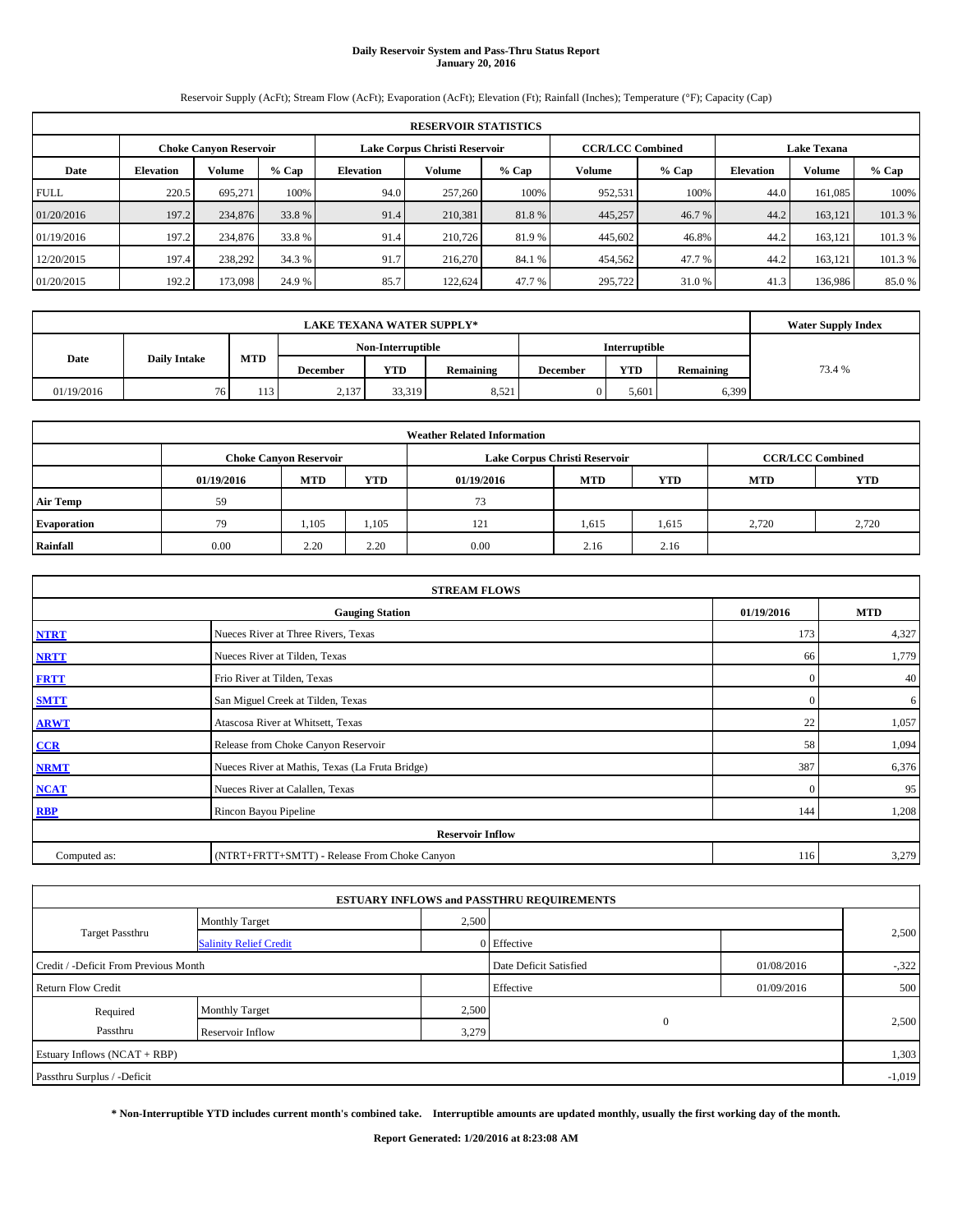# **Daily Reservoir System and Pass-Thru Status Report January 20, 2016**

Reservoir Supply (AcFt); Stream Flow (AcFt); Evaporation (AcFt); Elevation (Ft); Rainfall (Inches); Temperature (°F); Capacity (Cap)

|             | <b>RESERVOIR STATISTICS</b> |                               |         |                  |                               |         |                         |         |                  |                    |         |  |  |  |
|-------------|-----------------------------|-------------------------------|---------|------------------|-------------------------------|---------|-------------------------|---------|------------------|--------------------|---------|--|--|--|
|             |                             | <b>Choke Canyon Reservoir</b> |         |                  | Lake Corpus Christi Reservoir |         | <b>CCR/LCC Combined</b> |         |                  | <b>Lake Texana</b> |         |  |  |  |
| Date        | <b>Elevation</b>            | Volume                        | $%$ Cap | <b>Elevation</b> | Volume                        | $%$ Cap | Volume                  | $%$ Cap | <b>Elevation</b> | <b>Volume</b>      | $%$ Cap |  |  |  |
| <b>FULL</b> | 220.5                       | 695.271                       | 100%    | 94.0             | 257,260                       | 100%    | 952,531                 | 100%    | 44.0             | 161.085            | 100%    |  |  |  |
| 01/20/2016  | 197.2                       | 234,876                       | 33.8 %  | 91.4             | 210,381                       | 81.8%   | 445,257                 | 46.7 %  | 44.2             | 163.121            | 101.3%  |  |  |  |
| 01/19/2016  | 197.2                       | 234,876                       | 33.8 %  | 91.4             | 210,726                       | 81.9 %  | 445,602                 | 46.8%   | 44.2             | 163.121            | 101.3 % |  |  |  |
| 12/20/2015  | 197.4                       | 238,292                       | 34.3 %  | 91.7             | 216,270                       | 84.1 %  | 454,562                 | 47.7%   | 44.2             | 163.121            | 101.3 % |  |  |  |
| 01/20/2015  | 192.2                       | 173,098                       | 24.9 %  | 85.7             | 122.624                       | 47.7 %  | 295,722                 | 31.0 %  | 41.3             | 136,986            | 85.0 %  |  |  |  |

|                             | <b>LAKE TEXANA WATER SUPPLY*</b> |            |                 |            |           |                 |            |           |        |  |  |  |
|-----------------------------|----------------------------------|------------|-----------------|------------|-----------|-----------------|------------|-----------|--------|--|--|--|
|                             |                                  |            |                 |            |           |                 |            |           |        |  |  |  |
| Date<br><b>Daily Intake</b> |                                  | <b>MTD</b> | <b>December</b> | <b>YTD</b> | Remaining | <b>December</b> | <b>YTD</b> | Remaining | 73.4 % |  |  |  |
| 01/19/2016                  | 76                               | 113        | 2,137           | 33,319     | 8,521     |                 | 5.601      | 6,399     |        |  |  |  |

| <b>Weather Related Information</b> |            |                               |            |                               |                         |            |            |            |  |  |  |  |  |
|------------------------------------|------------|-------------------------------|------------|-------------------------------|-------------------------|------------|------------|------------|--|--|--|--|--|
|                                    |            | <b>Choke Canyon Reservoir</b> |            | Lake Corpus Christi Reservoir | <b>CCR/LCC Combined</b> |            |            |            |  |  |  |  |  |
|                                    | 01/19/2016 | <b>MTD</b>                    | <b>YTD</b> | 01/19/2016                    | <b>MTD</b>              | <b>YTD</b> | <b>MTD</b> | <b>YTD</b> |  |  |  |  |  |
| <b>Air Temp</b>                    | 59         |                               |            | 73                            |                         |            |            |            |  |  |  |  |  |
| <b>Evaporation</b>                 | 79         | 1,105                         | 1,105      | 121                           | 1,615                   | 1,615      | 2.720      | 2,720      |  |  |  |  |  |
| Rainfall                           | 0.00       | 2.20                          | 2.20       | 0.00                          | 2.16                    | 2.16       |            |            |  |  |  |  |  |

|              | <b>STREAM FLOWS</b>                                |              |       |  |  |  |  |  |  |  |  |
|--------------|----------------------------------------------------|--------------|-------|--|--|--|--|--|--|--|--|
|              | <b>MTD</b><br>01/19/2016<br><b>Gauging Station</b> |              |       |  |  |  |  |  |  |  |  |
| <b>NTRT</b>  | Nueces River at Three Rivers, Texas                | 173          | 4,327 |  |  |  |  |  |  |  |  |
| <b>NRTT</b>  | 66                                                 | 1,779        |       |  |  |  |  |  |  |  |  |
| <b>FRTT</b>  | $\mathbf{0}$                                       | 40           |       |  |  |  |  |  |  |  |  |
| <b>SMTT</b>  | San Miguel Creek at Tilden, Texas                  | $\mathbf{0}$ | 6     |  |  |  |  |  |  |  |  |
| <b>ARWT</b>  | Atascosa River at Whitsett, Texas                  | 22           | 1,057 |  |  |  |  |  |  |  |  |
| CCR          | Release from Choke Canyon Reservoir                | 58           | 1,094 |  |  |  |  |  |  |  |  |
| <b>NRMT</b>  | Nueces River at Mathis, Texas (La Fruta Bridge)    | 387          | 6,376 |  |  |  |  |  |  |  |  |
| <b>NCAT</b>  | Nueces River at Calallen, Texas                    | $\Omega$     | 95    |  |  |  |  |  |  |  |  |
| <b>RBP</b>   | Rincon Bayou Pipeline                              | 144          | 1,208 |  |  |  |  |  |  |  |  |
|              | <b>Reservoir Inflow</b>                            |              |       |  |  |  |  |  |  |  |  |
| Computed as: | (NTRT+FRTT+SMTT) - Release From Choke Canyon       | 116          | 3,279 |  |  |  |  |  |  |  |  |

|                                       |                               |       | <b>ESTUARY INFLOWS and PASSTHRU REQUIREMENTS</b> |            |          |
|---------------------------------------|-------------------------------|-------|--------------------------------------------------|------------|----------|
|                                       | <b>Monthly Target</b>         | 2,500 |                                                  |            |          |
| Target Passthru                       | <b>Salinity Relief Credit</b> |       | 0 Effective                                      |            | 2,500    |
| Credit / -Deficit From Previous Month |                               |       | Date Deficit Satisfied                           | 01/08/2016 | $-322$   |
| <b>Return Flow Credit</b>             |                               |       | Effective                                        | 01/09/2016 | 500      |
| Required                              | Monthly Target                | 2,500 |                                                  |            |          |
| Passthru                              | Reservoir Inflow              | 3,279 | $\mathbf{0}$                                     |            | 2,500    |
| Estuary Inflows (NCAT + RBP)          |                               |       |                                                  |            | 1,303    |
| Passthru Surplus / -Deficit           |                               |       |                                                  |            | $-1,019$ |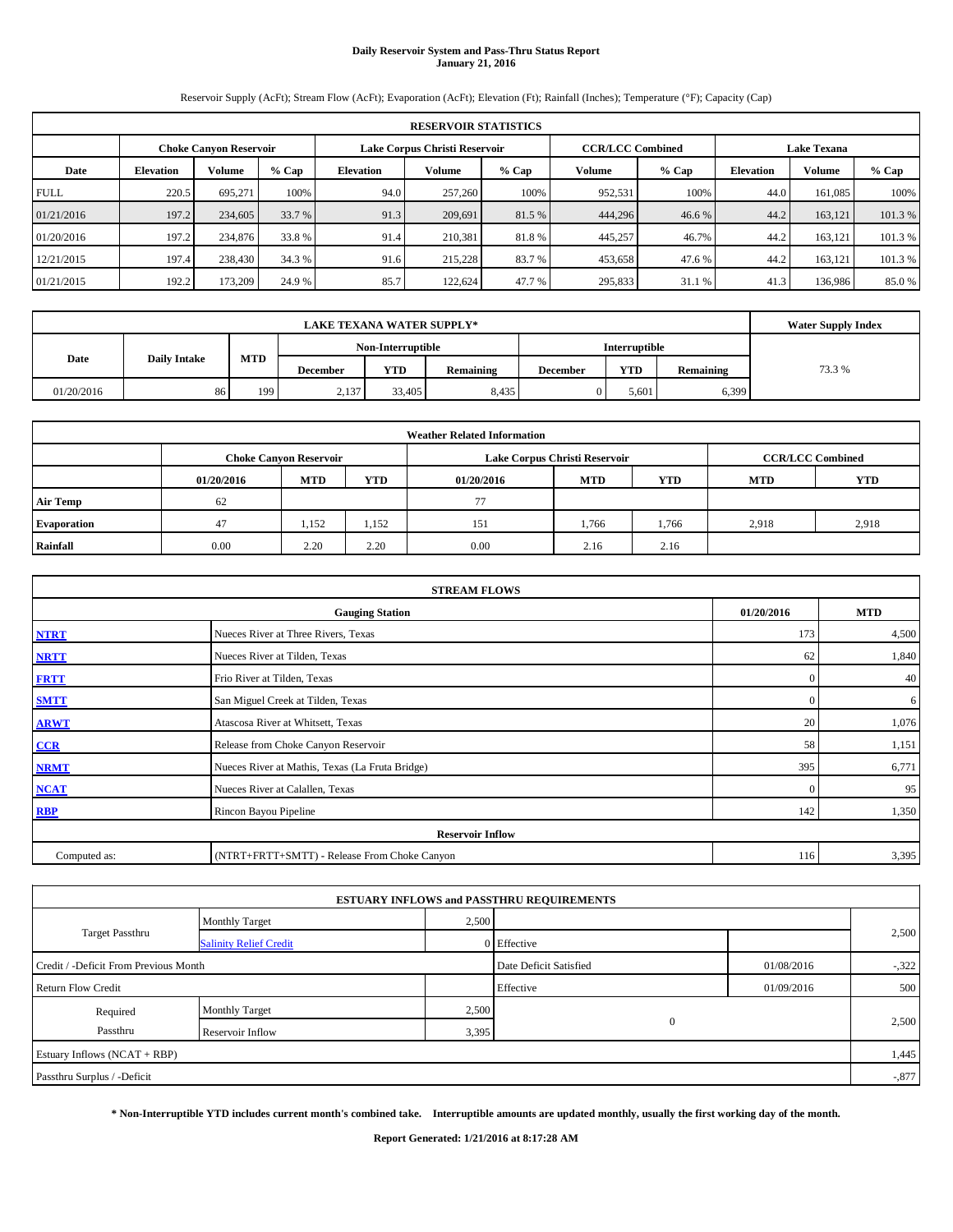# **Daily Reservoir System and Pass-Thru Status Report January 21, 2016**

Reservoir Supply (AcFt); Stream Flow (AcFt); Evaporation (AcFt); Elevation (Ft); Rainfall (Inches); Temperature (°F); Capacity (Cap)

|             | <b>RESERVOIR STATISTICS</b>                                                                                     |         |         |                  |         |         |         |         |                  |               |         |  |  |  |  |
|-------------|-----------------------------------------------------------------------------------------------------------------|---------|---------|------------------|---------|---------|---------|---------|------------------|---------------|---------|--|--|--|--|
|             | <b>CCR/LCC Combined</b><br>Lake Corpus Christi Reservoir<br><b>Choke Canyon Reservoir</b><br><b>Lake Texana</b> |         |         |                  |         |         |         |         |                  |               |         |  |  |  |  |
| Date        | <b>Elevation</b>                                                                                                | Volume  | $%$ Cap | <b>Elevation</b> | Volume  | $%$ Cap | Volume  | $%$ Cap | <b>Elevation</b> | <b>Volume</b> | $%$ Cap |  |  |  |  |
| <b>FULL</b> | 220.5                                                                                                           | 695.271 | 100%    | 94.0             | 257,260 | 100%    | 952,531 | 100%    | 44.0             | 161.085       | 100%    |  |  |  |  |
| 01/21/2016  | 197.2                                                                                                           | 234,605 | 33.7 %  | 91.3             | 209,691 | 81.5 %  | 444,296 | 46.6 %  | 44.2             | 163.121       | 101.3%  |  |  |  |  |
| 01/20/2016  | 197.2                                                                                                           | 234,876 | 33.8 %  | 91.4             | 210.381 | 81.8%   | 445,257 | 46.7%   | 44.2             | 163.121       | 101.3 % |  |  |  |  |
| 12/21/2015  | 197.4                                                                                                           | 238,430 | 34.3 %  | 91.6             | 215,228 | 83.7 %  | 453,658 | 47.6%   | 44.2             | 163.121       | 101.3 % |  |  |  |  |
| 01/21/2015  | 192.2                                                                                                           | 173,209 | 24.9 %  | 85.7             | 122.624 | 47.7 %  | 295,833 | 31.1 %  | 41.3             | 136,986       | 85.0 %  |  |  |  |  |

|                                           | <b>LAKE TEXANA WATER SUPPLY*</b> |     |                 |            |           |                 |            |           |        |  |  |  |
|-------------------------------------------|----------------------------------|-----|-----------------|------------|-----------|-----------------|------------|-----------|--------|--|--|--|
| <b>Interruptible</b><br>Non-Interruptible |                                  |     |                 |            |           |                 |            |           |        |  |  |  |
| <b>MTD</b><br>Date<br><b>Daily Intake</b> |                                  |     | <b>December</b> | <b>YTD</b> | Remaining | <b>December</b> | <b>YTD</b> | Remaining | 73.3 % |  |  |  |
| 01/20/2016                                | 86                               | 199 | 2,137           | 33,405     | 8,435     |                 | 5,601      | 6,399     |        |  |  |  |

|                    |                                                                                           |            |            | <b>Weather Related Information</b> |            |       |            |            |  |  |  |  |
|--------------------|-------------------------------------------------------------------------------------------|------------|------------|------------------------------------|------------|-------|------------|------------|--|--|--|--|
|                    | Lake Corpus Christi Reservoir<br><b>CCR/LCC Combined</b><br><b>Choke Canyon Reservoir</b> |            |            |                                    |            |       |            |            |  |  |  |  |
|                    | 01/20/2016                                                                                | <b>MTD</b> | <b>YTD</b> | 01/20/2016                         | <b>MTD</b> | YTD   | <b>MTD</b> | <b>YTD</b> |  |  |  |  |
| <b>Air Temp</b>    | 62                                                                                        |            |            | 77                                 |            |       |            |            |  |  |  |  |
| <b>Evaporation</b> | 47                                                                                        | 1,152      | 1.152      | 151                                | 1,766      | 1,766 | 2.918      | 2,918      |  |  |  |  |
| Rainfall           | 0.00                                                                                      | 2.20       | 2.20       | 0.00                               | 2.16       | 2.16  |            |            |  |  |  |  |

|              | <b>STREAM FLOWS</b>                                |              |       |  |  |  |  |  |  |  |  |
|--------------|----------------------------------------------------|--------------|-------|--|--|--|--|--|--|--|--|
|              | 01/20/2016<br><b>MTD</b><br><b>Gauging Station</b> |              |       |  |  |  |  |  |  |  |  |
| <b>NTRT</b>  | Nueces River at Three Rivers, Texas                | 173          | 4,500 |  |  |  |  |  |  |  |  |
| <b>NRTT</b>  | Nueces River at Tilden, Texas                      | 62           | 1,840 |  |  |  |  |  |  |  |  |
| <b>FRTT</b>  | Frio River at Tilden, Texas                        | $\mathbf{0}$ | 40    |  |  |  |  |  |  |  |  |
| <b>SMTT</b>  | San Miguel Creek at Tilden, Texas                  | $\mathbf{0}$ | 6     |  |  |  |  |  |  |  |  |
| <b>ARWT</b>  | Atascosa River at Whitsett, Texas                  | 20           | 1,076 |  |  |  |  |  |  |  |  |
| CCR          | Release from Choke Canyon Reservoir                | 58           | 1,151 |  |  |  |  |  |  |  |  |
| <b>NRMT</b>  | Nueces River at Mathis, Texas (La Fruta Bridge)    | 395          | 6,771 |  |  |  |  |  |  |  |  |
| <b>NCAT</b>  | Nueces River at Calallen, Texas                    | $\Omega$     | 95    |  |  |  |  |  |  |  |  |
| <b>RBP</b>   | Rincon Bayou Pipeline                              | 142          | 1,350 |  |  |  |  |  |  |  |  |
|              | <b>Reservoir Inflow</b>                            |              |       |  |  |  |  |  |  |  |  |
| Computed as: | (NTRT+FRTT+SMTT) - Release From Choke Canyon       | 116          | 3,395 |  |  |  |  |  |  |  |  |

|                                       |                               |       | <b>ESTUARY INFLOWS and PASSTHRU REQUIREMENTS</b> |            |          |
|---------------------------------------|-------------------------------|-------|--------------------------------------------------|------------|----------|
|                                       | <b>Monthly Target</b>         | 2,500 |                                                  |            |          |
| Target Passthru                       | <b>Salinity Relief Credit</b> |       | 0 Effective                                      |            | 2,500    |
| Credit / -Deficit From Previous Month |                               |       | Date Deficit Satisfied                           | 01/08/2016 | $-322$   |
| <b>Return Flow Credit</b>             |                               |       | Effective                                        | 01/09/2016 | 500      |
| Required                              | <b>Monthly Target</b>         | 2,500 |                                                  |            |          |
| Passthru                              | Reservoir Inflow              | 3,395 | $\mathbf{0}$                                     |            | 2,500    |
| Estuary Inflows (NCAT + RBP)          |                               |       |                                                  |            | 1,445    |
| Passthru Surplus / -Deficit           |                               |       |                                                  |            | $-0.877$ |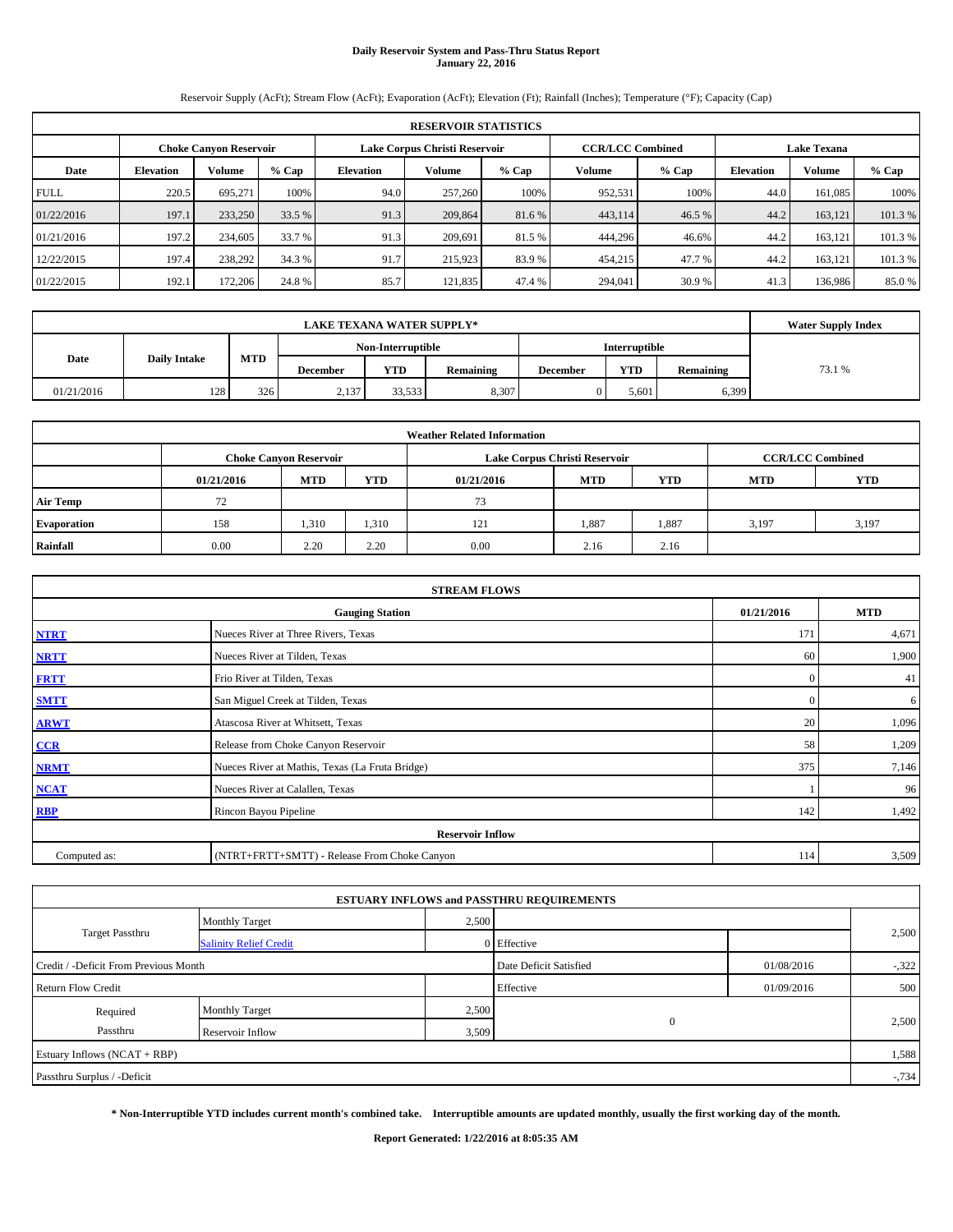# **Daily Reservoir System and Pass-Thru Status Report January 22, 2016**

Reservoir Supply (AcFt); Stream Flow (AcFt); Evaporation (AcFt); Elevation (Ft); Rainfall (Inches); Temperature (°F); Capacity (Cap)

|             | <b>RESERVOIR STATISTICS</b>                                                                                     |         |         |                  |         |         |         |         |                  |         |         |  |  |  |  |
|-------------|-----------------------------------------------------------------------------------------------------------------|---------|---------|------------------|---------|---------|---------|---------|------------------|---------|---------|--|--|--|--|
|             | <b>CCR/LCC Combined</b><br>Lake Corpus Christi Reservoir<br><b>Lake Texana</b><br><b>Choke Canyon Reservoir</b> |         |         |                  |         |         |         |         |                  |         |         |  |  |  |  |
| Date        | <b>Elevation</b>                                                                                                | Volume  | $%$ Cap | <b>Elevation</b> | Volume  | $%$ Cap | Volume  | $%$ Cap | <b>Elevation</b> | Volume  | % Cap   |  |  |  |  |
| <b>FULL</b> | 220.5                                                                                                           | 695.271 | 100%    | 94.0             | 257,260 | 100%    | 952,531 | 100%    | 44.0             | 161,085 | 100%    |  |  |  |  |
| 01/22/2016  | 197.1                                                                                                           | 233,250 | 33.5 %  | 91.3             | 209,864 | 81.6 %  | 443,114 | 46.5 %  | 44.2             | 163,121 | 101.3%  |  |  |  |  |
| 01/21/2016  | 197.2                                                                                                           | 234,605 | 33.7 %  | 91.3             | 209.691 | 81.5 %  | 444,296 | 46.6%   | 44.2             | 163.121 | 101.3%  |  |  |  |  |
| 12/22/2015  | 197.4                                                                                                           | 238,292 | 34.3 %  | 91.7             | 215,923 | 83.9%   | 454,215 | 47.7 %  | 44.2             | 163,121 | 101.3 % |  |  |  |  |
| 01/22/2015  | 192.1                                                                                                           | 172,206 | 24.8%   | 85.7             | 121,835 | 47.4 %  | 294,041 | 30.9 %  | 41.3             | 136,986 | 85.0%   |  |  |  |  |

|                                           | <b>LAKE TEXANA WATER SUPPLY*</b>          |     |                 |            |           |                 |            |           |        |  |  |  |
|-------------------------------------------|-------------------------------------------|-----|-----------------|------------|-----------|-----------------|------------|-----------|--------|--|--|--|
|                                           | <b>Interruptible</b><br>Non-Interruptible |     |                 |            |           |                 |            |           |        |  |  |  |
| <b>MTD</b><br>Date<br><b>Daily Intake</b> |                                           |     | <b>December</b> | <b>YTD</b> | Remaining | <b>December</b> | <b>YTD</b> | Remaining | 73.1 % |  |  |  |
| 01/21/2016                                | 128                                       | 326 | 2,137           | 33,533     | 8,307     |                 | 5,601      | 6,399     |        |  |  |  |

|                    |                                                                                           |            |            | <b>Weather Related Information</b> |            |       |            |            |  |  |  |  |
|--------------------|-------------------------------------------------------------------------------------------|------------|------------|------------------------------------|------------|-------|------------|------------|--|--|--|--|
|                    | Lake Corpus Christi Reservoir<br><b>CCR/LCC Combined</b><br><b>Choke Canyon Reservoir</b> |            |            |                                    |            |       |            |            |  |  |  |  |
|                    | 01/21/2016                                                                                | <b>MTD</b> | <b>YTD</b> | 01/21/2016                         | <b>MTD</b> | YTD   | <b>MTD</b> | <b>YTD</b> |  |  |  |  |
| <b>Air Temp</b>    | 72                                                                                        |            |            | 73                                 |            |       |            |            |  |  |  |  |
| <b>Evaporation</b> | 158                                                                                       | 1,310      | 1,310      | 121                                | 1,887      | 1,887 | 3,197      | 3,197      |  |  |  |  |
| Rainfall           | 0.00                                                                                      | 2.20       | 2.20       | 0.00                               | 2.16       | 2.16  |            |            |  |  |  |  |

| <b>STREAM FLOWS</b> |                                                 |              |            |  |  |  |  |  |  |  |
|---------------------|-------------------------------------------------|--------------|------------|--|--|--|--|--|--|--|
|                     | <b>Gauging Station</b>                          | 01/21/2016   | <b>MTD</b> |  |  |  |  |  |  |  |
| <b>NTRT</b>         | Nueces River at Three Rivers, Texas             | 171          | 4,671      |  |  |  |  |  |  |  |
| <b>NRTT</b>         | Nueces River at Tilden, Texas                   | 60           | 1,900      |  |  |  |  |  |  |  |
| <b>FRTT</b>         | Frio River at Tilden, Texas                     | $\mathbf{0}$ | 41         |  |  |  |  |  |  |  |
| <b>SMTT</b>         | San Miguel Creek at Tilden, Texas               | $\mathbf{0}$ | 6          |  |  |  |  |  |  |  |
| <b>ARWT</b>         | Atascosa River at Whitsett, Texas               | 20           | 1,096      |  |  |  |  |  |  |  |
| $CCR$               | Release from Choke Canyon Reservoir             | 58           | 1,209      |  |  |  |  |  |  |  |
| <b>NRMT</b>         | Nueces River at Mathis, Texas (La Fruta Bridge) | 375          | 7,146      |  |  |  |  |  |  |  |
| <b>NCAT</b>         | Nueces River at Calallen, Texas                 |              | 96         |  |  |  |  |  |  |  |
| <b>RBP</b>          | Rincon Bayou Pipeline                           | 142          | 1,492      |  |  |  |  |  |  |  |
|                     | <b>Reservoir Inflow</b>                         |              |            |  |  |  |  |  |  |  |
| Computed as:        | (NTRT+FRTT+SMTT) - Release From Choke Canyon    |              |            |  |  |  |  |  |  |  |

|                                       |                               |                        | <b>ESTUARY INFLOWS and PASSTHRU REQUIREMENTS</b> |            |        |  |
|---------------------------------------|-------------------------------|------------------------|--------------------------------------------------|------------|--------|--|
|                                       | <b>Monthly Target</b>         | 2,500                  |                                                  |            |        |  |
| Target Passthru                       | <b>Salinity Relief Credit</b> |                        | 0 Effective                                      |            | 2,500  |  |
| Credit / -Deficit From Previous Month |                               | Date Deficit Satisfied | 01/08/2016                                       | $-322$     |        |  |
| <b>Return Flow Credit</b>             |                               |                        | Effective                                        | 01/09/2016 | 500    |  |
| Required                              | <b>Monthly Target</b>         | 2,500                  |                                                  |            | 2,500  |  |
| Passthru                              | Reservoir Inflow              | 3,509                  | $\mathbf{0}$                                     |            |        |  |
| Estuary Inflows (NCAT + RBP)          |                               |                        |                                                  |            | 1,588  |  |
| Passthru Surplus / -Deficit           |                               |                        |                                                  |            | $-734$ |  |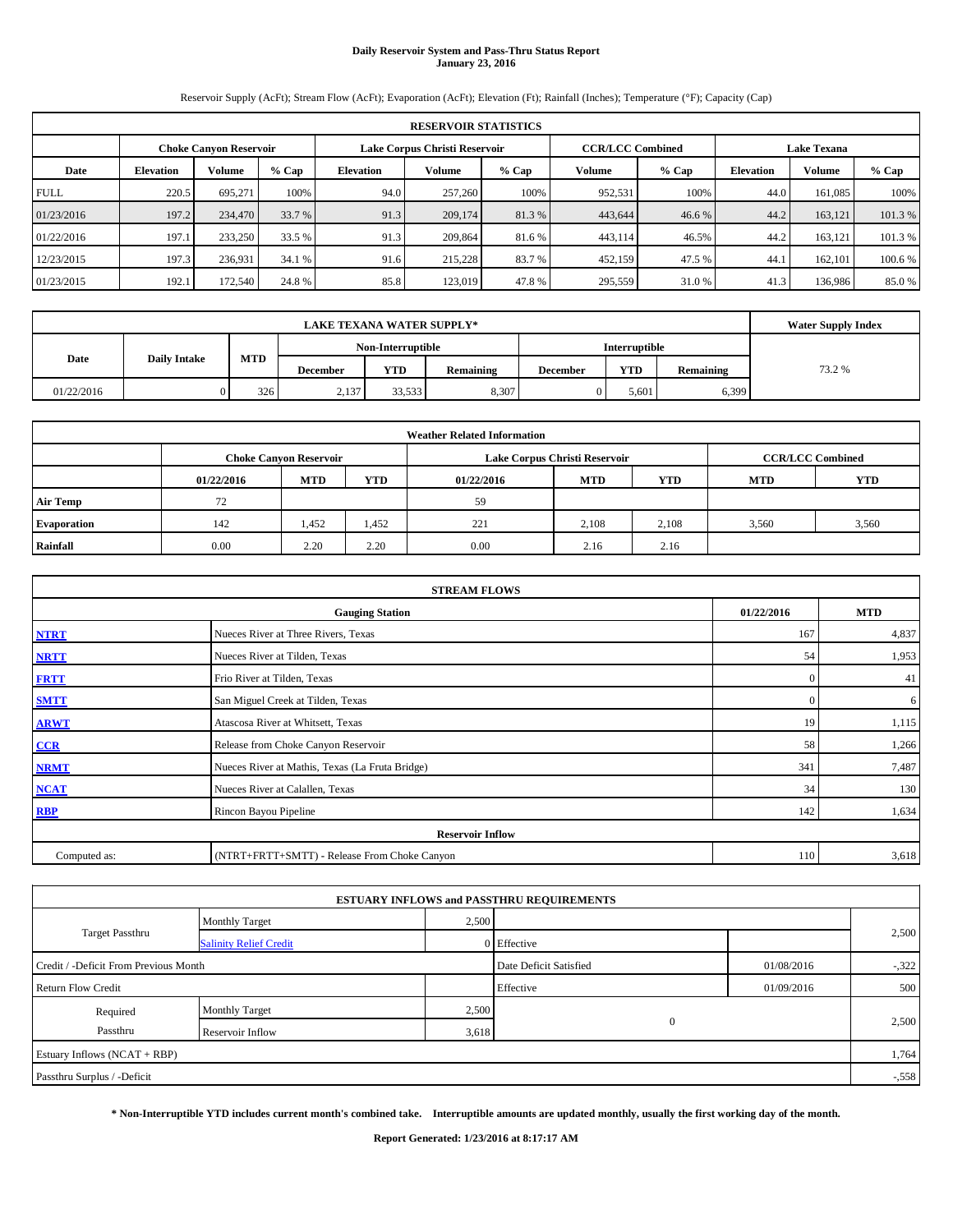# **Daily Reservoir System and Pass-Thru Status Report January 23, 2016**

Reservoir Supply (AcFt); Stream Flow (AcFt); Evaporation (AcFt); Elevation (Ft); Rainfall (Inches); Temperature (°F); Capacity (Cap)

|             | <b>RESERVOIR STATISTICS</b>   |         |         |                               |         |         |                         |         |                    |               |         |  |
|-------------|-------------------------------|---------|---------|-------------------------------|---------|---------|-------------------------|---------|--------------------|---------------|---------|--|
|             | <b>Choke Canyon Reservoir</b> |         |         | Lake Corpus Christi Reservoir |         |         | <b>CCR/LCC Combined</b> |         | <b>Lake Texana</b> |               |         |  |
| Date        | <b>Elevation</b>              | Volume  | $%$ Cap | <b>Elevation</b>              | Volume  | $%$ Cap | Volume                  | $%$ Cap | <b>Elevation</b>   | <b>Volume</b> | % Cap   |  |
| <b>FULL</b> | 220.5                         | 695.271 | 100%    | 94.0                          | 257,260 | 100%    | 952,531                 | 100%    | 44.0               | 161,085       | 100%    |  |
| 01/23/2016  | 197.2                         | 234,470 | 33.7 %  | 91.3                          | 209,174 | 81.3%   | 443,644                 | 46.6 %  | 44.2               | 163.121       | 101.3%  |  |
| 01/22/2016  | 197.1                         | 233,250 | 33.5 %  | 91.3                          | 209,864 | 81.6 %  | 443,114                 | 46.5%   | 44.2               | 163.121       | 101.3%  |  |
| 12/23/2015  | 197.3                         | 236.931 | 34.1 %  | 91.6                          | 215,228 | 83.7 %  | 452,159                 | 47.5 %  | 44.1               | 162,101       | 100.6 % |  |
| 01/23/2015  | 192.1                         | 172,540 | 24.8%   | 85.8                          | 123,019 | 47.8%   | 295,559                 | 31.0%   | 41.3               | 136,986       | 85.0%   |  |

|            | <b>Water Supply Index</b>                 |            |                 |            |           |                 |            |           |       |
|------------|-------------------------------------------|------------|-----------------|------------|-----------|-----------------|------------|-----------|-------|
|            | <b>Interruptible</b><br>Non-Interruptible |            |                 |            |           |                 |            |           |       |
| Date       | <b>Daily Intake</b>                       | <b>MTD</b> | <b>December</b> | <b>YTD</b> | Remaining | <b>December</b> | <b>YTD</b> | Remaining | 73.2% |
| 01/22/2016 |                                           | 326        | 2,137           | 33,533     | 8,307     |                 | 5,601      | 6,399     |       |

|                    | <b>Weather Related Information</b> |                               |            |            |                               |                         |            |            |  |  |  |
|--------------------|------------------------------------|-------------------------------|------------|------------|-------------------------------|-------------------------|------------|------------|--|--|--|
|                    |                                    | <b>Choke Canyon Reservoir</b> |            |            | Lake Corpus Christi Reservoir | <b>CCR/LCC Combined</b> |            |            |  |  |  |
|                    | 01/22/2016                         | <b>MTD</b>                    | <b>YTD</b> | 01/22/2016 | <b>MTD</b>                    | <b>YTD</b>              | <b>MTD</b> | <b>YTD</b> |  |  |  |
| <b>Air Temp</b>    | 72                                 |                               |            | 59         |                               |                         |            |            |  |  |  |
| <b>Evaporation</b> | 142                                | 1,452                         | 1,452      | 221        | 2,108                         | 2,108                   | 3.560      | 3,560      |  |  |  |
| Rainfall           | 0.00                               | 2.20                          | 2.20       | 0.00       | 2.16                          | 2.16                    |            |            |  |  |  |

| <b>STREAM FLOWS</b> |                                                 |              |            |  |  |  |  |  |  |  |
|---------------------|-------------------------------------------------|--------------|------------|--|--|--|--|--|--|--|
|                     | <b>Gauging Station</b>                          | 01/22/2016   | <b>MTD</b> |  |  |  |  |  |  |  |
| <b>NTRT</b>         | Nueces River at Three Rivers, Texas             | 167          | 4,837      |  |  |  |  |  |  |  |
| <b>NRTT</b>         | Nueces River at Tilden, Texas                   | 54           | 1,953      |  |  |  |  |  |  |  |
| <b>FRTT</b>         | Frio River at Tilden, Texas                     | $\mathbf{0}$ | 41         |  |  |  |  |  |  |  |
| <b>SMTT</b>         | San Miguel Creek at Tilden, Texas               | $\mathbf{0}$ | 6          |  |  |  |  |  |  |  |
| <b>ARWT</b>         | Atascosa River at Whitsett, Texas               | 19           | 1,115      |  |  |  |  |  |  |  |
| $CCR$               | Release from Choke Canyon Reservoir             | 58           | 1,266      |  |  |  |  |  |  |  |
| <b>NRMT</b>         | Nueces River at Mathis, Texas (La Fruta Bridge) | 341          | 7,487      |  |  |  |  |  |  |  |
| <b>NCAT</b>         | Nueces River at Calallen, Texas                 | 34           | 130        |  |  |  |  |  |  |  |
| <b>RBP</b>          | Rincon Bayou Pipeline                           | 142          | 1,634      |  |  |  |  |  |  |  |
|                     | <b>Reservoir Inflow</b>                         |              |            |  |  |  |  |  |  |  |
| Computed as:        | (NTRT+FRTT+SMTT) - Release From Choke Canyon    |              |            |  |  |  |  |  |  |  |

|                                       |                               |                        | <b>ESTUARY INFLOWS and PASSTHRU REQUIREMENTS</b> |            |          |  |
|---------------------------------------|-------------------------------|------------------------|--------------------------------------------------|------------|----------|--|
|                                       | <b>Monthly Target</b>         |                        | 2,500                                            |            |          |  |
| Target Passthru                       | <b>Salinity Relief Credit</b> |                        | 0 Effective                                      |            | 2,500    |  |
| Credit / -Deficit From Previous Month |                               | Date Deficit Satisfied | 01/08/2016                                       | $-322$     |          |  |
| <b>Return Flow Credit</b>             |                               |                        | Effective                                        | 01/09/2016 | 500      |  |
| Required                              | <b>Monthly Target</b>         | 2,500                  |                                                  |            |          |  |
| Passthru                              | Reservoir Inflow              | 3,618                  | $\mathbf{0}$                                     |            | 2,500    |  |
| Estuary Inflows (NCAT + RBP)          |                               |                        |                                                  |            | 1,764    |  |
| Passthru Surplus / -Deficit           |                               |                        |                                                  |            | $-0.558$ |  |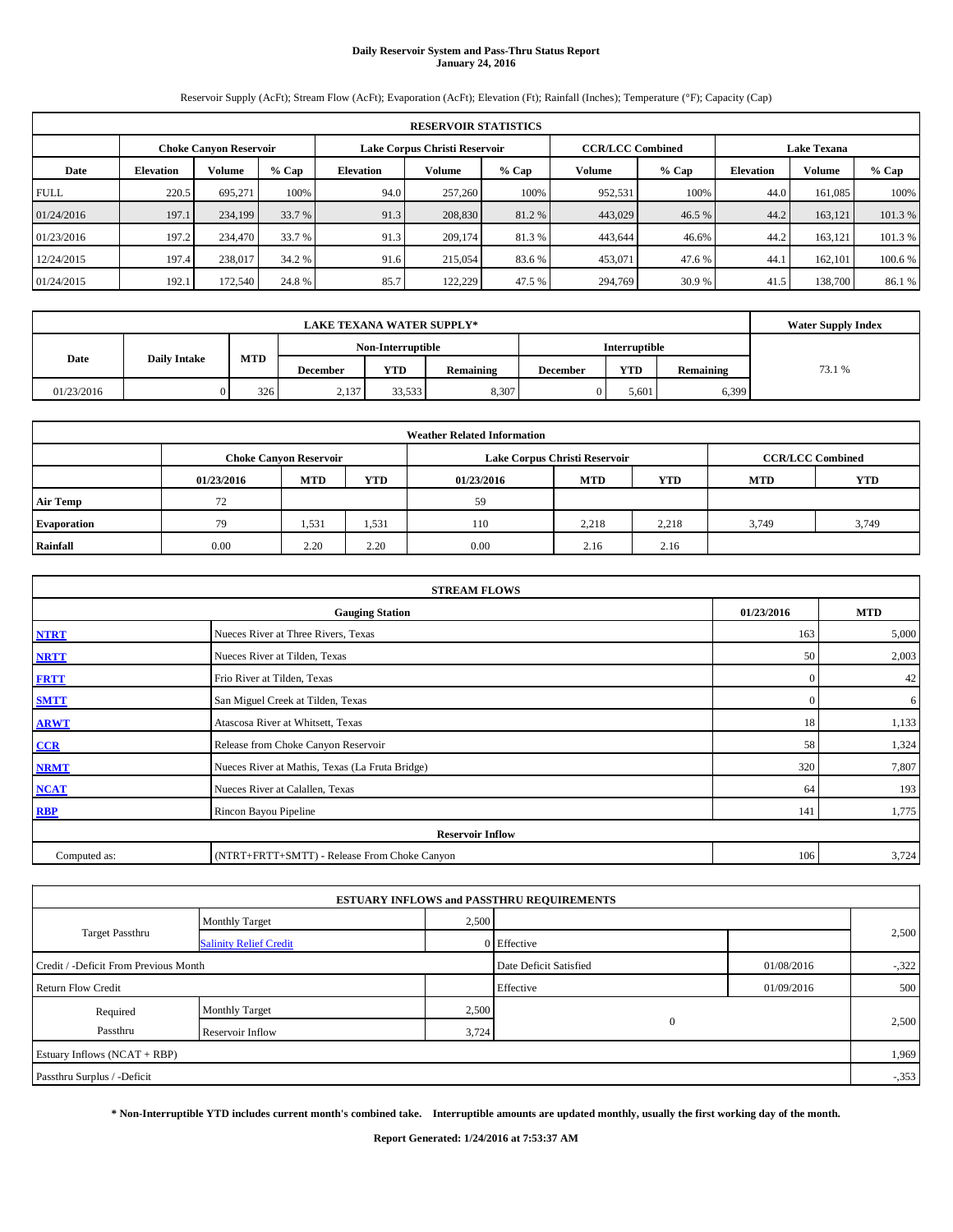# **Daily Reservoir System and Pass-Thru Status Report January 24, 2016**

Reservoir Supply (AcFt); Stream Flow (AcFt); Evaporation (AcFt); Elevation (Ft); Rainfall (Inches); Temperature (°F); Capacity (Cap)

|             | <b>RESERVOIR STATISTICS</b>   |               |         |                  |                                                          |         |         |                    |                  |               |         |  |
|-------------|-------------------------------|---------------|---------|------------------|----------------------------------------------------------|---------|---------|--------------------|------------------|---------------|---------|--|
|             | <b>Choke Canyon Reservoir</b> |               |         |                  | <b>CCR/LCC Combined</b><br>Lake Corpus Christi Reservoir |         |         | <b>Lake Texana</b> |                  |               |         |  |
| Date        | <b>Elevation</b>              | <b>Volume</b> | $%$ Cap | <b>Elevation</b> | Volume                                                   | $%$ Cap | Volume  | $%$ Cap            | <b>Elevation</b> | <b>Volume</b> | $%$ Cap |  |
| <b>FULL</b> | 220.5                         | 695.271       | 100%    | 94.0             | 257,260                                                  | 100%    | 952,531 | 100%               | 44.0             | 161.085       | 100%    |  |
| 01/24/2016  | 197.1                         | 234,199       | 33.7 %  | 91.3             | 208,830                                                  | 81.2%   | 443,029 | 46.5 %             | 44.2             | 163.121       | 101.3%  |  |
| 01/23/2016  | 197.2                         | 234,470       | 33.7 %  | 91.3             | 209,174                                                  | 81.3 %  | 443,644 | 46.6%              | 44.2             | 163.121       | 101.3 % |  |
| 12/24/2015  | 197.4                         | 238,017       | 34.2 %  | 91.6             | 215,054                                                  | 83.6 %  | 453,071 | 47.6%              | 44.1             | 162,101       | 100.6 % |  |
| 01/24/2015  | 192.1                         | 172,540       | 24.8 %  | 85.7             | 122.229                                                  | 47.5 %  | 294,769 | 30.9 %             | 41.5             | 138,700       | 86.1 %  |  |

|            | <b>Water Supply Index</b> |                                           |                 |            |           |                 |            |           |        |
|------------|---------------------------|-------------------------------------------|-----------------|------------|-----------|-----------------|------------|-----------|--------|
|            |                           | <b>Interruptible</b><br>Non-Interruptible |                 |            |           |                 |            |           |        |
| Date       | <b>Daily Intake</b>       | <b>MTD</b>                                | <b>December</b> | <b>YTD</b> | Remaining | <b>December</b> | <b>YTD</b> | Remaining | 73.1 % |
| 01/23/2016 |                           | 326                                       | 2,137           | 33,533     | 8,307     |                 | 5,601      | 6,399     |        |

|                    | <b>Weather Related Information</b> |                               |            |            |                               |                         |            |            |  |  |  |
|--------------------|------------------------------------|-------------------------------|------------|------------|-------------------------------|-------------------------|------------|------------|--|--|--|
|                    |                                    | <b>Choke Canyon Reservoir</b> |            |            | Lake Corpus Christi Reservoir | <b>CCR/LCC Combined</b> |            |            |  |  |  |
|                    | 01/23/2016                         | <b>MTD</b>                    | <b>YTD</b> | 01/23/2016 | <b>MTD</b>                    | <b>YTD</b>              | <b>MTD</b> | <b>YTD</b> |  |  |  |
| <b>Air Temp</b>    | 72                                 |                               |            | 59         |                               |                         |            |            |  |  |  |
| <b>Evaporation</b> | 79                                 | 1,531                         | 1,531      | 110        | 2,218                         | 2,218                   | 3.749      | 3,749      |  |  |  |
| Rainfall           | 0.00                               | 2.20                          | 2.20       | 0.00       | 2.16                          | 2.16                    |            |            |  |  |  |

| <b>STREAM FLOWS</b> |                                                 |              |            |  |  |  |  |  |  |  |
|---------------------|-------------------------------------------------|--------------|------------|--|--|--|--|--|--|--|
|                     | <b>Gauging Station</b>                          | 01/23/2016   | <b>MTD</b> |  |  |  |  |  |  |  |
| <b>NTRT</b>         | Nueces River at Three Rivers, Texas             | 163          | 5,000      |  |  |  |  |  |  |  |
| <b>NRTT</b>         | Nueces River at Tilden, Texas                   | 50           | 2,003      |  |  |  |  |  |  |  |
| <b>FRTT</b>         | Frio River at Tilden, Texas                     | $\mathbf{0}$ | 42         |  |  |  |  |  |  |  |
| <b>SMTT</b>         | San Miguel Creek at Tilden, Texas               | $\mathbf{0}$ | 6          |  |  |  |  |  |  |  |
| <b>ARWT</b>         | Atascosa River at Whitsett, Texas               | 18           | 1,133      |  |  |  |  |  |  |  |
| CCR                 | Release from Choke Canyon Reservoir             | 58           | 1,324      |  |  |  |  |  |  |  |
| <b>NRMT</b>         | Nueces River at Mathis, Texas (La Fruta Bridge) | 320          | 7,807      |  |  |  |  |  |  |  |
| <b>NCAT</b>         | Nueces River at Calallen, Texas                 | 64           | 193        |  |  |  |  |  |  |  |
| <b>RBP</b>          | Rincon Bayou Pipeline                           | 141          | 1,775      |  |  |  |  |  |  |  |
|                     | <b>Reservoir Inflow</b>                         |              |            |  |  |  |  |  |  |  |
| Computed as:        | (NTRT+FRTT+SMTT) - Release From Choke Canyon    |              |            |  |  |  |  |  |  |  |

|                                       |                               |       | <b>ESTUARY INFLOWS and PASSTHRU REQUIREMENTS</b> |            |        |  |
|---------------------------------------|-------------------------------|-------|--------------------------------------------------|------------|--------|--|
|                                       | <b>Monthly Target</b>         | 2,500 |                                                  |            |        |  |
| Target Passthru                       | <b>Salinity Relief Credit</b> |       | 0 Effective                                      |            | 2,500  |  |
| Credit / -Deficit From Previous Month |                               |       | Date Deficit Satisfied                           | 01/08/2016 | $-322$ |  |
| <b>Return Flow Credit</b>             |                               |       | Effective                                        | 01/09/2016 | 500    |  |
| Required                              | <b>Monthly Target</b>         | 2,500 |                                                  |            |        |  |
| Passthru                              | Reservoir Inflow              | 3,724 | $\mathbf{0}$                                     |            | 2,500  |  |
| Estuary Inflows (NCAT + RBP)          |                               |       |                                                  |            | 1,969  |  |
| Passthru Surplus / -Deficit           |                               |       |                                                  |            | $-353$ |  |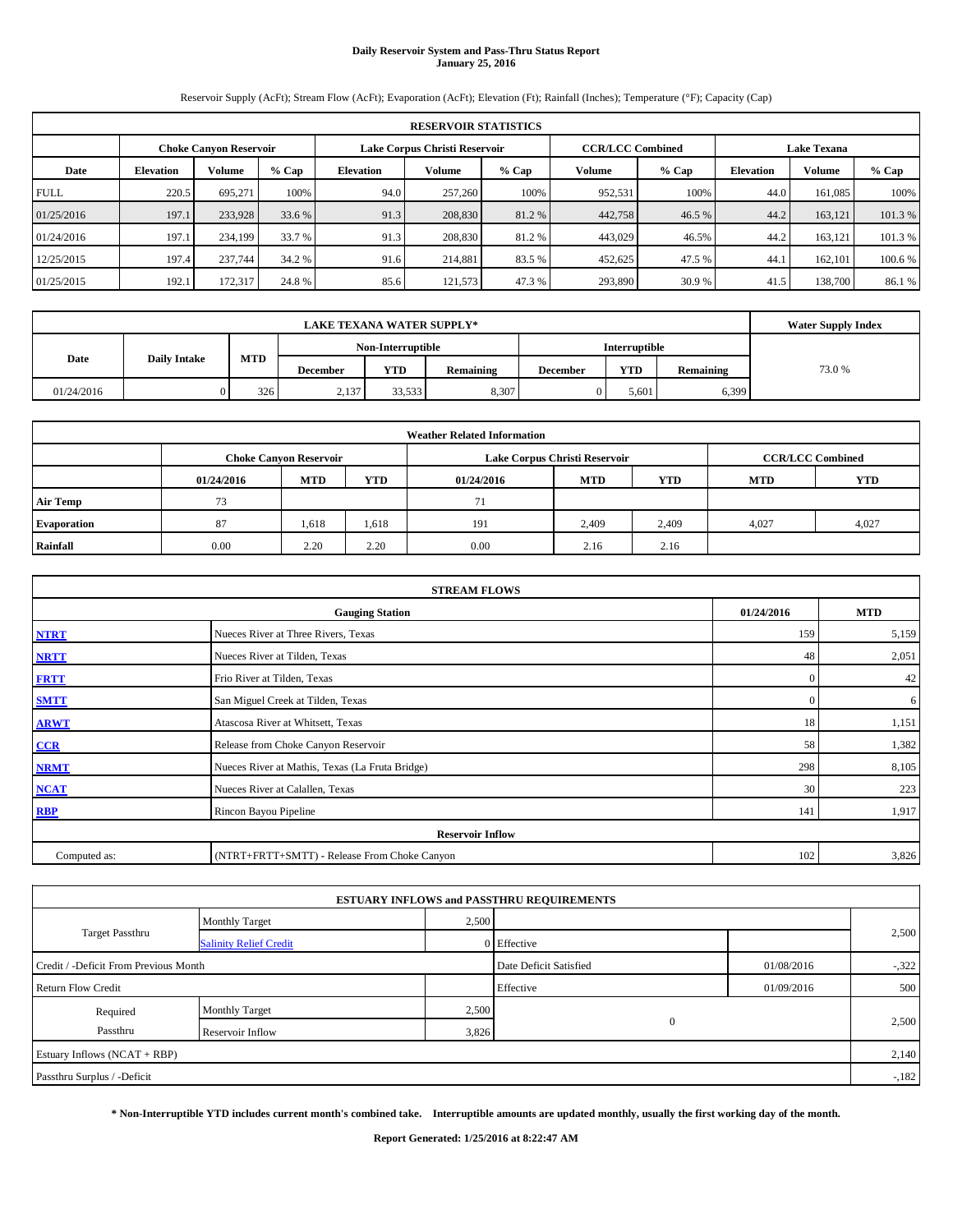# **Daily Reservoir System and Pass-Thru Status Report January 25, 2016**

Reservoir Supply (AcFt); Stream Flow (AcFt); Evaporation (AcFt); Elevation (Ft); Rainfall (Inches); Temperature (°F); Capacity (Cap)

|             | <b>RESERVOIR STATISTICS</b>                                                                                     |         |         |                  |               |         |         |         |                  |         |         |  |
|-------------|-----------------------------------------------------------------------------------------------------------------|---------|---------|------------------|---------------|---------|---------|---------|------------------|---------|---------|--|
|             | <b>CCR/LCC Combined</b><br>Lake Corpus Christi Reservoir<br><b>Lake Texana</b><br><b>Choke Canyon Reservoir</b> |         |         |                  |               |         |         |         |                  |         |         |  |
| Date        | <b>Elevation</b>                                                                                                | Volume  | $%$ Cap | <b>Elevation</b> | <b>Volume</b> | $%$ Cap | Volume  | $%$ Cap | <b>Elevation</b> | Volume  | % Cap   |  |
| <b>FULL</b> | 220.5                                                                                                           | 695.271 | 100%    | 94.0             | 257,260       | 100%    | 952,531 | 100%    | 44.0             | 161,085 | 100%    |  |
| 01/25/2016  | 197.1                                                                                                           | 233,928 | 33.6 %  | 91.3             | 208,830       | 81.2%   | 442,758 | 46.5 %  | 44.2             | 163.121 | 101.3%  |  |
| 01/24/2016  | 197.1                                                                                                           | 234,199 | 33.7 %  | 91.3             | 208,830       | 81.2%   | 443,029 | 46.5%   | 44.2             | 163.121 | 101.3%  |  |
| 12/25/2015  | 197.4                                                                                                           | 237,744 | 34.2 %  | 91.6             | 214,881       | 83.5 %  | 452,625 | 47.5 %  | 44.1             | 162,101 | 100.6 % |  |
| 01/25/2015  | 192.1                                                                                                           | 172.317 | 24.8%   | 85.6             | 121,573       | 47.3 %  | 293,890 | 30.9 %  | 41.5             | 138,700 | 86.1%   |  |

|            | <b>LAKE TEXANA WATER SUPPLY*</b> |            |          |                   |           |                 |                      |           |        |  |  |
|------------|----------------------------------|------------|----------|-------------------|-----------|-----------------|----------------------|-----------|--------|--|--|
|            |                                  |            |          | Non-Interruptible |           |                 | <b>Interruptible</b> |           |        |  |  |
| Date       | <b>Daily Intake</b>              | <b>MTD</b> | December | <b>YTD</b>        | Remaining | <b>December</b> | <b>YTD</b>           | Remaining | 73.0 % |  |  |
| 01/24/2016 |                                  | 326        | 2,137    | 33,533            | 8,307     |                 | 5.601                | 6,399     |        |  |  |

| <b>Weather Related Information</b> |            |                                                             |       |      |                               |                         |       |            |  |  |  |
|------------------------------------|------------|-------------------------------------------------------------|-------|------|-------------------------------|-------------------------|-------|------------|--|--|--|
|                                    |            | <b>Choke Canyon Reservoir</b>                               |       |      | Lake Corpus Christi Reservoir | <b>CCR/LCC Combined</b> |       |            |  |  |  |
|                                    | 01/24/2016 | <b>YTD</b><br>YTD<br><b>MTD</b><br><b>MTD</b><br>01/24/2016 |       |      |                               |                         |       | <b>YTD</b> |  |  |  |
| <b>Air Temp</b>                    | 73         |                                                             |       | 71   |                               |                         |       |            |  |  |  |
| <b>Evaporation</b>                 | 87         | 1,618                                                       | 1,618 | 191  | 2,409                         | 2,409                   | 4.027 | 4,027      |  |  |  |
| Rainfall                           | 0.00       | 2.20                                                        | 2.20  | 0.00 | 2.16                          | 2.16                    |       |            |  |  |  |

| <b>STREAM FLOWS</b>                                |                                                 |              |       |  |  |  |  |  |  |
|----------------------------------------------------|-------------------------------------------------|--------------|-------|--|--|--|--|--|--|
| 01/24/2016<br><b>MTD</b><br><b>Gauging Station</b> |                                                 |              |       |  |  |  |  |  |  |
| <b>NTRT</b>                                        | Nueces River at Three Rivers, Texas             | 159          | 5,159 |  |  |  |  |  |  |
| <b>NRTT</b>                                        | Nueces River at Tilden, Texas                   | 48           | 2,051 |  |  |  |  |  |  |
| <b>FRTT</b>                                        | Frio River at Tilden, Texas                     | $\mathbf{0}$ | 42    |  |  |  |  |  |  |
| <b>SMTT</b>                                        | San Miguel Creek at Tilden, Texas               | $\mathbf{0}$ | 6     |  |  |  |  |  |  |
| <b>ARWT</b>                                        | Atascosa River at Whitsett, Texas               | 18           | 1,151 |  |  |  |  |  |  |
| $CCR$                                              | Release from Choke Canyon Reservoir             | 58           | 1,382 |  |  |  |  |  |  |
| <b>NRMT</b>                                        | Nueces River at Mathis, Texas (La Fruta Bridge) | 298          | 8,105 |  |  |  |  |  |  |
| <b>NCAT</b>                                        | Nueces River at Calallen, Texas                 | 30           | 223   |  |  |  |  |  |  |
| <b>RBP</b>                                         | Rincon Bayou Pipeline                           | 141          | 1,917 |  |  |  |  |  |  |
|                                                    | <b>Reservoir Inflow</b>                         |              |       |  |  |  |  |  |  |
| Computed as:                                       | (NTRT+FRTT+SMTT) - Release From Choke Canyon    | 102          | 3,826 |  |  |  |  |  |  |

|                                       |                               |       | <b>ESTUARY INFLOWS and PASSTHRU REQUIREMENTS</b> |            |        |  |
|---------------------------------------|-------------------------------|-------|--------------------------------------------------|------------|--------|--|
|                                       | <b>Monthly Target</b>         | 2,500 |                                                  |            |        |  |
| Target Passthru                       | <b>Salinity Relief Credit</b> |       | 0 Effective                                      |            | 2,500  |  |
| Credit / -Deficit From Previous Month |                               |       | Date Deficit Satisfied                           | 01/08/2016 | $-322$ |  |
| <b>Return Flow Credit</b>             |                               |       | Effective                                        | 01/09/2016 | 500    |  |
| Required                              | <b>Monthly Target</b>         | 2,500 |                                                  |            |        |  |
| Passthru                              | Reservoir Inflow              | 3,826 | $\mathbf{0}$                                     |            | 2,500  |  |
| Estuary Inflows (NCAT + RBP)          |                               |       |                                                  |            | 2,140  |  |
| Passthru Surplus / -Deficit           |                               |       |                                                  |            | $-182$ |  |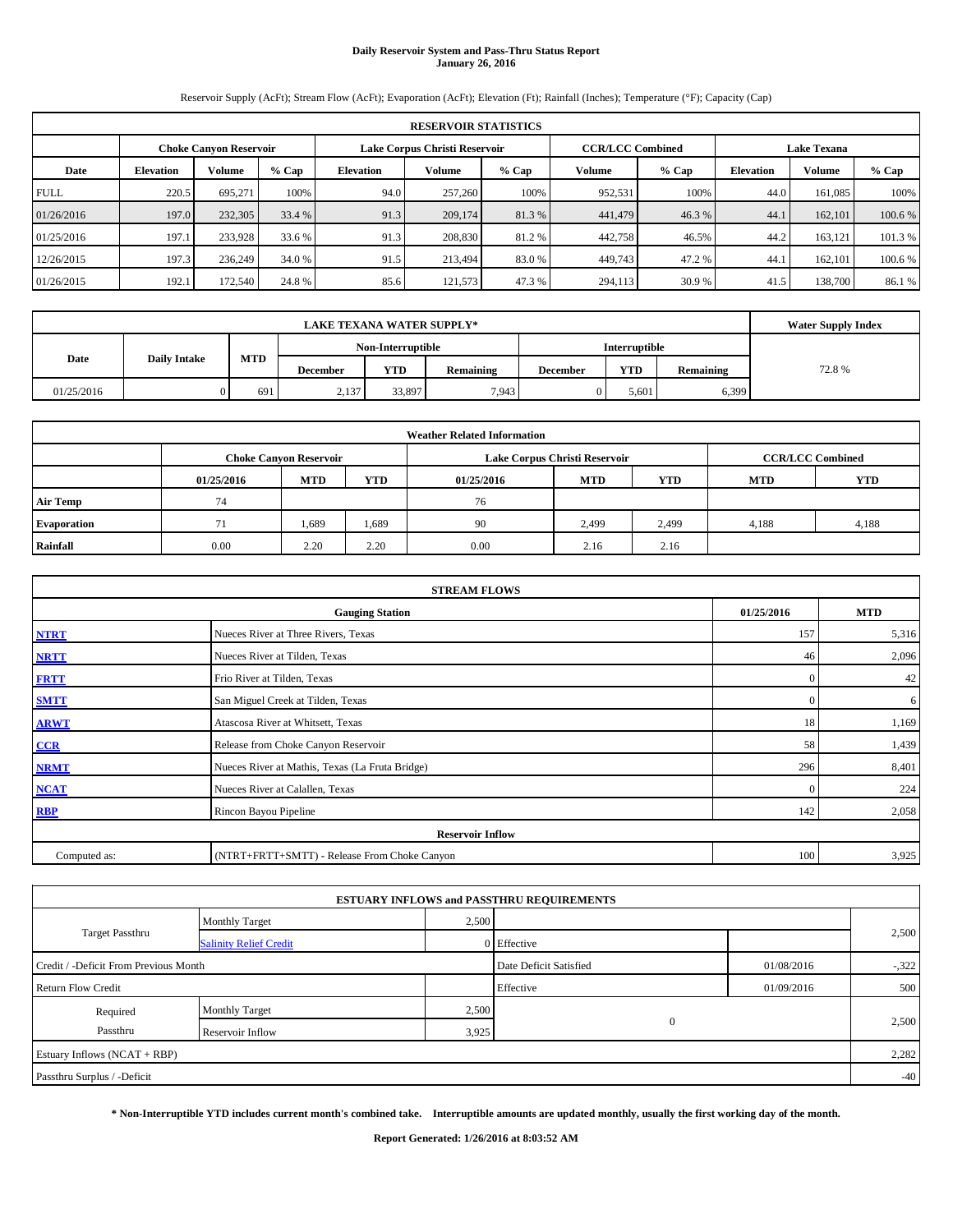# **Daily Reservoir System and Pass-Thru Status Report January 26, 2016**

Reservoir Supply (AcFt); Stream Flow (AcFt); Evaporation (AcFt); Elevation (Ft); Rainfall (Inches); Temperature (°F); Capacity (Cap)

| <b>RESERVOIR STATISTICS</b> |                                                                                                                 |         |         |                  |         |         |         |         |                  |               |         |
|-----------------------------|-----------------------------------------------------------------------------------------------------------------|---------|---------|------------------|---------|---------|---------|---------|------------------|---------------|---------|
|                             | <b>CCR/LCC Combined</b><br>Lake Corpus Christi Reservoir<br><b>Choke Canyon Reservoir</b><br><b>Lake Texana</b> |         |         |                  |         |         |         |         |                  |               |         |
| Date                        | <b>Elevation</b>                                                                                                | Volume  | $%$ Cap | <b>Elevation</b> | Volume  | $%$ Cap | Volume  | $%$ Cap | <b>Elevation</b> | <b>Volume</b> | $%$ Cap |
| <b>FULL</b>                 | 220.5                                                                                                           | 695.271 | 100%    | 94.0             | 257,260 | 100%    | 952,531 | 100%    | 44.0             | 161.085       | 100%    |
| 01/26/2016                  | 197.0                                                                                                           | 232,305 | 33.4 %  | 91.3             | 209,174 | 81.3%   | 441,479 | 46.3%   | 44.1             | 162,101       | 100.6 % |
| 01/25/2016                  | 197.1                                                                                                           | 233,928 | 33.6 %  | 91.3             | 208,830 | 81.2%   | 442,758 | 46.5%   | 44.2             | 163.121       | 101.3 % |
| 12/26/2015                  | 197.3                                                                                                           | 236,249 | 34.0 %  | 91.5             | 213,494 | 83.0%   | 449,743 | 47.2%   | 44.              | 162,101       | 100.6 % |
| 01/26/2015                  | 192.1                                                                                                           | 172,540 | 24.8 %  | 85.6             | 121,573 | 47.3%   | 294,113 | 30.9 %  | 41.5             | 138,700       | 86.1 %  |

|            | <b>LAKE TEXANA WATER SUPPLY*</b> |            |                 |                   |                      |                 |            |           |       |  |  |
|------------|----------------------------------|------------|-----------------|-------------------|----------------------|-----------------|------------|-----------|-------|--|--|
|            |                                  |            |                 | Non-Interruptible | <b>Interruptible</b> |                 |            |           |       |  |  |
| Date       | <b>Daily Intake</b>              | <b>MTD</b> | <b>December</b> | <b>YTD</b>        | Remaining            | <b>December</b> | <b>YTD</b> | Remaining | 72.8% |  |  |
| 01/25/2016 |                                  | 691        | 2,137           | 33,897            | 7,943                |                 | 5,601      | 6,399     |       |  |  |

|                                                                                  |      |                               |       | <b>Weather Related Information</b> |                               |                         |       |            |
|----------------------------------------------------------------------------------|------|-------------------------------|-------|------------------------------------|-------------------------------|-------------------------|-------|------------|
|                                                                                  |      | <b>Choke Canyon Reservoir</b> |       |                                    | Lake Corpus Christi Reservoir | <b>CCR/LCC Combined</b> |       |            |
| <b>YTD</b><br><b>MTD</b><br><b>YTD</b><br><b>MTD</b><br>01/25/2016<br>01/25/2016 |      |                               |       |                                    |                               |                         |       | <b>YTD</b> |
| <b>Air Temp</b>                                                                  | 74   |                               |       | 76                                 |                               |                         |       |            |
| <b>Evaporation</b>                                                               |      | 1,689                         | 1,689 | 90                                 | 2,499                         | 2,499                   | 4,188 | 4,188      |
| Rainfall                                                                         | 0.00 | 2.20                          | 2.20  | 0.00                               | 2.16                          | 2.16                    |       |            |

| <b>STREAM FLOWS</b>                                |                                                 |              |       |  |  |  |  |  |  |
|----------------------------------------------------|-------------------------------------------------|--------------|-------|--|--|--|--|--|--|
| 01/25/2016<br><b>MTD</b><br><b>Gauging Station</b> |                                                 |              |       |  |  |  |  |  |  |
| <b>NTRT</b>                                        | Nueces River at Three Rivers, Texas             | 157          | 5,316 |  |  |  |  |  |  |
| <b>NRTT</b>                                        | Nueces River at Tilden, Texas                   | 46           | 2,096 |  |  |  |  |  |  |
| <b>FRTT</b>                                        | Frio River at Tilden, Texas                     | $\mathbf{0}$ | 42    |  |  |  |  |  |  |
| <b>SMTT</b>                                        | San Miguel Creek at Tilden, Texas               | $\mathbf{0}$ | 6     |  |  |  |  |  |  |
| <b>ARWT</b>                                        | Atascosa River at Whitsett, Texas               | 18           | 1,169 |  |  |  |  |  |  |
| CCR                                                | Release from Choke Canyon Reservoir             | 58           | 1,439 |  |  |  |  |  |  |
| <b>NRMT</b>                                        | Nueces River at Mathis, Texas (La Fruta Bridge) | 296          | 8,401 |  |  |  |  |  |  |
| <b>NCAT</b>                                        | Nueces River at Calallen, Texas                 | $\mathbf{0}$ | 224   |  |  |  |  |  |  |
| RBP                                                | Rincon Bayou Pipeline                           | 142          | 2,058 |  |  |  |  |  |  |
|                                                    | <b>Reservoir Inflow</b>                         |              |       |  |  |  |  |  |  |
| Computed as:                                       | (NTRT+FRTT+SMTT) - Release From Choke Canyon    | 100          | 3,925 |  |  |  |  |  |  |

|                                       |                               |       | <b>ESTUARY INFLOWS and PASSTHRU REQUIREMENTS</b> |            |        |  |
|---------------------------------------|-------------------------------|-------|--------------------------------------------------|------------|--------|--|
|                                       | <b>Monthly Target</b>         | 2,500 |                                                  |            |        |  |
| <b>Target Passthru</b>                | <b>Salinity Relief Credit</b> |       | 0 Effective                                      |            | 2,500  |  |
| Credit / -Deficit From Previous Month |                               |       | Date Deficit Satisfied                           | 01/08/2016 | $-322$ |  |
| <b>Return Flow Credit</b>             |                               |       | Effective                                        | 01/09/2016 | 500    |  |
| Required                              | <b>Monthly Target</b>         | 2,500 |                                                  |            |        |  |
| Passthru                              | Reservoir Inflow              | 3,925 | $\mathbf{0}$                                     |            | 2,500  |  |
| Estuary Inflows (NCAT + RBP)          |                               |       |                                                  |            | 2,282  |  |
| Passthru Surplus / -Deficit           |                               |       |                                                  |            | $-40$  |  |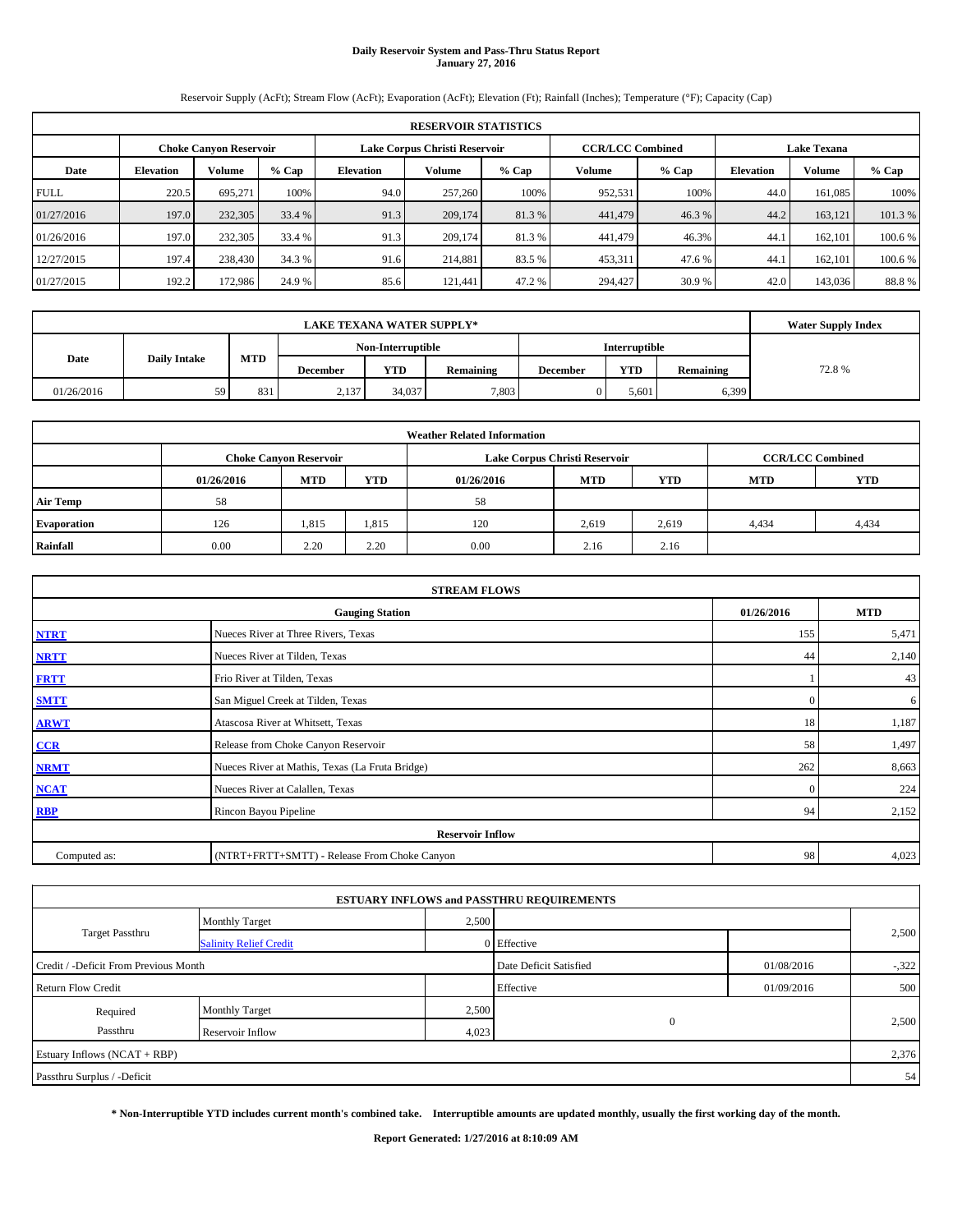# **Daily Reservoir System and Pass-Thru Status Report January 27, 2016**

Reservoir Supply (AcFt); Stream Flow (AcFt); Evaporation (AcFt); Elevation (Ft); Rainfall (Inches); Temperature (°F); Capacity (Cap)

| <b>RESERVOIR STATISTICS</b> |                                                                                                                 |         |         |                  |         |         |         |         |                  |               |         |
|-----------------------------|-----------------------------------------------------------------------------------------------------------------|---------|---------|------------------|---------|---------|---------|---------|------------------|---------------|---------|
|                             | <b>CCR/LCC Combined</b><br>Lake Corpus Christi Reservoir<br><b>Choke Canyon Reservoir</b><br><b>Lake Texana</b> |         |         |                  |         |         |         |         |                  |               |         |
| Date                        | <b>Elevation</b>                                                                                                | Volume  | $%$ Cap | <b>Elevation</b> | Volume  | $%$ Cap | Volume  | $%$ Cap | <b>Elevation</b> | <b>Volume</b> | $%$ Cap |
| <b>FULL</b>                 | 220.5                                                                                                           | 695.271 | 100%    | 94.0             | 257,260 | 100%    | 952,531 | 100%    | 44.0             | 161.085       | 100%    |
| 01/27/2016                  | 197.0                                                                                                           | 232,305 | 33.4 %  | 91.3             | 209,174 | 81.3%   | 441,479 | 46.3%   | 44.2             | 163.121       | 101.3%  |
| 01/26/2016                  | 197.0                                                                                                           | 232,305 | 33.4 %  | 91.3             | 209,174 | 81.3 %  | 441,479 | 46.3%   | 44.1             | 162,101       | 100.6 % |
| 12/27/2015                  | 197.4                                                                                                           | 238,430 | 34.3 %  | 91.6             | 214,881 | 83.5 %  | 453,311 | 47.6 %  | 44.1             | 162,101       | 100.6 % |
| 01/27/2015                  | 192.2                                                                                                           | 172,986 | 24.9 %  | 85.6             | 121.441 | 47.2 %  | 294,427 | 30.9 %  | 42.0             | 143,036       | 88.8%   |

|            | <b>LAKE TEXANA WATER SUPPLY*</b> |            |          |                   |           |                 |                      |           |       |  |  |  |
|------------|----------------------------------|------------|----------|-------------------|-----------|-----------------|----------------------|-----------|-------|--|--|--|
|            |                                  |            |          | Non-Interruptible |           |                 | <b>Interruptible</b> |           |       |  |  |  |
| Date       | <b>Daily Intake</b>              | <b>MTD</b> | December | <b>YTD</b>        | Remaining | <b>December</b> | <b>YTD</b>           | Remaining | 72.8% |  |  |  |
| 01/26/2016 | 59                               | 831        | 2,137    | 34,037            | 7,803     |                 | 5.601                | 6,399     |       |  |  |  |

| <b>Weather Related Information</b> |            |                               |            |            |                               |                         |            |            |  |  |
|------------------------------------|------------|-------------------------------|------------|------------|-------------------------------|-------------------------|------------|------------|--|--|
|                                    |            | <b>Choke Canyon Reservoir</b> |            |            | Lake Corpus Christi Reservoir | <b>CCR/LCC Combined</b> |            |            |  |  |
|                                    | 01/26/2016 | <b>MTD</b>                    | <b>YTD</b> | 01/26/2016 | <b>MTD</b>                    | <b>YTD</b>              | <b>MTD</b> | <b>YTD</b> |  |  |
| <b>Air Temp</b>                    | 58         |                               |            | 58         |                               |                         |            |            |  |  |
| <b>Evaporation</b>                 | 126        | 1,815                         | 1,815      | 120        | 2,619                         | 2,619                   | 4,434      | 4,434      |  |  |
| Rainfall                           | 0.00       | 2.20                          | 2.20       | 0.00       | 2.16                          | 2.16                    |            |            |  |  |

| <b>STREAM FLOWS</b> |                                                 |              |       |  |  |  |  |  |  |
|---------------------|-------------------------------------------------|--------------|-------|--|--|--|--|--|--|
|                     | 01/26/2016                                      | <b>MTD</b>   |       |  |  |  |  |  |  |
| <b>NTRT</b>         | Nueces River at Three Rivers, Texas             |              |       |  |  |  |  |  |  |
| <b>NRTT</b>         | Nueces River at Tilden, Texas                   | 44           | 2,140 |  |  |  |  |  |  |
| <b>FRTT</b>         | Frio River at Tilden, Texas                     |              | 43    |  |  |  |  |  |  |
| <b>SMTT</b>         | San Miguel Creek at Tilden, Texas               | $\mathbf{0}$ | 6     |  |  |  |  |  |  |
| <b>ARWT</b>         | Atascosa River at Whitsett, Texas               | 18           | 1,187 |  |  |  |  |  |  |
| $CCR$               | Release from Choke Canyon Reservoir             | 58           | 1,497 |  |  |  |  |  |  |
| <b>NRMT</b>         | Nueces River at Mathis, Texas (La Fruta Bridge) | 262          | 8,663 |  |  |  |  |  |  |
| <b>NCAT</b>         | Nueces River at Calallen, Texas                 | $\Omega$     | 224   |  |  |  |  |  |  |
| <b>RBP</b>          | Rincon Bayou Pipeline                           | 94           | 2,152 |  |  |  |  |  |  |
|                     | <b>Reservoir Inflow</b>                         |              |       |  |  |  |  |  |  |
| Computed as:        | (NTRT+FRTT+SMTT) - Release From Choke Canyon    | 98           | 4,023 |  |  |  |  |  |  |

|                                       |                               |                        | <b>ESTUARY INFLOWS and PASSTHRU REQUIREMENTS</b> |            |       |
|---------------------------------------|-------------------------------|------------------------|--------------------------------------------------|------------|-------|
|                                       | <b>Monthly Target</b>         | 2,500                  |                                                  |            |       |
| Target Passthru                       | <b>Salinity Relief Credit</b> |                        | 0 Effective                                      |            | 2,500 |
| Credit / -Deficit From Previous Month |                               | Date Deficit Satisfied | 01/08/2016                                       | $-322$     |       |
| <b>Return Flow Credit</b>             |                               |                        | Effective                                        | 01/09/2016 | 500   |
| Required                              | <b>Monthly Target</b>         | 2,500                  |                                                  |            |       |
| Passthru                              | Reservoir Inflow              | 4,023                  | $\mathbf{0}$                                     |            | 2,500 |
| Estuary Inflows (NCAT + RBP)          |                               |                        |                                                  |            | 2,376 |
| Passthru Surplus / -Deficit           |                               |                        |                                                  |            | 54    |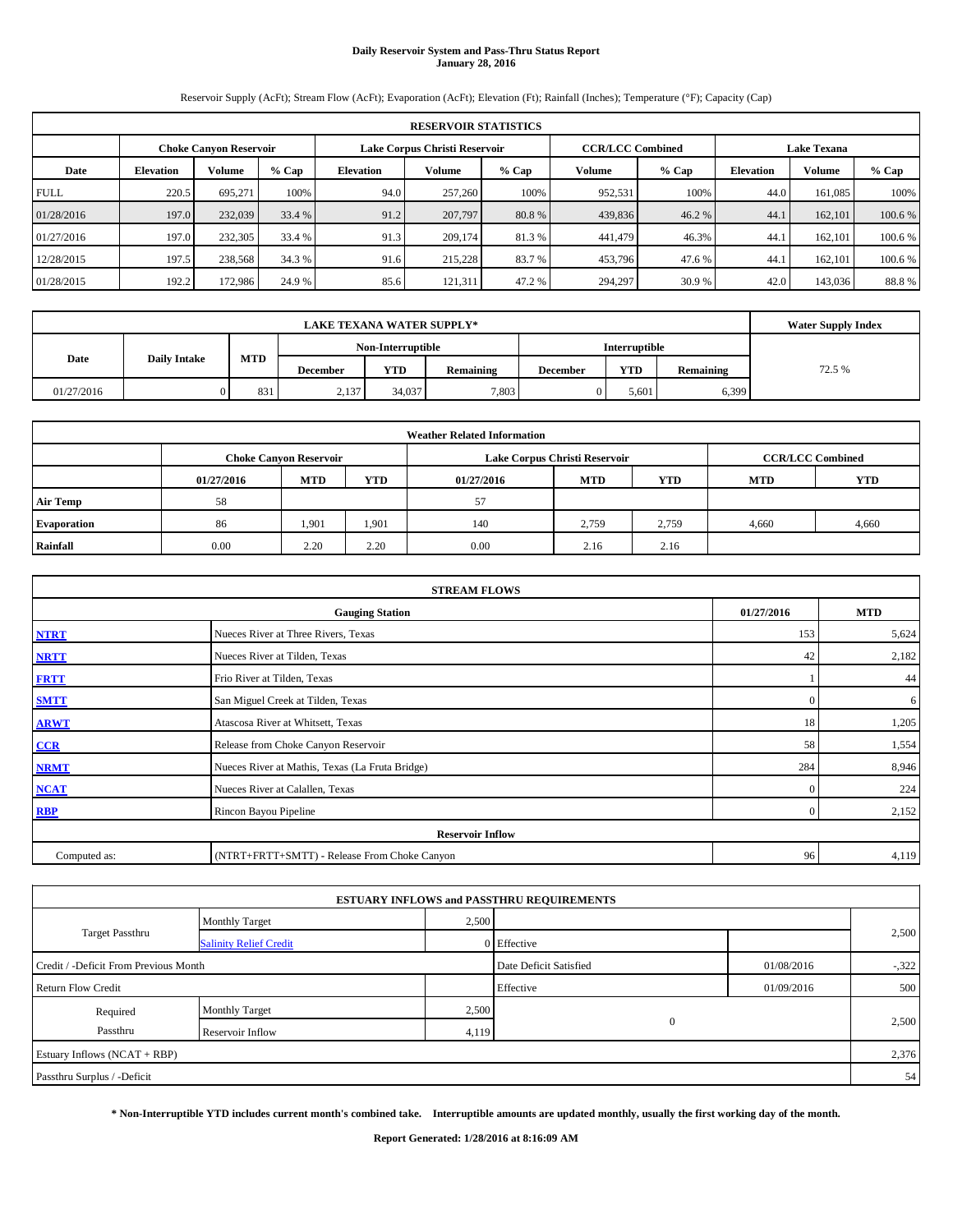# **Daily Reservoir System and Pass-Thru Status Report January 28, 2016**

Reservoir Supply (AcFt); Stream Flow (AcFt); Evaporation (AcFt); Elevation (Ft); Rainfall (Inches); Temperature (°F); Capacity (Cap)

|             | <b>RESERVOIR STATISTICS</b> |                               |         |                  |                               |         |                         |         |                    |         |         |  |
|-------------|-----------------------------|-------------------------------|---------|------------------|-------------------------------|---------|-------------------------|---------|--------------------|---------|---------|--|
|             |                             | <b>Choke Canyon Reservoir</b> |         |                  | Lake Corpus Christi Reservoir |         | <b>CCR/LCC Combined</b> |         | <b>Lake Texana</b> |         |         |  |
| Date        | <b>Elevation</b>            | Volume                        | $%$ Cap | <b>Elevation</b> | <b>Volume</b>                 | $%$ Cap | Volume                  | $%$ Cap | <b>Elevation</b>   | Volume  | % Cap   |  |
| <b>FULL</b> | 220.5                       | 695.271                       | 100%    | 94.0             | 257,260                       | 100%    | 952,531                 | 100%    | 44.0               | 161.085 | 100%    |  |
| 01/28/2016  | 197.0                       | 232,039                       | 33.4 %  | 91.2             | 207,797                       | 80.8%   | 439,836                 | 46.2 %  | 44.1               | 162,101 | 100.6 % |  |
| 01/27/2016  | 197.0                       | 232,305                       | 33.4 %  | 91.3             | 209,174                       | 81.3%   | 441,479                 | 46.3%   | 44.1               | 162,101 | 100.6 % |  |
| 12/28/2015  | 197.5                       | 238,568                       | 34.3 %  | 91.6             | 215,228                       | 83.7 %  | 453,796                 | 47.6 %  | 44.1               | 162,101 | 100.6 % |  |
| 01/28/2015  | 192.2                       | 172,986                       | 24.9 %  | 85.6             | 121,311                       | 47.2 %  | 294,297                 | 30.9 %  | 42.0               | 143,036 | 88.8%   |  |

|            | <b>Water Supply Index</b> |            |          |                   |           |                 |                      |           |        |
|------------|---------------------------|------------|----------|-------------------|-----------|-----------------|----------------------|-----------|--------|
|            |                           |            |          | Non-Interruptible |           |                 | <b>Interruptible</b> |           |        |
| Date       | <b>Daily Intake</b>       | <b>MTD</b> | December | <b>YTD</b>        | Remaining | <b>December</b> | <b>YTD</b>           | Remaining | 72.5 % |
| 01/27/2016 |                           | 831        | 2,137    | 34,037            | 7,803     |                 | 5.601                | 6,399     |        |

| <b>Weather Related Information</b> |            |                               |            |            |                               |                         |            |            |  |  |
|------------------------------------|------------|-------------------------------|------------|------------|-------------------------------|-------------------------|------------|------------|--|--|
|                                    |            | <b>Choke Canyon Reservoir</b> |            |            | Lake Corpus Christi Reservoir | <b>CCR/LCC Combined</b> |            |            |  |  |
|                                    | 01/27/2016 | <b>MTD</b>                    | <b>YTD</b> | 01/27/2016 | <b>MTD</b>                    | <b>YTD</b>              | <b>MTD</b> | <b>YTD</b> |  |  |
| <b>Air Temp</b>                    | 58         |                               |            | 57         |                               |                         |            |            |  |  |
| <b>Evaporation</b>                 | 86         | 1,901                         | 1,901      | 140        | 2,759                         | 2,759                   | 4.660      | 4,660      |  |  |
| Rainfall                           | 0.00       | 2.20                          | 2.20       | 0.00       | 2.16                          | 2.16                    |            |            |  |  |

| <b>STREAM FLOWS</b> |                                                 |                |       |  |  |  |  |  |  |
|---------------------|-------------------------------------------------|----------------|-------|--|--|--|--|--|--|
|                     | <b>Gauging Station</b>                          |                |       |  |  |  |  |  |  |
| <b>NTRT</b>         | Nueces River at Three Rivers, Texas             | 153            | 5,624 |  |  |  |  |  |  |
| <b>NRTT</b>         | Nueces River at Tilden, Texas                   | 42             | 2,182 |  |  |  |  |  |  |
| <b>FRTT</b>         | Frio River at Tilden, Texas                     |                | 44    |  |  |  |  |  |  |
| <b>SMTT</b>         | San Miguel Creek at Tilden, Texas               | $\mathbf{0}$   | 6     |  |  |  |  |  |  |
| <b>ARWT</b>         | Atascosa River at Whitsett, Texas               | 18             | 1,205 |  |  |  |  |  |  |
| $CCR$               | Release from Choke Canyon Reservoir             | 58             | 1,554 |  |  |  |  |  |  |
| <b>NRMT</b>         | Nueces River at Mathis, Texas (La Fruta Bridge) | 284            | 8,946 |  |  |  |  |  |  |
| <b>NCAT</b>         | Nueces River at Calallen, Texas                 | $\Omega$       | 224   |  |  |  |  |  |  |
| <b>RBP</b>          | Rincon Bayou Pipeline                           | $\overline{0}$ | 2,152 |  |  |  |  |  |  |
|                     | <b>Reservoir Inflow</b>                         |                |       |  |  |  |  |  |  |
| Computed as:        | (NTRT+FRTT+SMTT) - Release From Choke Canyon    | 96             | 4,119 |  |  |  |  |  |  |

|                                       |                               |                        | <b>ESTUARY INFLOWS and PASSTHRU REQUIREMENTS</b> |            |       |
|---------------------------------------|-------------------------------|------------------------|--------------------------------------------------|------------|-------|
|                                       | <b>Monthly Target</b>         | 2,500                  |                                                  |            |       |
| Target Passthru                       | <b>Salinity Relief Credit</b> |                        | 0 Effective                                      |            | 2,500 |
| Credit / -Deficit From Previous Month |                               | Date Deficit Satisfied | 01/08/2016                                       | $-322$     |       |
| <b>Return Flow Credit</b>             |                               |                        | Effective                                        | 01/09/2016 | 500   |
| Required                              | <b>Monthly Target</b>         | 2,500                  |                                                  |            |       |
| Passthru                              | Reservoir Inflow              | 4,119                  | $\mathbf{0}$                                     |            | 2,500 |
| Estuary Inflows (NCAT + RBP)          |                               |                        |                                                  |            | 2,376 |
| Passthru Surplus / -Deficit           |                               |                        |                                                  |            | 54    |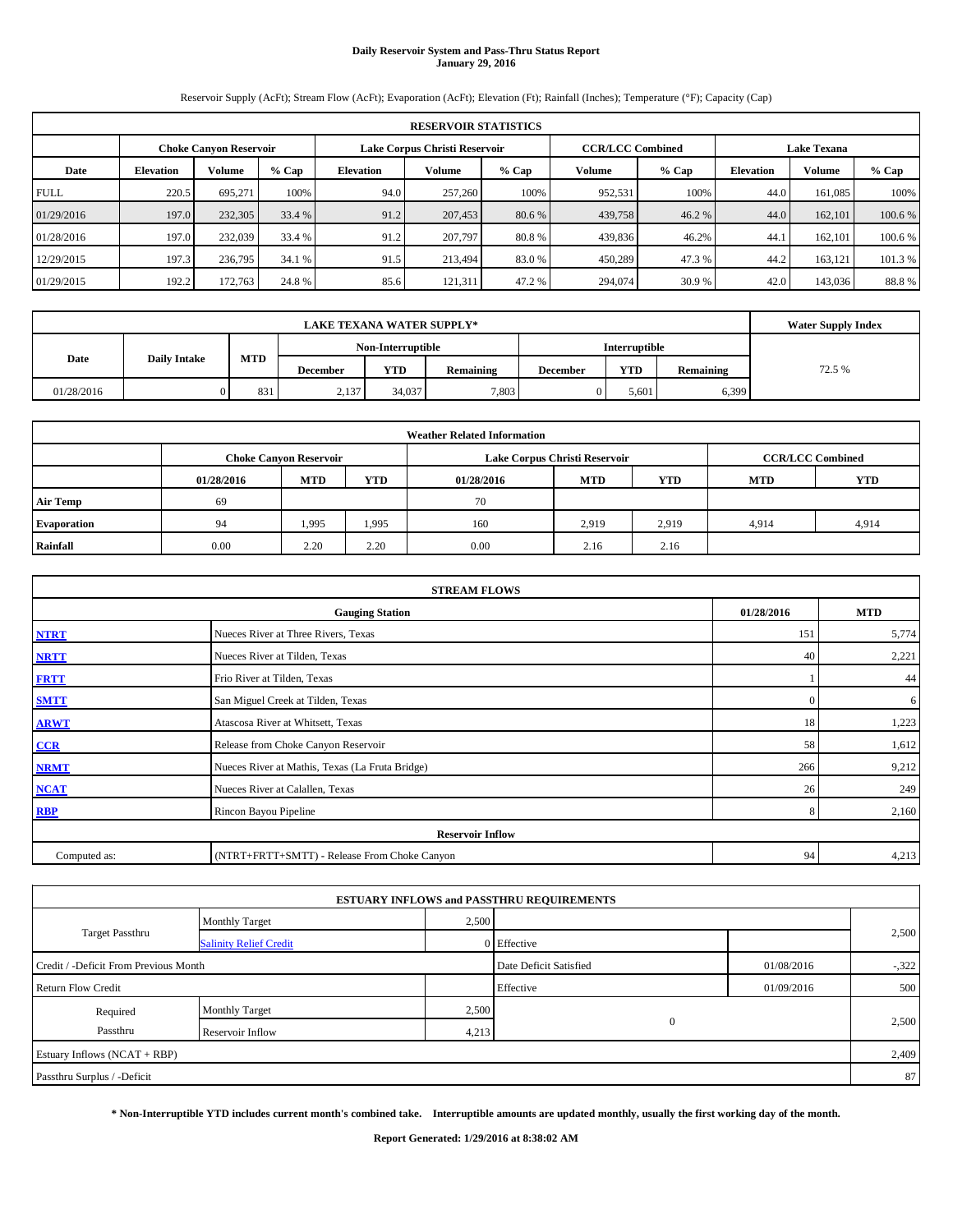# **Daily Reservoir System and Pass-Thru Status Report January 29, 2016**

Reservoir Supply (AcFt); Stream Flow (AcFt); Evaporation (AcFt); Elevation (Ft); Rainfall (Inches); Temperature (°F); Capacity (Cap)

|             | <b>RESERVOIR STATISTICS</b> |                               |         |                  |                               |         |                         |         |                    |         |         |  |
|-------------|-----------------------------|-------------------------------|---------|------------------|-------------------------------|---------|-------------------------|---------|--------------------|---------|---------|--|
|             |                             | <b>Choke Canyon Reservoir</b> |         |                  | Lake Corpus Christi Reservoir |         | <b>CCR/LCC Combined</b> |         | <b>Lake Texana</b> |         |         |  |
| Date        | <b>Elevation</b>            | Volume                        | $%$ Cap | <b>Elevation</b> | <b>Volume</b>                 | $%$ Cap | Volume                  | $%$ Cap | <b>Elevation</b>   | Volume  | % Cap   |  |
| <b>FULL</b> | 220.5                       | 695.271                       | 100%    | 94.0             | 257,260                       | 100%    | 952,531                 | 100%    | 44.0               | 161.085 | 100%    |  |
| 01/29/2016  | 197.0                       | 232,305                       | 33.4 %  | 91.2             | 207,453                       | 80.6 %  | 439,758                 | 46.2 %  | 44.0               | 162,101 | 100.6 % |  |
| 01/28/2016  | 197.0                       | 232,039                       | 33.4 %  | 91.2             | 207,797                       | 80.8%   | 439,836                 | 46.2%   | 44.1               | 162,101 | 100.6 % |  |
| 12/29/2015  | 197.3                       | 236,795                       | 34.1 %  | 91.5             | 213.494                       | 83.0 %  | 450,289                 | 47.3 %  | 44.2               | 163,121 | 101.3 % |  |
| 01/29/2015  | 192.2                       | 172,763                       | 24.8%   | 85.6             | 121,311                       | 47.2 %  | 294,074                 | 30.9 %  | 42.0               | 143,036 | 88.8%   |  |

|            | <b>Water Supply Index</b> |            |                 |                   |           |                 |               |           |        |
|------------|---------------------------|------------|-----------------|-------------------|-----------|-----------------|---------------|-----------|--------|
|            |                           |            |                 | Non-Interruptible |           |                 | Interruptible |           |        |
| Date       | <b>Daily Intake</b>       | <b>MTD</b> | <b>December</b> | <b>YTD</b>        | Remaining | <b>December</b> | YTD           | Remaining | 72.5 % |
| 01/28/2016 |                           | 831        | 2,137           | 34,037            | 7,803     |                 | 5.601         | 6,399     |        |

| <b>Weather Related Information</b> |            |                               |            |            |                               |                         |            |            |  |  |
|------------------------------------|------------|-------------------------------|------------|------------|-------------------------------|-------------------------|------------|------------|--|--|
|                                    |            | <b>Choke Canyon Reservoir</b> |            |            | Lake Corpus Christi Reservoir | <b>CCR/LCC Combined</b> |            |            |  |  |
|                                    | 01/28/2016 | <b>MTD</b>                    | <b>YTD</b> | 01/28/2016 | <b>MTD</b>                    | YTD                     | <b>MTD</b> | <b>YTD</b> |  |  |
| <b>Air Temp</b>                    | 69         |                               |            | 70         |                               |                         |            |            |  |  |
| <b>Evaporation</b>                 | 94         | 1,995                         | 1,995      | 160        | 2,919                         | 2,919                   | 4.914      | 4,914      |  |  |
| Rainfall                           | 0.00       | 2.20                          | 2.20       | 0.00       | 2.16                          | 2.16                    |            |            |  |  |

| <b>STREAM FLOWS</b> |                                                 |              |       |  |  |  |  |  |  |
|---------------------|-------------------------------------------------|--------------|-------|--|--|--|--|--|--|
|                     | <b>Gauging Station</b>                          |              |       |  |  |  |  |  |  |
| <b>NTRT</b>         | Nueces River at Three Rivers, Texas             | 151          | 5,774 |  |  |  |  |  |  |
| <b>NRTT</b>         | Nueces River at Tilden, Texas                   | 40           | 2,221 |  |  |  |  |  |  |
| <b>FRTT</b>         | Frio River at Tilden, Texas                     |              | 44    |  |  |  |  |  |  |
| <b>SMTT</b>         | San Miguel Creek at Tilden, Texas               | $\mathbf{0}$ | 6     |  |  |  |  |  |  |
| <b>ARWT</b>         | Atascosa River at Whitsett, Texas               | 18           | 1,223 |  |  |  |  |  |  |
| $CCR$               | Release from Choke Canyon Reservoir             | 58           | 1,612 |  |  |  |  |  |  |
| <b>NRMT</b>         | Nueces River at Mathis, Texas (La Fruta Bridge) | 266          | 9,212 |  |  |  |  |  |  |
| <b>NCAT</b>         | Nueces River at Calallen, Texas                 | 26           | 249   |  |  |  |  |  |  |
| <b>RBP</b>          | Rincon Bayou Pipeline                           | 8            | 2,160 |  |  |  |  |  |  |
|                     | <b>Reservoir Inflow</b>                         |              |       |  |  |  |  |  |  |
| Computed as:        | (NTRT+FRTT+SMTT) - Release From Choke Canyon    | 94           | 4,213 |  |  |  |  |  |  |

|                                       |                               |       | <b>ESTUARY INFLOWS and PASSTHRU REQUIREMENTS</b> |            |        |
|---------------------------------------|-------------------------------|-------|--------------------------------------------------|------------|--------|
|                                       | <b>Monthly Target</b>         | 2,500 |                                                  |            |        |
| Target Passthru                       | <b>Salinity Relief Credit</b> |       | 0 Effective                                      |            | 2,500  |
| Credit / -Deficit From Previous Month |                               |       | Date Deficit Satisfied                           | 01/08/2016 | $-322$ |
| <b>Return Flow Credit</b>             |                               |       | Effective                                        | 01/09/2016 | 500    |
| Required                              | <b>Monthly Target</b>         | 2,500 |                                                  |            |        |
| Passthru                              | Reservoir Inflow              | 4,213 | $\mathbf{0}$                                     |            | 2,500  |
| Estuary Inflows (NCAT + RBP)          |                               |       |                                                  |            | 2,409  |
| Passthru Surplus / -Deficit           |                               |       |                                                  |            | 87     |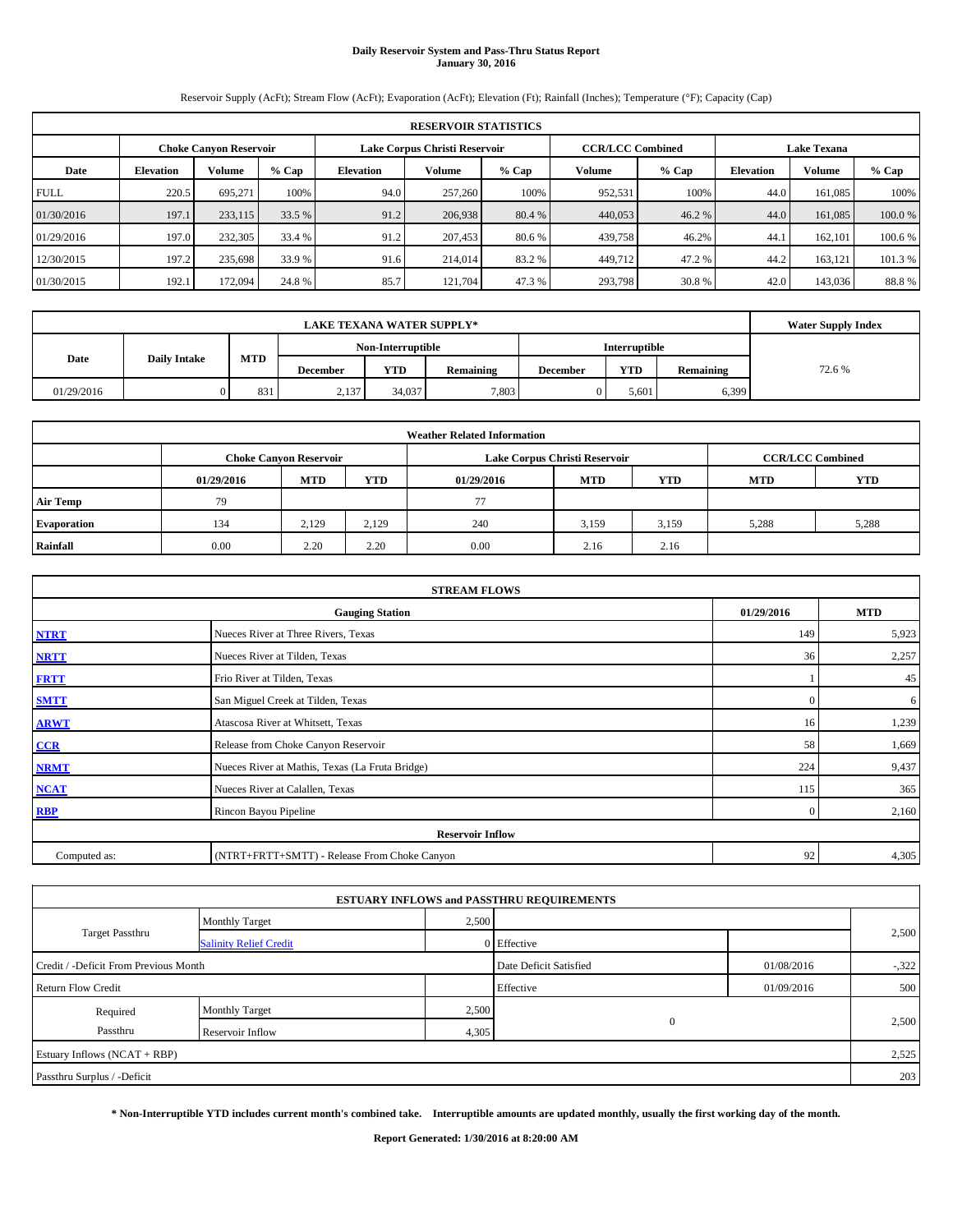# **Daily Reservoir System and Pass-Thru Status Report January 30, 2016**

Reservoir Supply (AcFt); Stream Flow (AcFt); Evaporation (AcFt); Elevation (Ft); Rainfall (Inches); Temperature (°F); Capacity (Cap)

|             | <b>RESERVOIR STATISTICS</b>   |         |         |                               |               |         |                         |         |                    |         |         |  |
|-------------|-------------------------------|---------|---------|-------------------------------|---------------|---------|-------------------------|---------|--------------------|---------|---------|--|
|             | <b>Choke Canyon Reservoir</b> |         |         | Lake Corpus Christi Reservoir |               |         | <b>CCR/LCC Combined</b> |         | <b>Lake Texana</b> |         |         |  |
| Date        | <b>Elevation</b>              | Volume  | $%$ Cap | <b>Elevation</b>              | <b>Volume</b> | $%$ Cap | Volume                  | $%$ Cap | <b>Elevation</b>   | Volume  | % Cap   |  |
| <b>FULL</b> | 220.5                         | 695.271 | 100%    | 94.0                          | 257,260       | 100%    | 952,531                 | 100%    | 44.0               | 161,085 | 100%    |  |
| 01/30/2016  | 197.1                         | 233,115 | 33.5 %  | 91.2                          | 206,938       | 80.4 %  | 440,053                 | 46.2 %  | 44.0               | 161,085 | 100.0%  |  |
| 01/29/2016  | 197.0                         | 232,305 | 33.4 %  | 91.2                          | 207,453       | 80.6 %  | 439,758                 | 46.2%   | 44.1               | 162,101 | 100.6 % |  |
| 12/30/2015  | 197.2                         | 235,698 | 33.9 %  | 91.6                          | 214,014       | 83.2 %  | 449,712                 | 47.2 %  | 44.2               | 163,121 | 101.3 % |  |
| 01/30/2015  | 192.1                         | 172,094 | 24.8%   | 85.7                          | 121.704       | 47.3 %  | 293,798                 | 30.8%   | 42.0               | 143,036 | 88.8%   |  |

|            | <b>Water Supply Index</b> |            |          |            |                      |                 |            |           |        |
|------------|---------------------------|------------|----------|------------|----------------------|-----------------|------------|-----------|--------|
|            | Non-Interruptible         |            |          |            | <b>Interruptible</b> |                 |            |           |        |
| Date       | <b>Daily Intake</b>       | <b>MTD</b> | December | <b>YTD</b> | Remaining            | <b>December</b> | <b>YTD</b> | Remaining | 72.6 % |
| 01/29/2016 |                           | 831        | 2,137    | 34,037     | 7,803                |                 | 5.601      | 6,399     |        |

| <b>Weather Related Information</b> |                               |            |            |            |                               |                         |            |            |  |  |
|------------------------------------|-------------------------------|------------|------------|------------|-------------------------------|-------------------------|------------|------------|--|--|
|                                    | <b>Choke Canyon Reservoir</b> |            |            |            | Lake Corpus Christi Reservoir | <b>CCR/LCC Combined</b> |            |            |  |  |
|                                    | 01/29/2016                    | <b>MTD</b> | <b>YTD</b> | 01/29/2016 | <b>MTD</b>                    | YTD                     | <b>MTD</b> | <b>YTD</b> |  |  |
| <b>Air Temp</b>                    | 79                            |            |            | 77         |                               |                         |            |            |  |  |
| <b>Evaporation</b>                 | 134                           | 2,129      | 2.129      | 240        | 3,159                         | 3,159                   | 5,288      | 5,288      |  |  |
| Rainfall                           | 0.00                          | 2.20       | 2.20       | 0.00       | 2.16                          | 2.16                    |            |            |  |  |

| <b>STREAM FLOWS</b> |                                                 |                |            |  |  |  |  |  |  |
|---------------------|-------------------------------------------------|----------------|------------|--|--|--|--|--|--|
|                     | <b>Gauging Station</b>                          | 01/29/2016     | <b>MTD</b> |  |  |  |  |  |  |
| <b>NTRT</b>         | Nueces River at Three Rivers, Texas             | 149            | 5,923      |  |  |  |  |  |  |
| <b>NRTT</b>         | Nueces River at Tilden, Texas                   | 36             | 2,257      |  |  |  |  |  |  |
| <b>FRTT</b>         | Frio River at Tilden, Texas                     |                | 45         |  |  |  |  |  |  |
| <b>SMTT</b>         | San Miguel Creek at Tilden, Texas               | $\Omega$       | 6          |  |  |  |  |  |  |
| <b>ARWT</b>         | Atascosa River at Whitsett, Texas               | 16             | 1,239      |  |  |  |  |  |  |
| $CCR$               | Release from Choke Canyon Reservoir             | 58             | 1,669      |  |  |  |  |  |  |
| <b>NRMT</b>         | Nueces River at Mathis, Texas (La Fruta Bridge) | 224            | 9,437      |  |  |  |  |  |  |
| <b>NCAT</b>         | Nueces River at Calallen, Texas                 | 115            | 365        |  |  |  |  |  |  |
| <b>RBP</b>          | Rincon Bayou Pipeline                           | $\overline{0}$ | 2,160      |  |  |  |  |  |  |
|                     | <b>Reservoir Inflow</b>                         |                |            |  |  |  |  |  |  |
| Computed as:        | (NTRT+FRTT+SMTT) - Release From Choke Canyon    | 92             | 4,305      |  |  |  |  |  |  |

|                                       |                               |       | <b>ESTUARY INFLOWS and PASSTHRU REQUIREMENTS</b> |            |        |  |
|---------------------------------------|-------------------------------|-------|--------------------------------------------------|------------|--------|--|
|                                       | <b>Monthly Target</b>         | 2,500 |                                                  |            |        |  |
| Target Passthru                       | <b>Salinity Relief Credit</b> |       | 0 Effective                                      |            | 2,500  |  |
| Credit / -Deficit From Previous Month |                               |       | Date Deficit Satisfied                           | 01/08/2016 | $-322$ |  |
| <b>Return Flow Credit</b>             |                               |       | Effective                                        | 01/09/2016 | 500    |  |
| Required                              | <b>Monthly Target</b>         | 2,500 |                                                  |            |        |  |
| Passthru                              | Reservoir Inflow              | 4,305 | $\mathbf{0}$                                     |            | 2,500  |  |
| Estuary Inflows (NCAT + RBP)          |                               |       |                                                  |            | 2,525  |  |
| Passthru Surplus / -Deficit           |                               |       |                                                  |            | 203    |  |